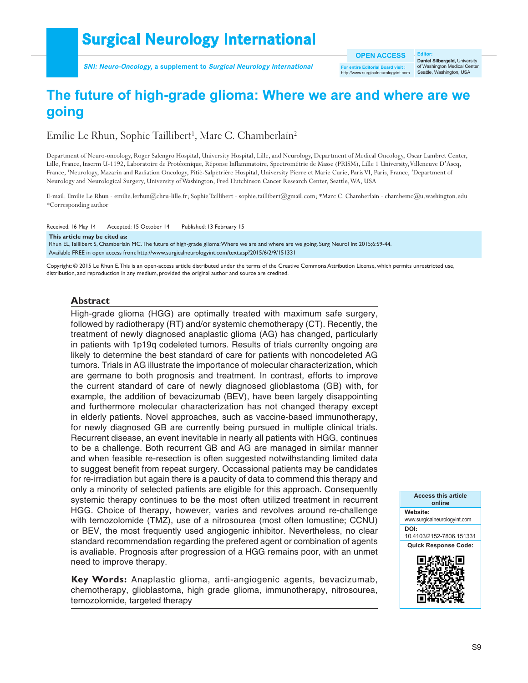# **Surgical Neurology International**

**SNI: Neuro-Oncology, a supplement to Surgical Neurology International**

**OPEN ACCESS**

**For entire Editorial Board visit :** w.surgicalneurologyint.com

**Editor:**<br>**Daniel Silbergeld,** University<br>of Washington Medical Center, Seattle, Washington, USA

# **The future of high‑grade glioma: Where we are and where are we going**

Emilie Le Rhun, Sophie Taillibert<sup>1</sup>, Marc C. Chamberlain<sup>2</sup>

Department of Neuro‑oncology, Roger Salengro Hospital, University Hospital, Lille, and Neurology, Department of Medical Oncology, Oscar Lambret Center, Lille, France, Inserm U-1192, Laboratoire de Protéomique, Réponse Inflammatoire, Spectrométrie de Masse (PRISM), Lille 1 University, Villeneuve D'Ascq, France, <sup>1</sup>Neurology, Mazarin and Radiation Oncology, Pitié-Salpétrière Hospital, University Pierre et Marie Curie, Paris VI, Paris, France, <sup>2</sup>Department of Neurology and Neurological Surgery, University of Washington, Fred Hutchinson Cancer Research Center, Seattle, WA, USA

E-mail: Emilie Le Rhun - emilie.lerhun@chru-lille.fr; Sophie Taillibert - sophie.taillibert@gmail.com; \*Marc C. Chamberlain - chambemc@u.washington.edu \*Corresponding author

Received: 16 May 14 Accepted: 15 October 14 Published: 13 February 15

**This article may be cited as:**

Rhun EL, Taillibert S, Chamberlain MC. The future of high-grade glioma: Where we are and where are we going. Surg Neurol Int 2015;6:S9-44. Available FREE in open access from: http://www.surgicalneurologyint.com/text.asp?2015/6/2/9/151331

Copyright: © 2015 Le Rhun E. This is an open‑access article distributed under the terms of the Creative Commons Attribution License, which permits unrestricted use, distribution, and reproduction in any medium, provided the original author and source are credited.

## **Abstract**

High-grade glioma (HGG) are optimally treated with maximum safe surgery, followed by radiotherapy (RT) and/or systemic chemotherapy (CT). Recently, the treatment of newly diagnosed anaplastic glioma (AG) has changed, particularly in patients with 1p19q codeleted tumors. Results of trials currenlty ongoing are likely to determine the best standard of care for patients with noncodeleted AG tumors. Trials in AG illustrate the importance of molecular characterization, which are germane to both prognosis and treatment. In contrast, efforts to improve the current standard of care of newly diagnosed glioblastoma (GB) with, for example, the addition of bevacizumab (BEV), have been largely disappointing and furthermore molecular characterization has not changed therapy except in elderly patients. Novel approaches, such as vaccine-based immunotherapy, for newly diagnosed GB are currently being pursued in multiple clinical trials. Recurrent disease, an event inevitable in nearly all patients with HGG, continues to be a challenge. Both recurrent GB and AG are managed in similar manner and when feasible re‑resection is often suggested notwithstanding limited data to suggest benefit from repeat surgery. Occassional patients may be candidates for re‑irradiation but again there is a paucity of data to commend this therapy and only a minority of selected patients are eligible for this approach. Consequently systemic therapy continues to be the most often utilized treatment in recurrent HGG. Choice of therapy, however, varies and revolves around re‑challenge with temozolomide (TMZ), use of a nitrosourea (most often lomustine; CCNU) or BEV, the most frequently used angiogenic inhibitor. Nevertheless, no clear standard recommendation regarding the prefered agent or combination of agents is avaliable. Prognosis after progression of a HGG remains poor, with an unmet need to improve therapy.

**Key Words:** Anaplastic glioma, anti-angiogenic agents, bevacizumab, chemotherapy, glioblastoma, high grade glioma, immunotherapy, nitrosourea, temozolomide, targeted therapy

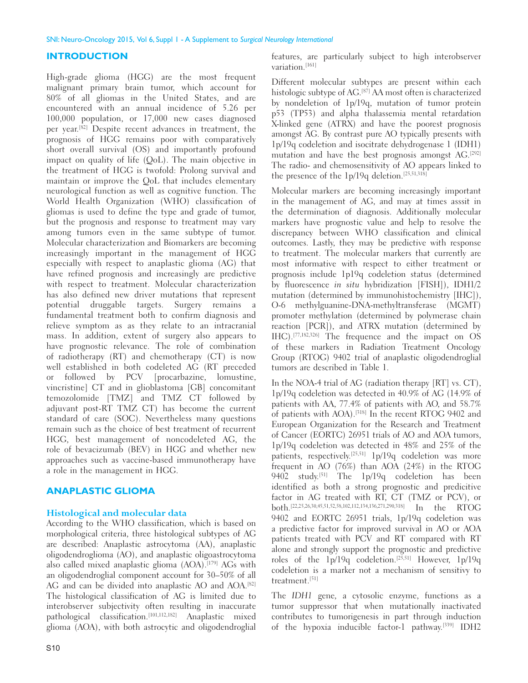## **INTRODUCTION**

High-grade glioma (HGG) are the most frequent malignant primary brain tumor, which account for 80% of all gliomas in the United States, and are encountered with an annual incidence of 5.26 per 100,000 population, or 17,000 new cases diagnosed per year.[82] Despite recent advances in treatment, the prognosis of HGG remains poor with comparatively short overall survival (OS) and importantly profound impact on quality of life  $(QoL)$ . The main objective in the treatment of HGG is twofold: Prolong survival and maintain or improve the QoL that includes elementary neurological function as well as cognitive function. The World Health Organization (WHO) classification of gliomas is used to define the type and grade of tumor, but the prognosis and response to treatment may vary among tumors even in the same subtype of tumor. Molecular characterization and Biomarkers are becoming increasingly important in the management of HGG especially with respect to anaplastic glioma (AG) that have refined prognosis and increasingly are predictive with respect to treatment. Molecular characterization has also defined new driver mutations that represent potential druggable targets. Surgery remains a fundamental treatment both to confirm diagnosis and relieve symptom as as they relate to an intracranial mass. In addition, extent of surgery also appears to have prognostic relevance. The role of combination of radiotherapy (RT) and chemotherapy (CT) is now well established in both codeleted AG (RT preceded or followed by PCV [procarbazine, lomustine, vincristine] CT and in glioblastoma [GB] concomitant temozolomide [TMZ] and TMZ CT followed by adjuvant post‑RT TMZ CT) has become the current standard of care (SOC). Nevertheless many questions remain such as the choice of best treatment of recurrent HGG, best management of noncodeleted AG, the role of bevacizumab (BEV) in HGG and whether new approaches such as vaccine‑based immunotherapy have a role in the management in HGG.

# **ANAPLASTIC GLIOMA**

### **Histological and molecular data**

According to the WHO classification, which is based on morphological criteria, three histological subtypes of AG are described: Anaplastic astrocytoma (AA), anaplastic oligodendroglioma (AO), and anaplastic oligoastrocytoma also called mixed anaplastic glioma (AOA).<sup>[179]</sup> AGs with an oligodendroglial component account for 30–50% of all AG and can be divided into anaplastic AO and AOA.<sup>[82]</sup> The histological classification of AG is limited due to interobserver subjectivity often resulting in inaccurate pathological classification.[101,112,182] Anaplastic mixed glioma (AOA), with both astrocytic and oligodendroglial features, are particularly subject to high interobserver variation.<sup>[161]</sup>

Different molecular subtypes are present within each histologic subtype of AG.[87] AA most often is characterized by nondeletion of 1p/19q, mutation of tumor protein p53 (TP53) and alpha thalassemia mental retardation X‑linked gene (ATRX) and have the poorest prognosis amongst AG. By contrast pure AO typically presents with 1p/19q codeletion and isocitrate dehydrogenase 1 (IDH1) mutation and have the best prognosis amongst AG.[292] The radio‑ and chemosensitivity of AO appears linked to the presence of the 1p/19q deletion.<sup>[25,51,318]</sup>

Molecular markers are becoming increasingly important in the management of AG, and may at times asssit in the determination of diagnosis. Additionally molecular markers have prognostic value and help to resolve the discrepancy between WHO classification and clinical outcomes. Lastly, they may be predictive with response to treatment. The molecular markers that currently are most informative with respect to either treatment or prognosis include 1p19q codeletion status (determined by fluorescence in situ hybridization [FISH]), IDH1/2 mutation (determined by immunohistochemistry [IHC]), O‑6 methylguanine‑DNA‑methyltransferase (MGMT) promoter methylation (determined by polymerase chain reaction [PCR]), and ATRX mutation (determined by IHC).[77,182,326] The frequence and the impact on OS of these markers in Radiation Treatment Oncology Group (RTOG) 9402 trial of anaplastic oligodendroglial tumors are described in Table 1.

In the NOA-4 trial of AG (radiation therapy [RT] vs. CT), 1p/19q codeletion was detected in 40.9% of AG (14.9% of patients with AA, 77.4% of patients with AO, and 58.7% of patients with AOA).[318] In the recent RTOG 9402 and European Organization for the Research and Treatment of Cancer (EORTC) 26951 trials of AO and AOA tumors, 1p/19q codeletion was detected in 48% and 25% of the patients, respectively.<sup>[25,51]</sup> 1p/19q codeletion was more frequent in AO (76%) than AOA (24%) in the RTOG 9402 study.<sup>[51]</sup> The 1p/19q codeletion has been identified as both a strong prognostic and predicitive factor in AG treated with RT, CT (TMZ or PCV), or both.<sup>[22,25,26,30,45,51,52,58,102,112,134,136,271,290,318]</sup> In the RTOG 9402 and EORTC 26951 trials, 1p/19q codeletion was a predictive factor for improved survival in AO or AOA patients treated with PCV and RT compared with RT alone and strongly support the prognostic and predictive roles of the 1p/19q codeletion.<sup>[25,51]</sup> However, 1p/19q codeletion is a marker not a mechanism of sensitivy to treatment.[51]

The IDH1 gene, a cytosolic enzyme, functions as a tumor suppressor that when mutationally inactivated contributes to tumorigenesis in part through induction of the hypoxia inducible factor-1 pathway.<sup>[339]</sup> IDH2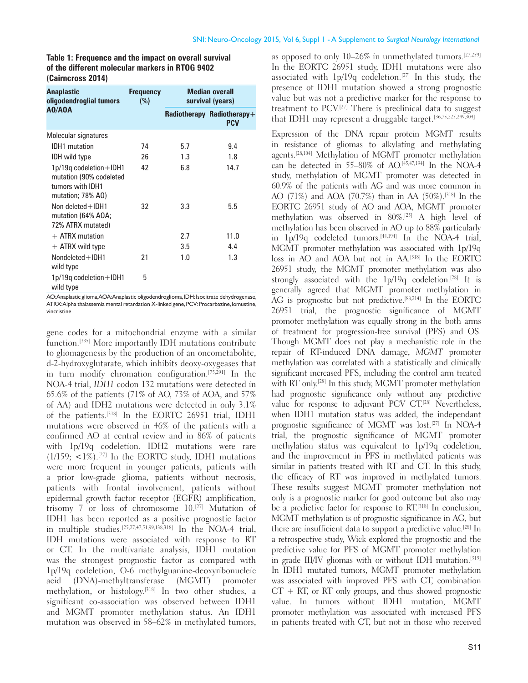**Table 1: Frequence and the impact on overall survival of the different molecular markers in RTOG 9402 (Cairncross 2014)**

| <b>Anaplastic</b><br>oligodendroglial tumors                                                   | <b>Frequency</b><br>(%) | <b>Median overall</b><br>survival (years) |                                          |  |  |
|------------------------------------------------------------------------------------------------|-------------------------|-------------------------------------------|------------------------------------------|--|--|
| <b>A0/A0A</b>                                                                                  |                         |                                           | Radiotherapy Radiotherapy+<br><b>PCV</b> |  |  |
| Molecular signatures                                                                           |                         |                                           |                                          |  |  |
| <b>IDH1</b> mutation                                                                           | 74                      | 5.7                                       | 9.4                                      |  |  |
| <b>IDH</b> wild type                                                                           | 26                      | 1.3                                       | 1.8                                      |  |  |
| $1p/19q$ codeletion + IDH1<br>mutation (90% codeleted<br>tumors with IDH1<br>mutation; 78% AO) | 42                      | 6.8                                       | 14.7                                     |  |  |
| Non deleted + IDH1<br>mutation (64% AOA;<br>72% ATRX mutated)                                  | 32                      | 3.3                                       | 5.5                                      |  |  |
| $+$ ATRX mutation                                                                              |                         | 2.7                                       | 11.0                                     |  |  |
| $+$ ATRX wild type                                                                             |                         | 3.5                                       | 4.4                                      |  |  |
| $Nondeleted + IDH1$<br>wild type                                                               | 21                      | 1.0                                       | 1.3                                      |  |  |
| $1p/19q$ codeletion + IDH1<br>wild type                                                        | 5                       |                                           |                                          |  |  |

AO: Anaplastic glioma, AOA: Anaplastic oligodendroglioma, IDH: Isocitrate dehydrogenase, ATRX: Alpha thalassemia mental retardation X‑linked gene, PCV:Procarbazine, lomustine, vincristine

gene codes for a mitochondrial enzyme with a similar function.[335] More importantly IDH mutations contribute to gliomagenesis by the production of an oncometabolite, d‑2‑hydroxyglutarate, which inhibits deoxy‑oxygeases that in turn modify chromation configuration.[75,291] In the NOA-4 trial, *IDH1* codon 132 mutations were detected in 65.6% of the patients (71% of AO, 73% of AOA, and 57% of AA) and IDH2 mutations were detected in only 3.1% of the patients.[318] In the EORTC 26951 trial, IDH1 mutations were observed in 46% of the patients with a confirmed AO at central review and in 86% of patients with 1p/19q codeletion. IDH2 mutations were rare  $(1/159; < 1\%)$ .<sup>[27]</sup> In the EORTC study, IDH1 mutations were more frequent in younger patients, patients with a prior low‑grade glioma, patients without necrosis, patients with frontal involvement, patients without epidermal growth factor receptor (EGFR) amplification, trisomy 7 or loss of chromosome 10.<sup>[27]</sup> Mutation of IDH1 has been reported as a positive prognostic factor in multiple studies.[25,27,47,51,99,138,318] In the NOA‑4 trial, IDH mutations were associated with response to RT or CT. In the multivariate analysis, IDH1 mutation was the strongest prognostic factor as compared with 1p/19q codeletion, O‑6 methylguanine‑deoxyribonucleic acid (DNA)‑methyltransferase (MGMT) promoter methylation, or histology.[318] In two other studies, a significant co-association was observed between IDH1 and MGMT promoter methylation status. An IDH1 mutation was observed in 58–62% in methylated tumors, as opposed to only 10–26% in unmethylated tumors.[27,259] In the EORTC 26951 study, IDH1 mutations were also associated with  $1p/19q$  codeletion.<sup>[27]</sup> In this study, the presence of IDH1 mutation showed a strong prognostic value but was not a predictive marker for the response to treatment to PCV.[27] There is preclinical data to suggest that IDH1 may represent a druggable target.[36,75,225,249,304]

Expression of the DNA repair protein MGMT results in resistance of gliomas to alkylating and methylating agents.[28,104] Methylation of MGMT promoter methylation can be detected in 55–80% of AO.<sup>[45,47,194]</sup> In the NOA-4 study, methylation of MGMT promoter was detected in 60.9% of the patients with AG and was more common in AO (71%) and AOA (70.7%) than in AA (50%).[318] In the EORTC 26951 study of AO and AOA, MGMT promoter methylation was observed in 80%.[25] A high level of methylation has been observed in AO up to 88% particularly in  $1p/19q$  codeleted tumors.<sup>[44,194]</sup> In the NOA-4 trial, MGMT promoter methylation was associated with 1p/19q loss in AO and AOA but not in AA.[318] In the EORTC 26951 study, the MGMT promoter methylation was also strongly associated with the 1p/19q codeletion.[28] It is generally agreed that MGMT promoter methylation in AG is prognostic but not predictive.[88,214] In the EORTC 26951 trial, the prognostic significance of MGMT promoter methylation was equally strong in the both arms of treatment for progression‑free survival (PFS) and OS. Though MGMT does not play a mechanistic role in the repair of RT‑induced DNA damage, MGMT promoter methylation was correlated with a statistically and clinically significant increased PFS, including the control arm treated with RT only.<sup>[28]</sup> In this study, MGMT promoter methylation had prognostic significance only without any predictive value for response to adjuvant PCV CT.<sup>[28]</sup> Nevertheless, when IDH1 mutation status was added, the independant prognostic significance of MGMT was lost.<sup>[27]</sup> In NOA-4 trial, the prognostic significance of MGMT promoter methylation status was equivalent to 1p/19q codeletion, and the improvement in PFS in methylated patients was similar in patients treated with RT and CT. In this study, the efficacy of RT was improved in methylated tumors. These results suggest MGMT promoter methylation not only is a prognostic marker for good outcome but also may be a predictive factor for response to RT.<sup>[318]</sup> In conclusion, MGMT methylation is of prognostic significance in AG, but there are insufficient data to support a predictive value.[28] In a retrospective study, Wick explored the prognostic and the predictive value for PFS of MGMT promoter methylation in grade III/IV gliomas with or without IDH mutation.[319] In IDH1 mutated tumors, MGMT promoter methylation was associated with improved PFS with CT, combination  $CT + RT$ , or  $RT$  only groups, and thus showed prognostic value. In tumors without IDH1 mutation, MGMT promoter methylation was associated with increased PFS in patients treated with CT, but not in those who received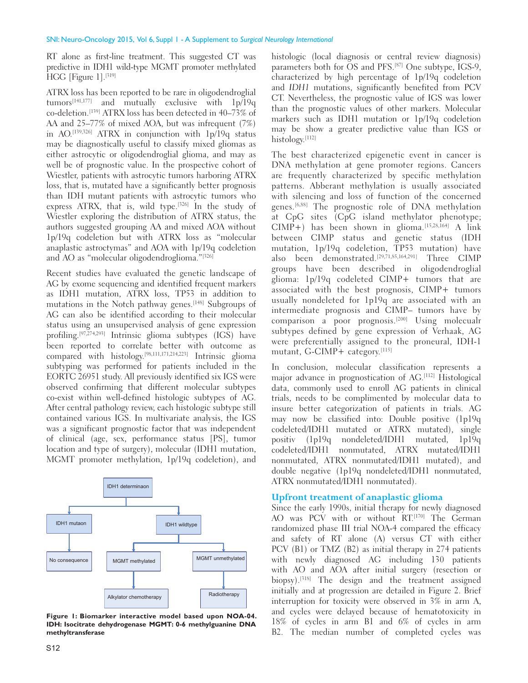RT alone as first-line treatment. This suggested CT was predictive in IDH1 wild-type MGMT promoter methylated HGG [Figure 1].[319]

ATRX loss has been reported to be rare in oligodendroglial tumors<sup>[141,177]</sup> and mutually exclusive with  $1p/19q$ co-deletion.<sup>[139]</sup> ATRX loss has been detected in 40–73% of AA and 25–77% of mixed AOA, but was infrequent (7%) in AO.[139,326] ATRX in conjunction with 1p/19q status may be diagnostically useful to classify mixed gliomas as either astrocytic or oligodendroglial glioma, and may as well be of prognostic value. In the prospective cohort of Wiestler, patients with astrocytic tumors harboring ATRX loss, that is, mutated have a significantly better prognosis than IDH mutant patients with astrocytic tumors who express ATRX, that is, wild type.[326] In the study of Wiestler exploring the distribution of ATRX status, the authors suggested grouping AA and mixed AOA without 1p/19q codeletion but with ATRX loss as "molecular anaplastic astroctymas" and AOA with 1p/19q codeletion and AO as "molecular oligodendroglioma."[326]

Recent studies have evaluated the genetic landscape of AG by exome sequencing and identified frequent markers as IDH1 mutation, ATRX loss, TP53 in addition to mutations in the Notch pathway genes.<sup>[148]</sup> Subgroups of AG can also be identified according to their molecular status using an unsupervised analysis of gene expression profiling.[97,274,293] Intrinsic glioma subtypes (IGS) have been reported to correlate better with outcome as compared with histology.[98,111,171,214,223] Intrinsic glioma subtyping was performed for patients included in the EORTC 26951 study. All previously identified six IGS were observed confirming that different molecular subtypes co‑exist within well‑defined histologic subtypes of AG. After central pathology review, each histologic subtype still contained various IGS. In multivariate analysis, the IGS was a significant prognostic factor that was independent of clinical (age, sex, performance status [PS], tumor location and type of surgery), molecular (IDH1 mutation, MGMT promoter methylation, 1p/19q codeletion), and



**Figure 1: Biomarker interactive model based upon NOA-04. IDH: Isocitrate dehydrogenase MGMT: 0-6 methylguanine DNA methyltransferase**

histologic (local diagnosis or central review diagnosis) parameters both for OS and PFS.<sup>[87]</sup> One subtype, IGS-9, characterized by high percentage of 1p/19q codeletion and IDH1 mutations, significantly benefited from PCV CT. Nevertheless, the prognostic value of IGS was lower than the prognostic values of other markers. Molecular markers such as IDH1 mutation or 1p/19q codeletion may be show a greater predictive value than IGS or histology.<sup>[112]</sup>

The best characterized epigenetic event in cancer is DNA methylation at gene promoter regions. Cancers are frequently characterized by specific methylation patterns. Abberant methylation is usually associated with silencing and loss of function of the concerned genes.[6,88] The prognostic role of DNA methylation at CpG sites (CpG island methylator phenotype;  $CIMP +$ ) has been shown in glioma.<sup>[15,28,164]</sup> A link between CIMP status and genetic status (IDH mutation, 1p/19q codeletion, TP53 mutation) have also been demonstrated.[29,71,85,164,291] Three CIMP groups have been described in oligodendroglial glioma: 1p/19q codeleted CIMP+ tumors that are associated with the best prognosis, CIMP+ tumors usually nondeleted for 1p19q are associated with an intermediate prognosis and CIMP– tumors have by comparison a poor prognosis.[200] Using molecualr subtypes defined by gene expression of Verhaak, AG were preferentially assigned to the proneural, IDH-1 mutant, G-CIMP+ category.<sup>[115]</sup>

In conclusion, molecular classification represents a major advance in prognostication of AG.[112] Histological data, commonly used to enroll AG patients in clinical trials, needs to be complimented by molecular data to insure better categorization of patients in trials. AG may now be classified into: Double positive (1p19q codeleted/IDH1 mutated or ATRX mutated), single positiv (1p19q nondeleted/IDH1 mutated, 1p19q codeleted/IDH1 nonmutated, ATRX mutated/IDH1 nonmutated, ATRX nonmutated/IDH1 mutated), and double negative (1p19q nondeleted/IDH1 nonmutated, ATRX nonmutated/IDH1 nonmutated).

## **Upfront treatment of anaplastic glioma**

Since the early 1990s, initial therapy for newly diagnosed AO was PCV with or without RT.[170] The German randomized phase III trial NOA-4 compared the efficacy and safety of RT alone (A) versus CT with either PCV (B1) or TMZ (B2) as initial therapy in 274 patients with newly diagnosed AG including 130 patients with AO and AOA after initial surgery (resection or biopsy).<sup>[318]</sup> The design and the treatment assigned initially and at progression are detailed in Figure 2. Brief interruption for toxicity were observed in 3% in arm A, and cycles were delayed because of hematotoxicity in 18% of cycles in arm B1 and 6% of cycles in arm B2. The median number of completed cycles was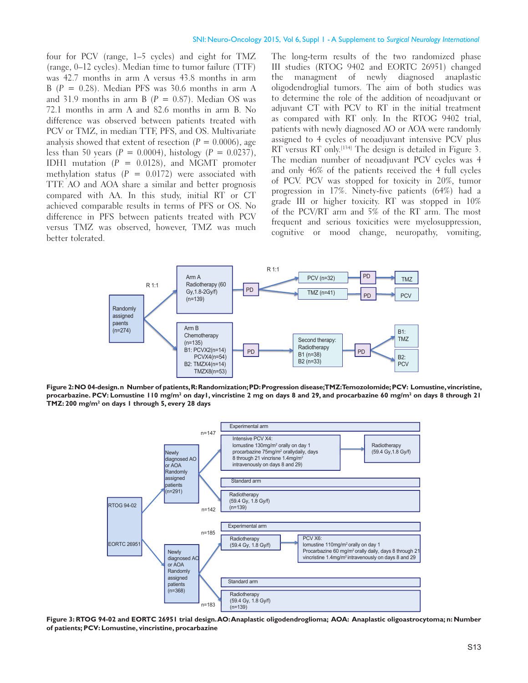four for PCV (range, 1–5 cycles) and eight for TMZ (range, 0–12 cycles). Median time to tumor failure (TTF) was 42.7 months in arm A versus 43.8 months in arm  $B$  ( $P = 0.28$ ). Median PFS was 30.6 months in arm A and 31.9 months in arm B  $(P = 0.87)$ . Median OS was 72.1 months in arm A and 82.6 months in arm B. No difference was observed between patients treated with PCV or TMZ, in median TTF, PFS, and OS. Multivariate analysis showed that extent of resection  $(P = 0.0006)$ , age less than 50 years ( $P = 0.0004$ ), histology ( $P = 0.0237$ ), IDH1 mutation  $(P = 0.0128)$ , and MGMT promoter methylation status ( $P = 0.0172$ ) were associated with TTF. AO and AOA share a similar and better prognosis compared with AA. In this study, initial RT or CT achieved comparable results in terms of PFS or OS. No difference in PFS between patients treated with PCV versus TMZ was observed, however, TMZ was much better tolerated.

The long-term results of the two randomized phase III studies (RTOG 9402 and EORTC 26951) changed the managment of newly diagnosed anaplastic oligodendroglial tumors. The aim of both studies was to determine the role of the addition of neoadjuvant or adjuvant CT with PCV to RT in the initial treatment as compared with RT only. In the RTOG 9402 trial, patients with newly diagnosed AO or AOA were randomly assigned to 4 cycles of neoadjuvant intensive PCV plus RT versus RT only.[134] The design is detailed in Figure 3. The median number of neoadjuvant PCV cycles was 4 and only 46% of the patients received the 4 full cycles of PCV. PCV was stopped for toxicity in 20%, tumor progression in 17%. Ninety‑five patients (64%) had a grade III or higher toxicity. RT was stopped in 10% of the PCV/RT arm and 5% of the RT arm. The most frequent and serious toxicities were myelosuppression, cognitive or mood change, neuropathy, vomiting,



**Figure 2: NO 04-design. n Number of patients, R: Randomization; PD: Progression disease; TMZ: Temozolomide; PCV: Lomustine, vincristine,**  procarbazine. PCV: Lomustine 110 mg/m<sup>2</sup> on day1, vincristine 2 mg on days 8 and 29, and procarbazine 60 mg/m<sup>2</sup> on days 8 through 21 **TMZ: 200 mg/m2 on days 1 through 5, every 28 days**



**Figure 3: RTOG 94-02 and EORTC 26951 trial design. AO: Anaplastic oligodendroglioma; AOA: Anaplastic oligoastrocytoma; n: Number of patients; PCV: Lomustine, vincristine, procarbazine**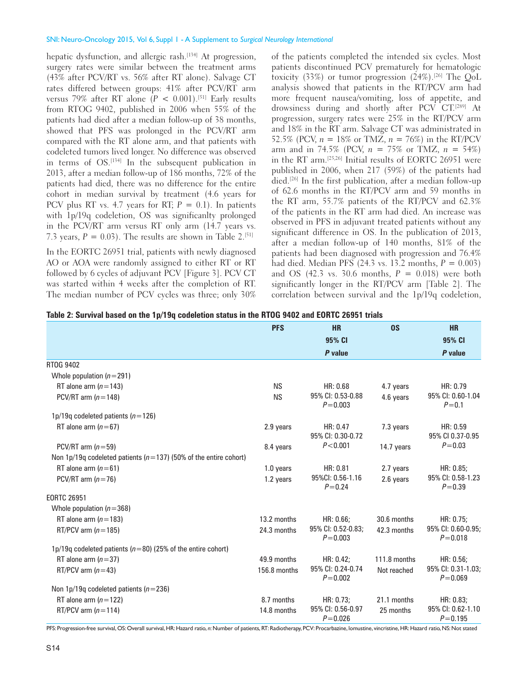hepatic dysfunction, and allergic rash.<sup>[134]</sup> At progression, surgery rates were similar between the treatment arms (43% after PCV/RT vs. 56% after RT alone). Salvage CT rates differed between groups: 41% after PCV/RT arm versus 79% after RT alone  $(P < 0.001)$ .<sup>[51]</sup> Early results from RTOG 9402, published in 2006 when 55% of the patients had died after a median follow‑up of 38 months, showed that PFS was prolonged in the PCV/RT arm compared with the RT alone arm, and that patients with codeleted tumors lived longer. No difference was observed in terms of OS.[134] In the subsequent publication in 2013, after a median follow‑up of 186 months, 72% of the patients had died, there was no difference for the entire cohort in median survival by treatment (4.6 years for PCV plus RT vs. 4.7 years for RT;  $P = 0.1$ ). In patients with 1p/19q codeletion, OS was significanlty prolonged in the PCV/RT arm versus RT only arm (14.7 years vs. 7.3 years,  $P = 0.03$ ). The results are shown in Table 2.<sup>[51]</sup>

In the EORTC 26951 trial, patients with newly diagnosed AO or AOA were randomly assigned to either RT or RT followed by 6 cycles of adjuvant PCV [Figure 3]. PCV CT was started within 4 weeks after the completion of RT. The median number of PCV cycles was three; only 30% of the patients completed the intended six cycles. Most patients discontinued PCV prematurely for hematologic toxicity  $(33\%)$  or tumor progression  $(24\%)$ .<sup>[26]</sup> The OoL analysis showed that patients in the RT/PCV arm had more frequent nausea/vomiting, loss of appetite, and drowsiness during and shortly after PCV CT.[289] At progression, surgery rates were 25% in the RT/PCV arm and 18% in the RT arm. Salvage CT was administrated in 52.5% (PCV,  $n = 18\%$  or TMZ,  $n = 76\%$ ) in the RT/PCV arm and in 74.5% (PCV,  $n = 75%$  or TMZ,  $n = 54%$ ) in the RT arm.[25,26] Initial results of EORTC 26951 were published in 2006, when 217 (59%) of the patients had died.<sup>[26]</sup> In the first publication, after a median follow-up of 62.6 months in the RT/PCV arm and 59 months in the RT arm, 55.7% patients of the RT/PCV and 62.3% of the patients in the RT arm had died. An increase was observed in PFS in adjuvant treated patients without any significant difference in OS. In the publication of 2013, after a median follow‑up of 140 months, 81% of the patients had been diagnosed with progression and 76.4% had died. Median PFS  $(24.3 \text{ vs. } 13.2 \text{ months}, P = 0.003)$ and OS (42.3 vs. 30.6 months,  $P = 0.018$ ) were both significantly longer in the RT/PCV arm [Table 2]. The correlation between survival and the 1p/19q codeletion,

|                                                                    | <b>PFS</b>   | <b>HR</b>                         | <b>OS</b>    | <b>HR</b>                         |
|--------------------------------------------------------------------|--------------|-----------------------------------|--------------|-----------------------------------|
|                                                                    |              | 95% CI                            |              | 95% CI                            |
|                                                                    |              | P value                           |              | P value                           |
| <b>RTOG 9402</b>                                                   |              |                                   |              |                                   |
| Whole population $(n=291)$                                         |              |                                   |              |                                   |
| RT alone arm $(n=143)$                                             | <b>NS</b>    | HR: 0.68                          | 4.7 years    | HR: 0.79                          |
| PCV/RT arm $(n=148)$                                               | <b>NS</b>    | 95% CI: 0.53-0.88<br>$P = 0.003$  | 4.6 years    | 95% CI: 0.60-1.04<br>$P = 0.1$    |
| 1p/19q codeleted patients ( $n=126$ )                              |              |                                   |              |                                   |
| RT alone arm $(n=67)$                                              | 2.9 years    | HR: 0.47<br>95% CI: 0.30-0.72     | 7.3 years    | HR: 0.59<br>95% CI 0.37-0.95      |
| PCV/RT arm $(n=59)$                                                | 8.4 years    | P < 0.001                         | 14.7 years   | $P = 0.03$                        |
| Non 1p/19q codeleted patients $(n=137)$ (50% of the entire cohort) |              |                                   |              |                                   |
| RT alone arm $(n=61)$                                              | 1.0 years    | HR: 0.81                          | 2.7 years    | HR: 0.85;                         |
| PCV/RT arm $(n=76)$                                                | 1.2 years    | 95%CI: 0.56-1.16<br>$P = 0.24$    | 2.6 years    | 95% CI: 0.58-1.23<br>$P = 0.39$   |
| <b>EORTC 26951</b>                                                 |              |                                   |              |                                   |
| Whole population $(n=368)$                                         |              |                                   |              |                                   |
| RT alone arm $(n=183)$                                             | 13.2 months  | HR: 0.66;                         | 30.6 months  | HR: 0.75;                         |
| RT/PCV arm $(n=185)$                                               | 24.3 months  | 95% CI: 0.52-0.83;<br>$P = 0.003$ | 42.3 months  | 95% CI: 0.60-0.95;<br>$P = 0.018$ |
| 1p/19q codeleted patients ( $n=80$ ) (25% of the entire cohort)    |              |                                   |              |                                   |
| RT alone arm $(n=37)$                                              | 49.9 months  | HR: 0.42;                         | 111.8 months | HR: 0.56;                         |
| RT/PCV arm $(n=43)$                                                | 156.8 months | 95% CI: 0.24-0.74<br>$P = 0.002$  | Not reached  | 95% CI: 0.31-1.03;<br>$P = 0.069$ |
| Non 1p/19q codeleted patients ( $n=236$ )                          |              |                                   |              |                                   |
| RT alone arm $(n=122)$                                             | 8.7 months   | HR: 0.73;                         | 21.1 months  | HR: 0.83;                         |
| RT/PCV arm $(n=114)$                                               | 14.8 months  | 95% CI: 0.56-0.97<br>$P = 0.026$  | 25 months    | 95% CI: 0.62-1.10<br>$P = 0.195$  |

PFS: Progression-free survival, OS: Overall survival, HR: Hazard ratio, *n*: Number of patients, RT: Radiotherapy, PCV: Procarbazine, lomustine, vincristine, HR: Hazard ratio, NS: Not stated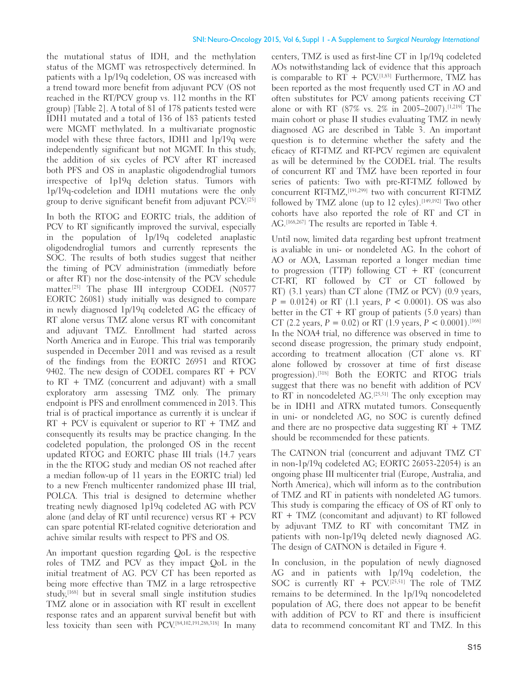the mutational status of IDH, and the methylation status of the MGMT was retrospectively determined. In patients with a 1p/19q codeletion, OS was increased with a trend toward more benefit from adjuvant PCV (OS not reached in the RT/PCV group vs. 112 months in the RT group) [Table 2]. A total of 81 of 178 patients tested were IDH1 mutated and a total of 136 of 183 patients tested were MGMT methylated. In a multivariate prognostic model with these three factors, IDH1 and 1p/19q were independently significant but not MGMT. In this study, the addition of six cycles of PCV after RT increased both PFS and OS in anaplastic oligodendroglial tumors irrespective of 1p19q deletion status. Tumors with 1p/19q‑codeletion and IDH1 mutations were the only group to derive significant benefit from adjuvant PCV.[25]

In both the RTOG and EORTC trials, the addition of PCV to RT significantly improved the survival, especially in the population of 1p/19q codeleted anaplastic oligodendroglial tumors and currently represents the SOC. The results of both studies suggest that neither the timing of PCV administration (immediatly before or after RT) nor the dose‑intensity of the PCV schedule matter.<sup>[25]</sup> The phase III intergroup CODEL (N0577 EORTC 26081) study initially was designed to compare in newly diagnosed 1p/19q codeleted AG the efficacy of RT alone versus TMZ alone versus RT with concomitant and adjuvant TMZ. Enrollment had started across North America and in Europe. This trial was temporarily suspended in December 2011 and was revised as a result of the findings from the EORTC 26951 and RTOG 9402. The new design of CODEL compares RT + PCV to RT + TMZ (concurrent and adjuvant) with a small exploratory arm assessing TMZ only. The primary endpoint is PFS and enrollment commenced in 2013. This trial is of practical importance as currently it is unclear if  $RT$  + PCV is equivalent or superior to  $RT$  + TMZ and consequently its results may be practice changing. In the codeleted population, the prolonged OS in the recent updated RTOG and EORTC phase III trials (14.7 years in the the RTOG study and median OS not reached after a median follow‑up of 11 years in the EORTC trial) led to a new French multicenter randomized phase III trial, POLCA. This trial is designed to determine whether treating newly diagnosed 1p19q codeleted AG with PCV alone (and delay of RT until recurence) versus RT + PCV can spare potential RT‑related cognitive deterioration and achive similar results with respect to PFS and OS.

An important question regarding QoL is the respective roles of TMZ and PCV as they impact QoL in the initial treatment of AG. PCV CT has been reported as being more effective than TMZ in a large retrospective study,[168] but in several small single institution studies TMZ alone or in association with RT result in excellent response rates and an apparent survival benefit but with less toxicity than seen with PCV.[84,102,191,288,318] In many centers, TMZ is used as first‑line CT in 1p/19q codeleted AOs notwithstanding lack of evidence that this approach is comparable to  $RT + PCV<sup>[1,83]</sup>$  Furthermore, TMZ has been reported as the most frequently used CT in AO and often substitutes for PCV among patients receiving CT alone or with RT (87% vs. 2% in 2005–2007).[1,219] The main cohort or phase II studies evaluating TMZ in newly diagnosed AG are described in Table 3. An important question is to determine whether the safety and the eficacy of RT‑TMZ and RT‑PCV regimen are equivalent as will be determined by the CODEL trial. The results of concurrent RT and TMZ have been reported in four series of patients: Two with pre-RT-TMZ followed by concurrent RT-TMZ,<sup>[191,299]</sup> two with concurrent RT-TMZ followed by TMZ alone (up to  $12$  cyles).<sup>[149,192]</sup> Two other cohorts have also reported the role of RT and CT in AG.[168,267] The results are reported in Table 4.

Until now, limited data regarding best upfront treatment is avaliable in uni‑ or nondeleted AG. In the cohort of AO or AOA, Lassman reported a longer median time to progression (TTP) following  $CT + RT$  (concurrent CT‑RT, RT followed by CT or CT followed by RT) (3.1 years) than CT alone (TMZ or PCV) (0.9 years,  $P = 0.0124$  or RT (1.1 years,  $P < 0.0001$ ). OS was also better in the  $CT + RT$  group of patients (5.0 years) than CT (2.2 years,  $P = 0.02$ ) or RT (1.9 years,  $P < 0.0001$ ).<sup>[168]</sup> In the NOA4 trial, no difference was observed in time to second disease progression, the primary study endpoint, according to treatment allocation (CT alone vs. RT alone followed by crossover at time of first disease progression).[318] Both the EORTC and RTOG trials suggest that there was no benefit with addition of PCV to RT in noncodeleted AG.<sup>[25,51]</sup> The only exception may be in IDH1 and ATRX mutated tumors. Consequently in uni‑ or nondeleted AG, no SOC is curently defined and there are no prospective data suggesting  $RT + TMZ$ should be recommended for these patients.

The CATNON trial (concurrent and adjuvant TMZ CT in non‑1p/19q codeleted AG; EORTC 26053‑22054) is an ongoing phase III multicenter trial (Europe, Australia, and North America), which will inform as to the contribution of TMZ and RT in patients with nondeleted AG tumors. This study is comparing the efficacy of OS of RT only to RT + TMZ (concomitant and adjuvant) to RT followed by adjuvant TMZ to RT with concomitant TMZ in patients with non‑1p/19q deleted newly diagnosed AG. The design of CATNON is detailed in Figure 4.

In conclusion, in the population of newly diagnosed AG and in patients with 1p/19q codeletion, the SOC is currently  $RT$  +  $PCV$ <sup>[25,51]</sup> The role of TMZ remains to be determined. In the 1p/19q noncodeleted population of AG, there does not appear to be benefit with addition of PCV to RT and there is insufficient data to recommend concomitant RT and TMZ. In this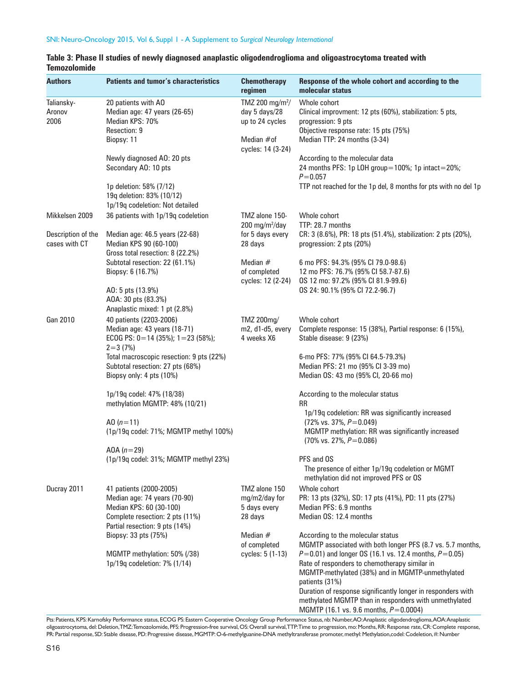| <b>Authors</b>                      | <b>Patients and tumor's characteristics</b>                                                                                                             | <b>Chemotherapy</b><br>regimen                                                                        | Response of the whole cohort and according to the<br>molecular status                                                                                                                                                                                                                                      |
|-------------------------------------|---------------------------------------------------------------------------------------------------------------------------------------------------------|-------------------------------------------------------------------------------------------------------|------------------------------------------------------------------------------------------------------------------------------------------------------------------------------------------------------------------------------------------------------------------------------------------------------------|
| Taliansky-<br>Aronov<br>2006        | 20 patients with AO<br>Median age: 47 years (26-65)<br>Median KPS: 70%<br>Resection: 9<br>Biopsy: 11                                                    | TMZ 200 mg/m <sup>2</sup> /<br>day 5 days/28<br>up to 24 cycles<br>Median $#$ of<br>cycles: 14 (3-24) | Whole cohort<br>Clinical improvment: 12 pts (60%), stabilization: 5 pts,<br>progression: 9 pts<br>Objective response rate: 15 pts (75%)<br>Median TTP: 24 months (3-34)                                                                                                                                    |
|                                     | Newly diagnosed AO: 20 pts<br>Secondary AO: 10 pts                                                                                                      |                                                                                                       | According to the molecular data<br>24 months PFS: 1p LOH group=100%; 1p intact=20%;<br>$P = 0.057$                                                                                                                                                                                                         |
|                                     | 1p deletion: 58% (7/12)<br>19q deletion: 83% (10/12)<br>1p/19q codeletion: Not detailed                                                                 |                                                                                                       | TTP not reached for the 1p del, 8 months for pts with no del 1p                                                                                                                                                                                                                                            |
| Mikkelsen 2009                      | 36 patients with 1p/19q codeletion                                                                                                                      | TMZ alone 150-<br>200 mg/m <sup>2</sup> /day                                                          | Whole cohort<br>TTP: 28.7 months                                                                                                                                                                                                                                                                           |
| Description of the<br>cases with CT | Median age: 46.5 years (22-68)<br>Median KPS 90 (60-100)<br>Gross total resection: 8 (22.2%)                                                            | for 5 days every<br>28 days                                                                           | CR: 3 (8.6%), PR: 18 pts (51.4%), stabilization: 2 pts (20%),<br>progression: 2 pts (20%)                                                                                                                                                                                                                  |
|                                     | Subtotal resection: 22 (61.1%)<br>Biopsy: 6 (16.7%)                                                                                                     | Median $#$<br>of completed<br>cycles: 12 (2-24)                                                       | 6 mo PFS: 94.3% (95% CI 79.0-98.6)<br>12 mo PFS: 76.7% (95% CI 58.7-87.6)<br>OS 12 mo: 97.2% (95% CI 81.9-99.6)                                                                                                                                                                                            |
|                                     | A0: 5 pts (13.9%)<br>AOA: 30 pts (83.3%)<br>Anaplastic mixed: 1 pt (2.8%)                                                                               |                                                                                                       | OS 24: 90.1% (95% CI 72.2-96.7)                                                                                                                                                                                                                                                                            |
| Gan 2010                            | 40 patients (2203-2006)<br>Median age: 43 years (18-71)<br>ECOG PS: $0=14$ (35%); $1=23$ (58%);<br>$2=3(7%)$                                            | TMZ 200mg/<br>m2, d1-d5, every<br>4 weeks X6                                                          | Whole cohort<br>Complete response: 15 (38%), Partial response: 6 (15%),<br>Stable disease: 9 (23%)                                                                                                                                                                                                         |
|                                     | Total macroscopic resection: 9 pts (22%)<br>Subtotal resection: 27 pts (68%)<br>Biopsy only: 4 pts (10%)                                                |                                                                                                       | 6-mo PFS: 77% (95% CI 64.5-79.3%)<br>Median PFS: 21 mo (95% CI 3-39 mo)<br>Median OS: 43 mo (95% CI, 20-66 mo)                                                                                                                                                                                             |
|                                     | 1p/19q codel: 47% (18/38)<br>methylation MGMTP: 48% (10/21)                                                                                             |                                                                                                       | According to the molecular status<br><b>RR</b>                                                                                                                                                                                                                                                             |
|                                     | A0 $(n=11)$<br>(1p/19q codel: 71%; MGMTP methyl 100%)                                                                                                   |                                                                                                       | 1p/19q codeletion: RR was significantly increased<br>$(72\% \text{ vs. } 37\%, P=0.049)$<br>MGMTP methylation: RR was significantly increased<br>$(70\% \text{ vs. } 27\%, P=0.086)$                                                                                                                       |
|                                     | AOA $(n=29)$<br>(1p/19q codel: 31%; MGMTP methyl 23%)                                                                                                   |                                                                                                       | PFS and OS<br>The presence of either 1p/19q codeletion or MGMT<br>methylation did not improved PFS or OS                                                                                                                                                                                                   |
| Ducray 2011                         | 41 patients (2000-2005)<br>Median age: 74 years (70-90)<br>Median KPS: 60 (30-100)<br>Complete resection: 2 pts (11%)<br>Partial resection: 9 pts (14%) | TMZ alone 150<br>mg/m2/day for<br>5 days every<br>28 days                                             | Whole cohort<br>PR: 13 pts (32%), SD: 17 pts (41%), PD: 11 pts (27%)<br>Median PFS: 6.9 months<br>Median OS: 12.4 months                                                                                                                                                                                   |
|                                     | Biopsy: 33 pts (75%)                                                                                                                                    | Median #<br>of completed                                                                              | According to the molecular status<br>MGMTP associated with both longer PFS (8.7 vs. 5.7 months,                                                                                                                                                                                                            |
|                                     | MGMTP methylation: 50% (/38)<br>1p/19q codeletion: 7% (1/14)                                                                                            | cycles: 5 (1-13)                                                                                      | $P=0.01$ ) and longer OS (16.1 vs. 12.4 months, $P=0.05$ )<br>Rate of responders to chemotherapy similar in<br>MGMTP-methylated (38%) and in MGMTP-unmethylated<br>patients (31%)<br>Duration of response significantly longer in responders with<br>methylated MGMTP than in responders with unmethylated |

## **Table 3: Phase II studies of newly diagnosed anaplastic oligodendroglioma and oligoastrocytoma treated with Temozolomide**

Pts: Patients, KPS: Karnofsky Performance status, ECOG PS: Eastern Cooperative Oncology Group Performance Status, nb: Number, AO: Anaplastic oligodendroglioma, AOA:Anaplastic oligoastrocytoma, del: Deletion, TMZ: Temozolomide, PFS: Progression‑free survival, OS: Overall survival, TTP: Time to progression, mo: Months, RR: Response rate, CR: Complete response, PR: Partial response, SD: Stable disease, PD: Progressive disease, MGMTP: O‑6‑methylguanine‑DNA methyltransferase promoter, methyl: Methylation,codel: Codeletion, #: Number

MGMTP (16.1 vs. 9.6 months, *P*=0.0004)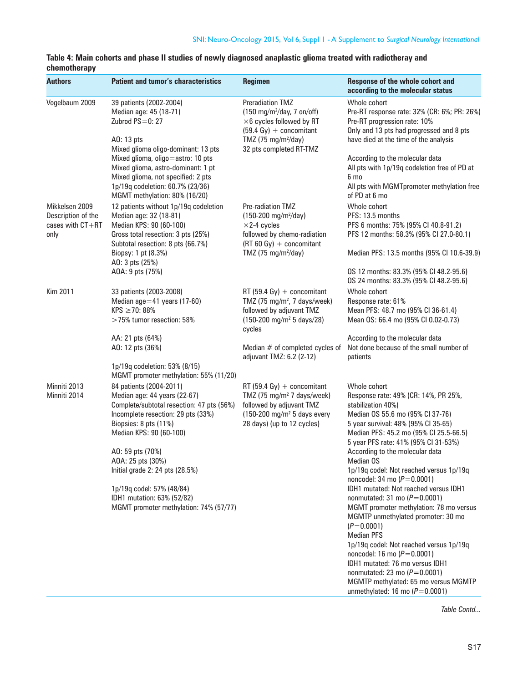| <b>Authors</b>                                                       | <b>Patient and tumor's characteristics</b>                                                                                                                                                     | <b>Regimen</b>                                                                                                                                                                                                  | Response of the whole cohort and<br>according to the molecular status                                                                                                                                                                                                                                                                                                                         |
|----------------------------------------------------------------------|------------------------------------------------------------------------------------------------------------------------------------------------------------------------------------------------|-----------------------------------------------------------------------------------------------------------------------------------------------------------------------------------------------------------------|-----------------------------------------------------------------------------------------------------------------------------------------------------------------------------------------------------------------------------------------------------------------------------------------------------------------------------------------------------------------------------------------------|
| Vogelbaum 2009                                                       | 39 patients (2002-2004)<br>Median age: 45 (18-71)<br>Zubrod $PS = 0: 27$<br>A0: 13 pts<br>Mixed glioma oligo-dominant: 13 pts<br>Mixed glioma, oligo = astro: 10 pts                           | <b>Preradiation TMZ</b><br>(150 mg/m <sup>2</sup> /day, 7 on/off)<br>$\times$ 6 cycles followed by RT<br>$(59.4 \text{ Gy}) + \text{concomitant}$<br>TMZ (75 mg/m <sup>2</sup> /day)<br>32 pts completed RT-TMZ | Whole cohort<br>Pre-RT response rate: 32% (CR: 6%; PR: 26%)<br>Pre-RT progression rate: 10%<br>Only and 13 pts had progressed and 8 pts<br>have died at the time of the analysis<br>According to the molecular data                                                                                                                                                                           |
|                                                                      | Mixed glioma, astro-dominant: 1 pt<br>Mixed glioma, not specified: 2 pts<br>1p/19q codeletion: 60.7% (23/36)<br>MGMT methylation: 80% (16/20)                                                  |                                                                                                                                                                                                                 | All pts with 1p/19q codeletion free of PD at<br>6 mo<br>All pts with MGMTpromoter methylation free<br>of PD at 6 mo                                                                                                                                                                                                                                                                           |
| Mikkelsen 2009<br>Description of the<br>cases with $CT + RT$<br>only | 12 patients without 1p/19q codeletion<br>Median age: 32 (18-81)<br>Median KPS: 90 (60-100)<br>Gross total resection: 3 pts (25%)<br>Subtotal resection: 8 pts (66.7%)                          | <b>Pre-radiation TMZ</b><br>$(150-200 \text{ mg/m}^2/\text{day})$<br>$\times$ 2-4 cycles<br>followed by chemo-radiation<br>$(RT 60 Gy) + concomitant$                                                           | Whole cohort<br>PFS: 13.5 months<br>PFS 6 months: 75% (95% CI 40.8-91.2)<br>PFS 12 months: 58.3% (95% CI 27.0-80.1)                                                                                                                                                                                                                                                                           |
|                                                                      | Biopsy: 1 pt (8.3%)<br>A0: 3 pts (25%)<br>AOA: 9 pts (75%)                                                                                                                                     | TMZ (75 mg/m <sup>2</sup> /day)                                                                                                                                                                                 | Median PFS: 13.5 months (95% CI 10.6-39.9)<br>OS 12 months: 83.3% (95% CI 48.2-95.6)<br>OS 24 months: 83.3% (95% CI 48.2-95.6)                                                                                                                                                                                                                                                                |
| <b>Kim 2011</b>                                                      | 33 patients (2003-2008)<br>Median age=41 years (17-60)<br>$KPS \ge 70: 88\%$<br>>75% tumor resection: 58%                                                                                      | RT (59.4 Gy) + concomitant<br>TMZ (75 mg/m <sup>2</sup> , 7 days/week)<br>followed by adjuvant TMZ<br>(150-200 mg/m <sup>2</sup> 5 days/28)<br>cycles                                                           | Whole cohort<br>Response rate: 61%<br>Mean PFS: 48.7 mo (95% CI 36-61.4)<br>Mean OS: 66.4 mo (95% CI 0.02-0.73)                                                                                                                                                                                                                                                                               |
|                                                                      | AA: 21 pts (64%)<br>A0: 12 pts (36%)                                                                                                                                                           | Median $#$ of completed cycles of<br>adjuvant TMZ: 6.2 (2-12)                                                                                                                                                   | According to the molecular data<br>Not done because of the small number of<br>patients                                                                                                                                                                                                                                                                                                        |
|                                                                      | 1p/19q codeletion: 53% (8/15)<br>MGMT promoter methylation: 55% (11/20)                                                                                                                        |                                                                                                                                                                                                                 |                                                                                                                                                                                                                                                                                                                                                                                               |
| Minniti 2013<br>Minniti 2014                                         | 84 patients (2004-2011)<br>Median age: 44 years (22-67)<br>Complete/subtotal resection: 47 pts (56%)<br>Incomplete resection: 29 pts (33%)<br>Biopsies: 8 pts (11%)<br>Median KPS: 90 (60-100) | RT (59.4 Gy) + concomitant<br>TMZ (75 mg/m <sup>2</sup> 7 days/week)<br>followed by adjuvant TMZ<br>$(150-200$ mg/m <sup>2</sup> 5 days every<br>28 days) (up to 12 cycles)                                     | Whole cohort<br>Response rate: 49% (CR: 14%, PR 25%,<br>stabilization 40%)<br>Median OS 55.6 mo (95% Cl 37-76)<br>5 year survival: 48% (95% CI 35-65)<br>Median PFS: 45.2 mo (95% CI 25.5-66.5)<br>5 year PFS rate: 41% (95% CI 31-53%)                                                                                                                                                       |
|                                                                      | A0: 59 pts (70%)<br>A0A: 25 pts (30%)<br>Initial grade 2: 24 pts (28.5%)                                                                                                                       |                                                                                                                                                                                                                 | According to the molecular data<br>Median OS<br>1p/19q codel: Not reached versus 1p/19q<br>noncodel: 34 mo $(P=0.0001)$                                                                                                                                                                                                                                                                       |
|                                                                      | 1p/19q codel: 57% (48/84)<br>IDH1 mutation: 63% (52/82)<br>MGMT promoter methylation: 74% (57/77)                                                                                              |                                                                                                                                                                                                                 | IDH1 mutated: Not reached versus IDH1<br>nonmutated: 31 mo ( $P = 0.0001$ )<br>MGMT promoter methylation: 78 mo versus<br>MGMTP unmethylated promoter: 30 mo<br>$(P=0.0001)$<br><b>Median PFS</b><br>1p/19q codel: Not reached versus 1p/19q<br>noncodel: 16 mo ( $P = 0.0001$ )<br>IDH1 mutated: 76 mo versus IDH1<br>nonmutated: 23 mo $(P=0.0001)$<br>MGMTP methylated: 65 mo versus MGMTP |

## **Table 4: Main cohorts and phase II studies of newly diagnosed anaplastic glioma treated with radiotheray and chemotherapy**

*Table Contd...*

unmethylated: 16 mo ( $P=0.0001$ )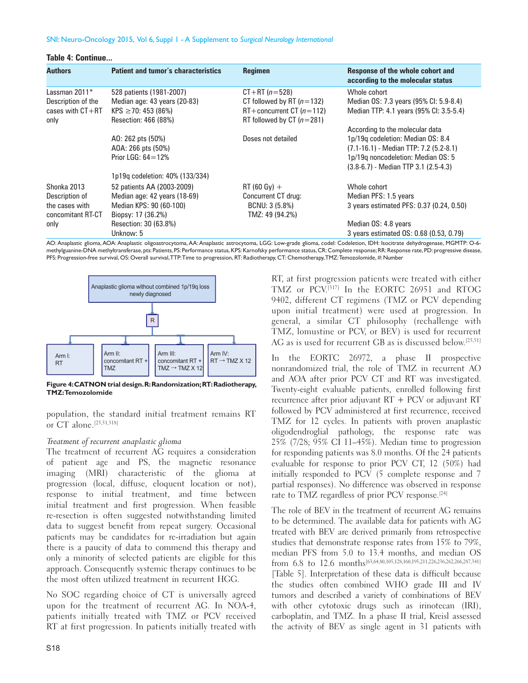|--|

| <b>Authors</b>       | <b>Patient and tumor's characteristics</b> | <b>Regimen</b>                  | Response of the whole cohort and<br>according to the molecular status |
|----------------------|--------------------------------------------|---------------------------------|-----------------------------------------------------------------------|
| Lassman 2011*        | 528 patients (1981-2007)                   | $CT + RT (n = 528)$             | Whole cohort                                                          |
| Description of the   | Median age: 43 years (20-83)               | CT followed by RT $(n=132)$     | Median OS: 7.3 years (95% CI: 5.9-8.4)                                |
| cases with $CT + RT$ | $KPS \ge 70$ : 453 (86%)                   | $RT$ +concurrent CT ( $n$ =112) | Median TTP: 4.1 years (95% CI: 3.5-5.4)                               |
| only                 | Resection: 466 (88%)                       | RT followed by CT ( $n=281$ )   |                                                                       |
|                      |                                            |                                 | According to the molecular data                                       |
|                      | A0: 262 pts (50%)                          | Doses not detailed              | 1p/19q codeletion: Median OS: 8.4                                     |
|                      | AOA: 266 pts (50%)                         |                                 | (7.1-16.1) - Median TTP: 7.2 (5.2-8.1)                                |
|                      | Prior LGG: $64 = 12\%$                     |                                 | 1p/19q noncodeletion: Median OS: 5                                    |
|                      |                                            |                                 | (3.8-6.7) - Median TTP 3.1 (2.5-4.3)                                  |
|                      | 1p19q codeletion: 40% (133/334)            |                                 |                                                                       |
| Shonka 2013          | 52 patients AA (2003-2009)                 | $RT(60 Gv) +$                   | Whole cohort                                                          |
| Description of       | Median age: 42 years (18-69)               | Concurrent CT drug:             | Median PFS: 1.5 years                                                 |
| the cases with       | Median KPS: 90 (60-100)                    | BCNU: 3 (5.8%)                  | 3 years estimated PFS: 0.37 (0.24, 0.50)                              |
| concomitant RT-CT    | Biopsy: 17 (36.2%)                         | TMZ: 49 (94.2%)                 |                                                                       |
| only                 | Resection: 30 (63.8%)                      |                                 | Median OS: 4.8 years                                                  |
|                      | Unknow: 5                                  |                                 | 3 years estimated OS: 0.68 (0.53, 0.79)                               |

AO: Anaplastic glioma, AOA: Anaplastic oligoastrocytoma, AA: Anaplastic astrocytoma, LGG: Low-grade glioma, codel: Codeletion, IDH: Isocitrate dehydrogenase, MGMTP: O-6methylguanine‑DNA methyltransferase, pts: Patients, PS: Performance status, KPS: Karnofsky performance status, CR: Complete response; RR: Response rate, PD: progressive disease, PFS: Progression-free survival, OS: Overall survival, TTP: Time to progression, RT: Radiotherapy, CT: Chemotherapy, TMZ: Temozolomide, #: Number

![](_page_9_Figure_4.jpeg)

**Figure 4: CATNON trial design. R: Randomization; RT: Radiotherapy, TMZ: Temozolomide**

population, the standard initial treatment remains RT or CT alone.[25,51,318]

### *Treatment of recurrent anaplastic glioma*

The treatment of recurrent AG requires a consideration of patient age and PS, the magnetic resonance imaging (MRI) characteristic of the glioma at progression (local, diffuse, eloquent location or not), response to initial treatment, and time between initial treatment and first progression. When feasible re‑resection is often suggested notwithstanding limited data to suggest benefit from repeat surgery. Occasional patients may be candidates for re-irradiation but again there is a paucity of data to commend this therapy and only a minority of selected patients are eligible for this approach. Consequently systemic therapy continues to be the most often utilized treatment in recurrent HGG.

No SOC regarding choice of CT is universally agreed upon for the treatment of recurrent AG. In NOA‑4, patients initially treated with TMZ or PCV received RT at first progression. In patients initially treated with RT, at first progression patients were treated with either TMZ or PCV.[317] In the EORTC 26951 and RTOG 9402, different CT regimens (TMZ or PCV depending upon initial treatment) were used at progression. In general, a similar CT philosophy (rechallenge with TMZ, lomustine or PCV, or BEV) is used for recurrent AG as is used for recurrent GB as is discussed below.[25,51]

In the EORTC 26972, a phase II prospective nonrandomized trial, the role of TMZ in recurrent AO and AOA after prior PCV CT and RT was investigated. Twenty‑eight evaluable patients, enrolled following first recurrence after prior adjuvant RT + PCV or adjuvant RT followed by PCV administered at first recurrence, received TMZ for 12 cycles. In patients with proven anaplastic oligodendroglial pathology, the response rate was 25% (7/28; 95% CI 11–45%). Median time to progression for responding patients was 8.0 months. Of the 24 patients evaluable for response to prior PCV CT, 12 (50%) had initially responded to PCV (5 complete response and 7 partial responses). No difference was observed in response rate to TMZ regardless of prior PCV response.<sup>[24]</sup>

The role of BEV in the treatment of recurrent AG remains to be determined. The available data for patients with AG treated with BEV are derived primarily from retrospective studies that demonstrate response rates from 15% to 79%, median PFS from 5.0 to 13.4 months, and median OS from 6.8 to 12.6 months<sup>[63,64,80,105,128,160,195,211,226,236,262,266,287,341]</sup> [Table 5]. Interpretation of these data is difficult because the studies often combined WHO grade III and IV tumors and described a variety of combinations of BEV with other cytotoxic drugs such as irinotecan (IRI), carboplatin, and TMZ. In a phase II trial, Kreisl assessed the activity of BEV as single agent in 31 patients with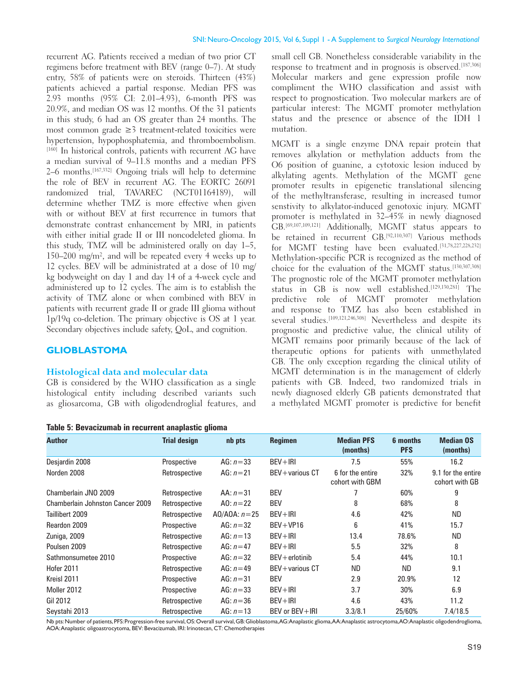recurrent AG. Patients received a median of two prior CT regimens before treatment with BEV (range 0–7). At study entry, 58% of patients were on steroids. Thirteen (43%) patients achieved a partial response. Median PFS was 2.93 months (95% CI: 2.01–4.93), 6‑month PFS was 20.9%, and median OS was 12 months. Of the 31 patients in this study, 6 had an OS greater than 24 months. The most common grade  $\geq$ 3 treatment-related toxicities were hypertension, hypophosphatemia, and thromboembolism. [160] In historical controls, patients with recurrent AG have a median survival of 9–11.8 months and a median PFS 2–6 months.[167,332] Ongoing trials will help to determine the role of BEV in recurrent AG. The EORTC 26091 randomized trial, TAVAREC (NCT01164189), will determine whether TMZ is more effective when given with or without BEV at first recurrence in tumors that demonstrate contrast enhancement by MRI, in patients with either initial grade II or III noncodeleted glioma. In this study, TMZ will be administered orally on day 1–5, 150–200 mg/m², and will be repeated every 4 weeks up to 12 cycles. BEV will be administrated at a dose of 10 mg/ kg bodyweight on day 1 and day 14 of a 4‑week cycle and administered up to 12 cycles. The aim is to establish the activity of TMZ alone or when combined with BEV in patients with recurrent grade II or grade III glioma without 1p/19q co‑deletion. The primary objective is OS at 1 year. Secondary objectives include safety, QoL, and cognition.

## **GLIOBLASTOMA**

## **Histological data and molecular data**

GB is considered by the WHO classification as a single histological entity including described variants such as gliosarcoma, GB with oligodendroglial features, and

|  |  |  | Table 5: Bevacizumab in recurrent anaplastic glioma |  |  |
|--|--|--|-----------------------------------------------------|--|--|
|  |  |  |                                                     |  |  |

small cell GB. Nonetheless considerable variability in the response to treatment and in prognosis is observed.<sup>[187,306]</sup> Molecular markers and gene expression profile now compliment the WHO classification and assist with respect to prognostication. Two molecular markers are of particular interest: The MGMT promoter methylation status and the presence or absence of the IDH 1 mutation.

MGMT is a single enzyme DNA repair protein that removes alkylation or methylation adducts from the O6 position of guanine, a cytotoxic lesion induced by alkylating agents. Methylation of the MGMT gene promoter results in epigenetic translational silencing of the methyltransferase, resulting in increased tumor senstivity to alkylator-induced genotoxic injury. MGMT promoter is methylated in 32–45% in newly diagnosed GB.[69,107,109,121] Additionally, MGMT status appears to be retained in recurrent GB.[92,110,307] Various methods for MGMT testing have been evaluated.[31,78,227,228,232] Methylation‑specific PCR is recognized as the method of choice for the evaluation of the MGMT status.[130,307,308] The prognostic role of the MGMT promoter methylation status in GB is now well established.[129,130,281] The predictive role of MGMT promoter methylation and response to TMZ has also been established in several studies.<sup>[109,121,246,308]</sup> Nevertheless and despite its prognostic and predictive value, the clinical utility of MGMT remains poor primarily because of the lack of therapeutic options for patients with unmethylated GB. The only exception regarding the clinical utility of MGMT determination is in the management of elderly patients with GB. Indeed, two randomized trials in newly diagnosed elderly GB patients demonstrated that a methylated MGMT promoter is predictive for benefit

| <b>Author</b>                    | <b>Trial design</b> | nb pts           | <b>Regimen</b>        | <b>Median PFS</b><br>(months)       | 6 months<br><b>PFS</b> | <b>Median OS</b><br>(months)         |
|----------------------------------|---------------------|------------------|-----------------------|-------------------------------------|------------------------|--------------------------------------|
| Desjardin 2008                   | Prospective         | AG: $n = 33$     | $BFV + IRI$           | 7.5                                 | 55%                    | 16.2                                 |
| Norden 2008                      | Retrospective       | AG: $n = 21$     | $BEV + \nu$ arious CT | 6 for the entire<br>cohort with GBM | 32%                    | 9.1 for the entire<br>cohort with GB |
| Chamberlain JNO 2009             | Retrospective       | AA: $n = 31$     | <b>BEV</b>            |                                     | 60%                    | 9                                    |
| Chamberlain Johnston Cancer 2009 | Retrospective       | A0: $n = 22$     | <b>BEV</b>            | 8                                   | 68%                    | 8                                    |
| Taillibert 2009                  | Retrospective       | A0/A0A: $n = 25$ | $BFV + IRI$           | 4.6                                 | 42%                    | <b>ND</b>                            |
| Reardon 2009                     | Prospective         | AG: $n = 32$     | $BEV + VP16$          | 6                                   | 41%                    | 15.7                                 |
| Zuniga, 2009                     | Retrospective       | AG: $n = 13$     | $BFV + IRI$           | 13.4                                | 78.6%                  | <b>ND</b>                            |
| Poulsen 2009                     | Retrospective       | AG: $n = 47$     | $BEV + IRI$           | 5.5                                 | 32%                    | 8                                    |
| Sathmonsumetee 2010              | Prospective         | AG: $n = 32$     | $BEV + erlotinib$     | 5.4                                 | 44%                    | 10.1                                 |
| <b>Hofer 2011</b>                | Retrospective       | AG: $n = 49$     | $BEV + \nu$ arious CT | <b>ND</b>                           | <b>ND</b>              | 9.1                                  |
| Kreisl 2011                      | Prospective         | AG: $n = 31$     | <b>BEV</b>            | 2.9                                 | 20.9%                  | 12                                   |
| Moller 2012                      | Prospective         | AG: $n = 33$     | $BEV + IRI$           | 3.7                                 | 30%                    | 6.9                                  |
| Gil 2012                         | Retrospective       | AG: $n = 36$     | $BEV + IRI$           | 4.6                                 | 43%                    | 11.2                                 |
| Seystahi 2013                    | Retrospective       | AG: $n = 13$     | BEV or BEV+IRI        | 3.3/8.1                             | 25/60%                 | 7.4/18.5                             |

Nb pts: Number of patients, PFS: Progression‑free survival, OS: Overall survival, GB: Glioblastoma, AG: Anaplastic glioma, AA: Anaplastic astrocytoma, AO: Anaplastic oligodendroglioma, AOA: Anaplastic oligoastrocytoma, BEV: Bevacizumab, IRI: Irinotecan, CT: Chemotherapies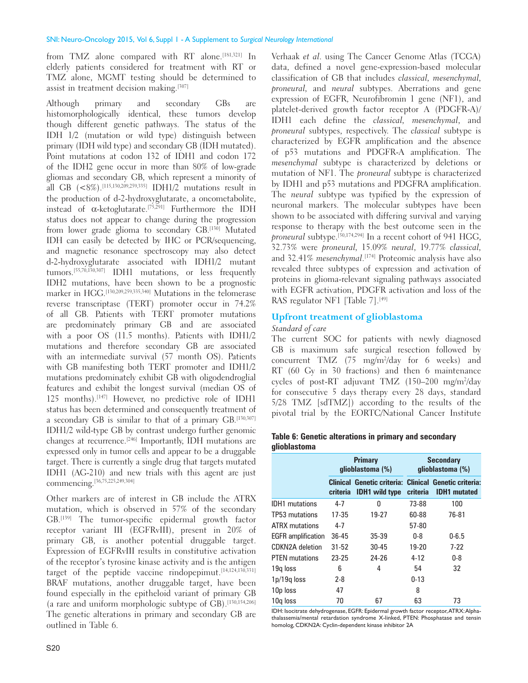from TMZ alone compared with RT alone.<sup>[181,321]</sup> In elderly patients considered for treatment with RT or TMZ alone, MGMT testing should be determined to assist in treatment decision making.<sup>[307]</sup>

Although primary and secondary GBs are histomorphologically identical, these tumors develop though different genetic pathways. The status of the IDH 1/2 (mutation or wild type) distinguish between primary (IDH wild type) and secondary GB (IDH mutated). Point mutations at codon 132 of IDH1 and codon 172 of the IDH2 gene occur in more than 80% of low‑grade gliomas and secondary GB, which represent a minority of all GB (<8%).<sup>[115,130,209,259,335]</sup> IDH1/2 mutations result in the production of d-2-hydroxyglutarate, a oncometabolite, instead of α‑ketoglutarate.[75,291] Furthermore the IDH status does not appear to change during the progression from lower grade glioma to secondary GB.[130] Mutated IDH can easily be detected by IHC or PCR/sequencing, and magnetic resonance spectroscopy may also detect d‑2‑hydroxyglutarate associated with IDH1/2 mutant tumors.[55,70,130,307] IDH1 mutations, or less frequently IDH2 mutations, have been shown to be a prognostic marker in HGG.[130,209,259,335,340] Mutations in the telomerase reverse transcriptase (TERT) promoter occur in 74.2% of all GB. Patients with TERT promoter mutations are predominately primary GB and are associated with a poor OS (11.5 months). Patients with IDH1/2 mutations and therefore secondary GB are associated with an intermediate survival (57 month OS). Patients with GB manifesting both TERT promoter and IDH1/2 mutations predominately exhibit GB with oligodendroglial features and exhibit the longest survival (median OS of 125 months).[147] However, no predictive role of IDH1 status has been determined and consequently treatment of a secondary GB is similar to that of a primary GB.<sup>[130,307]</sup> IDH1/2 wild‑type GB by contrast undergo further genomic changes at recurrence.[246] Importantly, IDH mutations are expressed only in tumor cells and appear to be a druggable target. There is currently a single drug that targets mutated IDH1 (AG‑210) and new trials with this agent are just commencing.[36,75,225,249,304]

Other markers are of interest in GB include the ATRX mutation, which is observed in 57% of the secondary GB.<sup>[139]</sup> The tumor-specific epidermal growth factor receptor variant III (EGFRvIII), present in 20% of primary GB, is another potential druggable target. Expression of EGFRvIII results in constitutive activation of the receptor's tyrosine kinase activity and is the antigen target of the peptide vaccine rindopepimut.[14,124,130,331] BRAF mutations, another druggable target, have been found especially in the epitheloid variant of primary GB (a rare and uniform morphologic subtype of GB).[130,154,206] The genetic alterations in primary and secondary GB are outlined in Table 6.

Verhaak et al. using The Cancer Genome Atlas (TCGA) data, defined a novel gene‑expression‑based molecular classification of GB that includes classical, mesenchymal, proneural, and neural subtypes. Aberrations and gene expression of EGFR, Neurofibromin 1 gene (NF1), and platelet‑derived growth factor receptor A (PDGFR‑A)/ IDH1 each define the classical, mesenchymal, and proneural subtypes, respectively. The classical subtype is characterized by EGFR amplification and the absence of p53 mutations and PDGFR‑A amplification. The mesenchymal subtype is characterized by deletions or mutation of NF1. The proneural subtype is characterized by IDH1 and p53 mutations and PDGFRA amplification. The neural subtype was typified by the expression of neuronal markers. The molecular subtypes have been shown to be associated with differing survival and varying response to therapy with the best outcome seen in the proneural subtype.<sup>[50,174,294]</sup> In a recent cohort of 941 HGG, 32.73% were proneural, 15.09% neural, 19.77% classical, and 32.41% *mesenchymal*.[174] Proteomic analysis have also revealed three subtypes of expression and activation of proteins in glioma‑relevant signaling pathways associated with EGFR activation, PDGFR activation and loss of the RAS regulator NF1 [Table 7].[49]

## **Upfront treatment of glioblastoma**

#### *Standard of care*

The current SOC for patients with newly diagnosed GB is maximum safe surgical resection followed by concurrent TMZ (75 mg/m2 /day for 6 weeks) and RT (60 Gy in 30 fractions) and then 6 maintenance cycles of post-RT adjuvant TMZ (150–200 mg/m<sup>2</sup>/day for consecutive 5 days therapy every 28 days, standard 5/28 TMZ [sdTMZ]) according to the results of the pivotal trial by the EORTC/National Cancer Institute

#### **Table 6: Genetic alterations in primary and secondary glioblastoma**

|                           |           | <b>Primary</b><br>qlioblastoma (%)                                             | <b>Secondary</b><br>glioblastoma (%) |                     |  |
|---------------------------|-----------|--------------------------------------------------------------------------------|--------------------------------------|---------------------|--|
|                           | criteria  | Clinical Genetic criteria: Clinical Genetic criteria:<br><b>IDH1</b> wild type | criteria                             | <b>IDH1</b> mutated |  |
| <b>IDH1</b> mutations     | 4-7       | 0                                                                              | 73-88                                | 100                 |  |
| TP53 mutations            | 17-35     | 19-27                                                                          | 60-88                                | 76-81               |  |
| <b>ATRX</b> mutations     | 4-7       |                                                                                | 57-80                                |                     |  |
| <b>EGFR</b> amplification | 36-45     | 35-39                                                                          | $0-8$                                | $0 - 6.5$           |  |
| <b>CDKN2A</b> deletion    | $31 - 52$ | 30-45                                                                          | 19-20                                | $7-22$              |  |
| <b>PTEN</b> mutations     | 23-25     | 24-26                                                                          | $4 - 12$                             | $0-8$               |  |
| 19g loss                  | 6         | 4                                                                              | 54                                   | 32                  |  |
| 1p/19q loss               | $2 - 8$   |                                                                                | $0 - 13$                             |                     |  |
| 10p loss                  | 47        |                                                                                | 8                                    |                     |  |
| 10q loss                  | 70        | 67                                                                             | 63                                   | 73                  |  |

IDH: Isocitrate dehydrogenase, EGFR: Epidermal growth factor receptor, ATRX: Alphathalassemia/mental retardation syndrome X‑linked, PTEN: Phosphatase and tensin homolog, CDKN2A: Cyclin-dependent kinase inhibitor 2A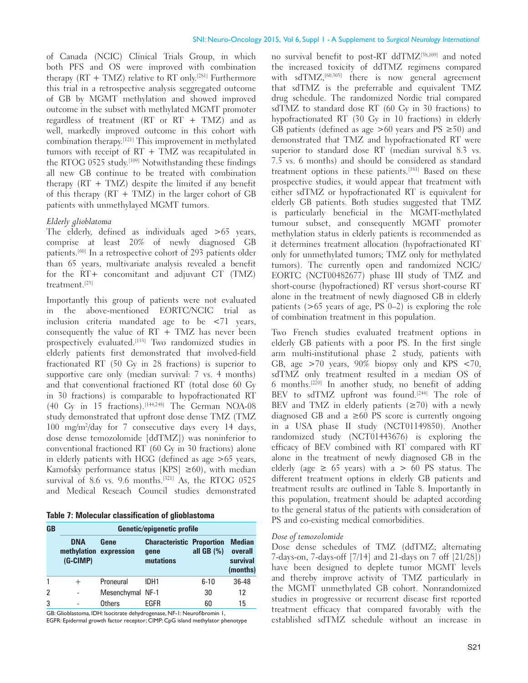of Canada (NCIC) Clinical Trials Group, in which both PFS and OS were improved with combination therapy  $(RT + TMZ)$  relative to RT only.<sup>[281]</sup> Furthermore this trial in a retrospective analysis seggregated outcome of GB by MGMT methylation and showed improved outcome in the subset with methylated MGMT promoter regardless of treatment (RT or RT + TMZ) and as well, markedly improved outcome in this cohort with combination therapy.[121] This improvement in methylated tumors with receipt of RT + TMZ was recapitulated in the RTOG 0525 study.[109] Notwithstanding these findings all new GB continue to be treated with combination therapy  $(RT + TMZ)$  despite the limited if any benefit of this therapy  $(RT + TMZ)$  in the larger cohort of GB patients with unmethylayed MGMT tumors.

## *Elderly glioblatoma*

The elderly, defined as individuals aged >65 years, comprise at least 20% of newly diagnosed GB patients.[60] In a retrospective cohort of 293 patients older than 65 years, multivariate analysis revealed a benefit for the RT+ concomitant and adjuvant CT (TMZ) treatment.[23]

Importantly this group of patients were not evaluated in the above‑mentioned EORTC/NCIC trial as inclusion criteria mandated age to be <71 years, consequently the value of  $RT + TMZ$  has never been prospectively evaluated.<sup>[133]</sup> Two randomized studies in elderly patients first demonstrated that involved-field fractionated RT (50 Gy in 28 fractions) is superior to supportive care only (median survival: 7 vs. 4 months) and that conventional fractioned RT (total dose 60 Gy in 30 fractions) is comparable to hypofractionated RT (40 Gy in 15 fractions).[144,248] The German NOA‑08 study demonstrated that upfront dose dense TMZ (TMZ 100 mg/m2 /day for 7 consecutive days every 14 days, dose dense temozolomide [ddTMZ]) was noninferior to conventional fractioned RT (60 Gy in 30 fractions) alone in elderly patients with HGG (defined as age >65 years, Karnofsky performance status [KPS]  $\geq 60$ ), with median survival of 8.6 vs. 9.6 months.<sup>[321]</sup> As, the RTOG 0525 and Medical Reseach Council studies demonstrated

|  |  |  | Table 7: Molecular classification of glioblastoma |  |  |
|--|--|--|---------------------------------------------------|--|--|
|--|--|--|---------------------------------------------------|--|--|

| <b>GB</b>                                        |   | Genetic/epigenetic profile |                                                       |              |                                                  |
|--------------------------------------------------|---|----------------------------|-------------------------------------------------------|--------------|--------------------------------------------------|
| <b>DNA</b><br>methylation expression<br>(G-CIMP) |   | Gene                       | <b>Characteristic Proportion</b><br>qene<br>mutations | all GB $(%)$ | <b>Median</b><br>overall<br>survival<br>(months) |
|                                                  |   | Proneural                  | IDH1                                                  | $6-10$       | 36-48                                            |
| 2                                                | ٠ | Mesenchymal NF-1           |                                                       | 30           | 12                                               |
| 3                                                |   | Others                     | FGFR                                                  | 60           | 15                                               |

GB: Glioblastoma, IDH: Isocitrate dehydrogenase, NF‑1: Neurofibromin 1, EGFR: Epidermal growth factor receptor; CIMP: CpG island methylator phenotype no survival benefit to post-RT ddTMZ<sup>[38,109]</sup> and noted the increased toxicity of ddTMZ regimens compared with sdTMZ,<sup>[60,305]</sup> there is now general agreement that sdTMZ is the preferrable and equivalent TMZ drug schedule. The randomized Nordic trial compared sdTMZ to standard dose RT (60 Gy in 30 fractions) to hypofractionated RT (30 Gy in 10 fractions) in elderly GB patients (defined as age  $>60$  years and PS  $\geq 50$ ) and demonstrated that TMZ and hypofractionated RT were superior to standard dose RT (median survival 8.3 vs. 7.5 vs. 6 months) and should be considered as standard treatment options in these patients.[181] Based on these prospective studies, it would appear that treatment with either sdTMZ or hypofractionated RT is equivalent for elderly GB patients. Both studies suggested that TMZ is particularly beneficial in the MGMT-methylated tumour subset, and consequently MGMT promoter methylation status in elderly patients is recommended as it determines treatment allocation (hypofractionated RT only for unmethylated tumors; TMZ only for methylated tumors). The currently open and randomized NCIC/ EORTC (NCT00482677) phase III study of TMZ and short-course (hypofractioned) RT versus short-course RT alone in the treatment of newly diagnosed GB in elderly patients (>65 years of age, PS 0–2) is exploring the role of combination treatment in this population.

Two French studies evaluated treatment options in elderly GB patients with a poor PS. In the first single arm multi-institutional phase 2 study, patients with GB, age >70 years, 90% biopsy only and KPS <70, sdTMZ only treatment resulted in a median OS of 6 months.[220] In another study, no benefit of adding BEV to sdTMZ upfront was found.<sup>[244]</sup> The role of BEV and TMZ in elderly patients  $(\geq 70)$  with a newly diagnosed GB and a  $\geq 60$  PS score is currently ongoing in a USA phase II study (NCT01149850). Another randomized study (NCT01443676) is exploring the efficacy of BEV combined with RT compared with RT alone in the treatment of newly diagnosed GB in the elderly (age  $\geq$  65 years) with a  $>$  60 PS status. The different treatment options in elderly GB patients and treatment results are outlined in Table 8. Importantly in this population, treatment should be adapted according to the general status of the patients with consideration of PS and co-existing medical comorbidities.

### *Dose of temozolomide*

Dose dense schedules of TMZ (ddTMZ; alternating 7‑days‑on, 7‑days‑off [7/14] and 21‑days on 7 off [21/28]) have been designed to deplete tumor MGMT levels and thereby improve activity of TMZ particularly in the MGMT unmethylated GB cohort. Nonrandomized studies in progressive or recurrent disease first reported treatment efficacy that compared favorably with the established sdTMZ schedule without an increase in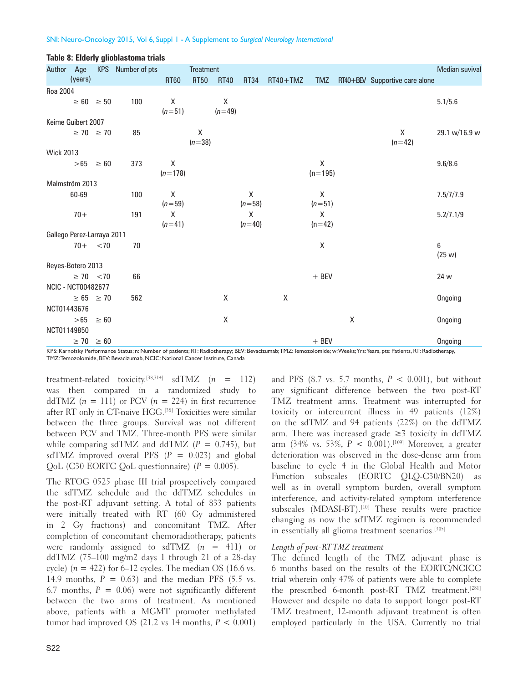| Author           | Age<br>(years)             | <b>KPS</b> | Number of pts | <b>RT60</b>    | <b>Treatment</b><br><b>RT50</b> | <b>RT40</b>   | <b>RT34</b>   | $RT40+TMZ$  | <b>TMZ</b>     |   | RT40+BEV Supportive care alone                                                                                                                                | Median suvival |
|------------------|----------------------------|------------|---------------|----------------|---------------------------------|---------------|---------------|-------------|----------------|---|---------------------------------------------------------------------------------------------------------------------------------------------------------------|----------------|
| Roa 2004         |                            |            |               |                |                                 |               |               |             |                |   |                                                                                                                                                               |                |
|                  | $\geq 60$ $\geq 50$        |            | 100           | X<br>$(n=51)$  |                                 | X<br>$(n=49)$ |               |             |                |   |                                                                                                                                                               | 5.1/5.6        |
|                  | Keime Guibert 2007         |            |               |                |                                 |               |               |             |                |   |                                                                                                                                                               |                |
|                  | $\geq 70$ $\geq 70$        |            | 85            |                | X<br>$(n=38)$                   |               |               |             |                |   | X<br>$(n=42)$                                                                                                                                                 | 29.1 w/16.9 w  |
| <b>Wick 2013</b> |                            |            |               |                |                                 |               |               |             |                |   |                                                                                                                                                               |                |
|                  | >65                        | $\geq 60$  | 373           | X<br>$(n=178)$ |                                 |               |               |             | Χ<br>$(n=195)$ |   |                                                                                                                                                               | 9.6/8.6        |
|                  | Malmström 2013             |            |               |                |                                 |               |               |             |                |   |                                                                                                                                                               |                |
|                  | 60-69                      |            | 100           | X<br>$(n=59)$  |                                 |               | X<br>$(n=58)$ |             | X<br>$(n=51)$  |   |                                                                                                                                                               | 7.5/7/7.9      |
|                  | $70+$                      |            | 191           | X<br>$(n=41)$  |                                 |               | X<br>$(n=40)$ |             | X<br>$(n=42)$  |   |                                                                                                                                                               | 5.2/7.1/9      |
|                  | Gallego Perez-Larraya 2011 |            |               |                |                                 |               |               |             |                |   |                                                                                                                                                               |                |
|                  | $70 + < 70$                |            | 70            |                |                                 |               |               |             | Χ              |   |                                                                                                                                                               | 6<br>(25 w)    |
|                  | Reyes-Botero 2013          |            |               |                |                                 |               |               |             |                |   |                                                                                                                                                               |                |
|                  | $\geq 70$ <70              |            | 66            |                |                                 |               |               |             | $+$ BEV        |   |                                                                                                                                                               | 24 w           |
|                  | <b>NCIC - NCT00482677</b>  |            |               |                |                                 |               |               |             |                |   |                                                                                                                                                               |                |
|                  | $\geq 65$ $\geq 70$        |            | 562           |                |                                 | X             |               | $\mathsf X$ |                |   |                                                                                                                                                               | Ongoing        |
|                  | NCT01443676                |            |               |                |                                 |               |               |             |                |   |                                                                                                                                                               |                |
|                  | $>65$ $\geq 60$            |            |               |                |                                 | X             |               |             |                | X |                                                                                                                                                               | Ongoing        |
|                  | NCT01149850                |            |               |                |                                 |               |               |             |                |   |                                                                                                                                                               |                |
|                  | $\geq 70$ $\geq 60$        |            |               |                |                                 |               |               |             | $+$ BEV        |   |                                                                                                                                                               | Ongoing        |
|                  |                            |            |               |                |                                 |               |               |             |                |   | KBC, Kamafelar Benformaanaa Ceserra in Number of sationen BT, Bediatheman BEV, Bernaimmehr TM7; Tamagalamidar un Noalco Vuo Vaam sen Betianea BT, Bediatheman |                |

**Table 8: Elderly glioblastoma trials**

KPS: Karnofsky Performance Status; n: Number of patients; RT: Radiotherapy; BEV: Bevacizumab; TMZ: Temozolomide; w: Weeks; Yrs: Years, pts: Patients, RT: Radiotherapy, TMZ: Temozolomide, BEV: Bevacizumab, NCIC: National Cancer Institute, Canada

treatment-related toxicity.<sup>[38,314]</sup> sdTMZ  $(n = 112)$ was then compared in a randomized study to ddTMZ  $(n = 111)$  or PCV  $(n = 224)$  in first recurrence after RT only in CT-naive HGG.<sup>[38]</sup> Toxicities were similar between the three groups. Survival was not different between PCV and TMZ. Three‑month PFS were similar while comparing sdTMZ and ddTMZ  $(P = 0.745)$ , but sdTMZ improved overal PFS  $(P = 0.023)$  and global  $QoL$  (C30 EORTC  $QoL$  questionnaire) ( $P = 0.005$ ).

The RTOG 0525 phase III trial prospectively compared the sdTMZ schedule and the ddTMZ schedules in the post‑RT adjuvant setting. A total of 833 patients were initially treated with RT (60 Gy administered in 2 Gy fractions) and concomitant TMZ. After completion of concomitant chemoradiotherapy, patients were randomly assigned to sdTMZ  $(n = 411)$  or ddTMZ  $(75-100 \text{ mg/m2}$  days 1 through 21 of a 28-day cycle)  $(n = 422)$  for 6–12 cycles. The median OS (16.6 vs. 14.9 months,  $P = 0.63$ ) and the median PFS (5.5 vs. 6.7 months,  $P = 0.06$ ) were not significantly different between the two arms of treatment. As mentioned above, patients with a MGMT promoter methylated tumor had improved OS  $(21.2 \text{ vs } 14 \text{ months}, P < 0.001)$  and PFS (8.7 vs. 5.7 months,  $P < 0.001$ ), but without any significant difference between the two post-RT TMZ treatment arms. Treatment was interrupted for toxicity or intercurrent illness in 49 patients (12%) on the sdTMZ and 94 patients (22%) on the ddTMZ arm. There was increased grade  $\geq$ 3 toxicity in ddTMZ arm (34% vs. 53%,  $P < 0.001$ ).<sup>[109]</sup> Moreover, a greater deterioration was observed in the dose-dense arm from baseline to cycle 4 in the Global Health and Motor Function subscales (EORTC QLQ-C30/BN20) as well as in overall symptom burden, overall symptom interference, and activity-related symptom interference subscales (MDASI-BT).<sup>[10]</sup> These results were practice changing as now the sdTMZ regimen is recommended in essentially all glioma treatment scenarios.[305]

### *Length of post‑RT TMZ treatment*

The defined length of the TMZ adjuvant phase is 6 months based on the results of the EORTC/NCICC trial wherein only 47% of patients were able to complete the prescribed 6-month post-RT TMZ treatment.<sup>[281]</sup> However and despite no data to support longer post-RT TMZ treatment, 12‑month adjuvant treatment is often employed particularly in the USA. Currently no trial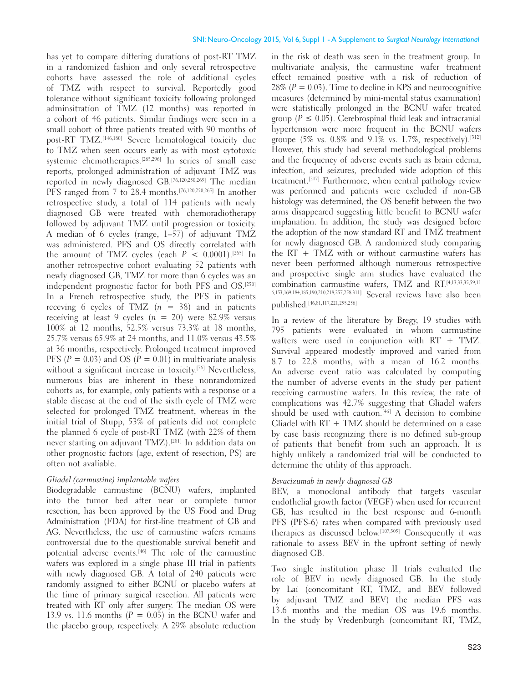has yet to compare differing durations of post-RT TMZ in a randomized fashion and only several retrospective cohorts have assessed the role of additional cycles of TMZ with respect to survival. Reportedly good tolerance without significant toxicity following prolonged adminsitration of TMZ (12 months) was reported in a cohort of 46 patients. Similar findings were seen in a small cohort of three patients treated with 90 months of post‑RT TMZ.[146,180] Severe hematological toxicity due to TMZ when seen occurs early as with most cytotoxic systemic chemotherapies.[265,296] In series of small case reports, prolonged administration of adjuvant TMZ was reported in newly diagnosed GB.[76,120,250,265] The median PFS ranged from 7 to 28.4 months.<sup>[76,120,250,265]</sup> In another retrospective study, a total of 114 patients with newly diagnosed GB were treated with chemoradiotherapy followed by adjuvant TMZ until progression or toxicity. A median of 6 cycles (range, 1–57) of adjuvant TMZ was administered. PFS and OS directly correlated with the amount of TMZ cycles (each  $P < 0.0001$ ).<sup>[265]</sup> In another retrospective cohort evaluating 52 patients with newly diagnosed GB, TMZ for more than 6 cycles was an independent prognostic factor for both PFS and OS.<sup>[250]</sup> In a French retrospective study, the PFS in patients receving 6 cycles of TMZ  $(n = 38)$  and in patients receiving at least 9 cycles  $(n = 20)$  were 82.9% versus 100% at 12 months, 52.5% versus 73.3% at 18 months, 25.7% versus 65.9% at 24 months, and 11.0% versus 43.5% at 36 months, respectively. Prolonged treatment improved PFS ( $P = 0.03$ ) and OS ( $P = 0.01$ ) in multivariate analysis without a significant increase in toxicity.<sup>[76]</sup> Nevertheless, numerous bias are inherent in these nonrandomized cohorts as, for example, only patients with a response or a stable disease at the end of the sixth cycle of TMZ were selected for prolonged TMZ treatment, whereas in the initial trial of Stupp, 53% of patients did not complete the planned 6 cycle of post‑RT TMZ (with 22% of them never starting on adjuvant TMZ).[281] In addition data on other prognostic factors (age, extent of resection, PS) are often not avaliable.

## *Gliadel (carmustine) implantable wafers*

Biodegradable carmustine (BCNU) wafers, implanted into the tumor bed after near or complete tumor resection, has been approved by the US Food and Drug Administration (FDA) for first-line treatment of GB and AG. Nevertheless, the use of carmustine wafers remains controversial due to the questionable survival benefit and potential adverse events.[46] The role of the carmustine wafers was explored in a single phase III trial in patients with newly diagnosed GB. A total of 240 patients were randomly assigned to either BCNU or placebo wafers at the time of primary surgical resection. All patients were treated with RT only after surgery. The median OS were 13.9 vs. 11.6 months  $(P = 0.03)$  in the BCNU wafer and the placebo group, respectively. A 29% absolute reduction in the risk of death was seen in the treatment group. In multivariate analysis, the carmustine wafer treatment effect remained positive with a risk of reduction of 28% ( $P = 0.03$ ). Time to decline in KPS and neurocognitive measures (determined by mini‑mental status examination) were statistically prolonged in the BCNU wafer treated group ( $P \le 0.05$ ). Cerebrospinal fluid leak and intracranial hypertension were more frequent in the BCNU wafers groupe (5% vs.  $0.8\%$  and  $9.1\%$  vs. 1.7%, respectively).<sup>[312]</sup> However, this study had several methodological problems and the frequency of adverse events such as brain edema, infection, and seizures, precluded wide adoption of this treatment.[217] Furthermore, when central pathology review was performed and patients were excluded if non-GB histology was determined, the OS benefit between the two arms disappeared suggesting little benefit to BCNU wafer implanation. In addition, the study was designed before the adoption of the now standard RT and TMZ treatment for newly diagnosed GB. A randomized study comparing the RT + TMZ with or without carmustine wafers has never been performed although numerous retrospective and prospective single arm studies have evaluated the combination carmustine wafers, TMZ and RT.[4,13,33,35,59,11 6,153,169,184,185,190,210,218,257,258,311] Several reviews have also been published.[46,81,117,221,255,256]

In a review of the literature by Bregy, 19 studies with 795 patients were evaluated in whom carmustine wafters were used in conjunction with RT + TMZ. Survival appeared modestly improved and varied from 8.7 to 22.8 months, with a mean of 16.2 months. An adverse event ratio was calculated by computing the number of adverse events in the study per patient receiving carmustine wafers. In this review, the rate of complications was 42.7% suggesting that Gliadel wafers should be used with caution.<sup>[46]</sup> A decision to combine Gliadel with RT + TMZ should be determined on a case by case basis recognizing there is no defined sub‑group of patients that benefit from such an approach. It is highly unlikely a randomized trial will be conducted to determine the utility of this approach.

### *Bevacizumab in newly diagnosed GB*

BEV, a monoclonal antibody that targets vascular endothelial growth factor (VEGF) when used for recurrent GB, has resulted in the best response and 6-month PFS (PFS-6) rates when compared with previously used therapies as discussed below.[107,305] Consequently it was rationale to assess BEV in the upfront setting of newly diagnosed GB.

Two single institution phase II trials evaluated the role of BEV in newly diagnosed GB. In the study by Lai (concomitant RT, TMZ, and BEV followed by adjuvant TMZ and BEV) the median PFS was 13.6 months and the median OS was 19.6 months. In the study by Vredenburgh (concomitant RT, TMZ,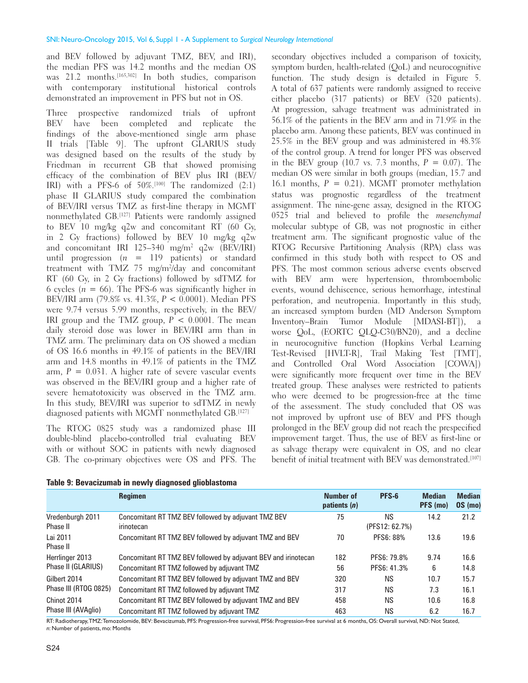and BEV followed by adjuvant TMZ, BEV, and IRI), the median PFS was 14.2 months and the median OS was 21.2 months.<sup>[165,302]</sup> In both studies, comparison with contemporary institutional historical controls demonstrated an improvement in PFS but not in OS.

Three prospective randomized trials of upfront BEV have been completed and replicate the findings of the above‑mentioned single arm phase II trials [Table 9]. The upfront GLARIUS study was designed based on the results of the study by Friedman in recurrent GB that showed promising efficacy of the combination of BEV plus IRI (BEV/ IRI) with a PFS-6 of  $50\%$ <sup>[100]</sup> The randomized  $(2:1)$ phase II GLARIUS study compared the combination of BEV/IRI versus TMZ as first‑line therapy in MGMT nonmethylated GB.[127] Patients were randomly assigned to BEV 10 mg/kg q2w and concomitant RT (60 Gy, in 2 Gy fractions) followed by BEV 10 mg/kg q2w and concomitant IRI  $125-340$  mg/m<sup>2</sup> q2w (BEV/IRI) until progression  $(n = 119$  patients) or standard treatment with TMZ  $75 \, \text{mg/m}^2/\text{day}$  and concomitant RT (60 Gy, in 2 Gy fractions) followed by sdTMZ for 6 cycles ( $n = 66$ ). The PFS-6 was significantly higher in BEV/IRI arm (79.8% vs. 41.3%, P < 0.0001). Median PFS were 9.74 versus 5.99 months, respectively, in the BEV/ IRI group and the TMZ group,  $P < 0.0001$ . The mean daily steroid dose was lower in BEV/IRI arm than in TMZ arm. The preliminary data on OS showed a median of OS 16.6 months in 49.1% of patients in the BEV/IRI arm and 14.8 months in 49.1% of patients in the TMZ arm,  $P = 0.031$ . A higher rate of severe vascular events was observed in the BEV/IRI group and a higher rate of severe hematotoxicity was observed in the TMZ arm. In this study, BEV/IRI was superior to sdTMZ in newly diagnosed patients with MGMT nonmethylated GB.<sup>[127]</sup>

The RTOG 0825 study was a randomized phase III double‑blind placebo‑controlled trial evaluating BEV with or without SOC in patients with newly diagnosed GB. The co-primary objectives were OS and PFS. The secondary objectives included a comparison of toxicity, symptom burden, health-related  $(QoL)$  and neurocognitive function. The study design is detailed in Figure 5. A total of 637 patients were randomly assigned to receive either placebo (317 patients) or BEV (320 patients). At progression, salvage treatment was administrated in 56.1% of the patients in the BEV arm and in 71.9% in the placebo arm. Among these patients, BEV was continued in 25.5% in the BEV group and was administered in 48.3% of the control group. A trend for longer PFS was observed in the BEV group (10.7 vs. 7.3 months,  $P = 0.07$ ). The median OS were similar in both groups (median, 15.7 and 16.1 months,  $P = 0.21$ ). MGMT promoter methylation status was prognostic regardless of the treatment assignment. The nine‑gene assay, designed in the RTOG 0525 trial and believed to profile the mesenchymal molecular subtype of GB, was not prognostic in either treatment arm. The significant prognostic value of the RTOG Recursive Partitioning Analysis (RPA) class was confirmed in this study both with respect to OS and PFS. The most common serious adverse events observed with BEV arm were hypertension, thromboembolic events, wound dehiscence, serious hemorrhage, intestinal perforation, and neutropenia. Importantly in this study, an increased symptom burden (MD Anderson Symptom Inventory–Brain Tumor Module [MDASI‑BT]), a worse QoL, (EORTC QLQ‑C30/BN20), and a decline in neurocognitive function (Hopkins Verbal Learning Test‑Revised [HVLT‑R], Trail Making Test [TMT], and Controlled Oral Word Association [COWA]) were significantly more frequent over time in the BEV treated group. These analyses were restricted to patients who were deemed to be progression-free at the time of the assessment. The study concluded that OS was not improved by upfront use of BEV and PFS though prolonged in the BEV group did not reach the prespecified improvement target. Thus, the use of BEV as first-line or as salvage therapy were equivalent in OS, and no clear benefit of initial treatment with BEV was demonstrated.<sup>[107]</sup>

|                              | <b>Regimen</b>                                                    | <b>Number of</b><br>patients $(n)$ | PFS-6                       | <b>Median</b><br>PFS (mo) | <b>Median</b><br>$OS$ (mo) |
|------------------------------|-------------------------------------------------------------------|------------------------------------|-----------------------------|---------------------------|----------------------------|
| Vredenburgh 2011<br>Phase II | Concomitant RT TMZ BEV followed by adjuvant TMZ BEV<br>irinotecan | 75                                 | <b>NS</b><br>(PFS12: 62.7%) | 14.2                      | 21.2                       |
| Lai 2011<br>Phase II         | Concomitant RT TMZ BEV followed by adjuvant TMZ and BEV           | 70                                 | PFS6: 88%                   | 13.6                      | 19.6                       |
| Herrlinger 2013              | Concomitant RT TMZ BEV followed by adjuvant BEV and irinotecan    | 182                                | PFS6: 79.8%                 | 9.74                      | 16.6                       |
| Phase II (GLARIUS)           | Concomitant RT TMZ followed by adjuvant TMZ                       | 56                                 | PFS6: 41.3%                 | 6                         | 14.8                       |
| Gilbert 2014                 | Concomitant RT TMZ BEV followed by adjuvant TMZ and BEV           | 320                                | <b>NS</b>                   | 10.7                      | 15.7                       |
| Phase III (RTOG 0825)        | Concomitant RT TMZ followed by adjuvant TMZ                       | 317                                | <b>NS</b>                   | 7.3                       | 16.1                       |
| Chinot 2014                  | Concomitant RT TMZ BEV followed by adjuvant TMZ and BEV           | 458                                | <b>NS</b>                   | 10.6                      | 16.8                       |
| Phase III (AVAglio)          | Concomitant RT TMZ followed by adjuvant TMZ                       | 463                                | <b>NS</b>                   | 6.2                       | 16.7                       |

**Table 9: Bevacizumab in newly diagnosed glioblastoma**

RT: Radiotherapy, TMZ: Temozolomide, BEV: Bevacizumab, PFS: Progression‑free survival, PFS6: Progression‑free survival at 6 months, OS: Overall survival, ND: Not Stated, *n*: Number of patients, mo: Months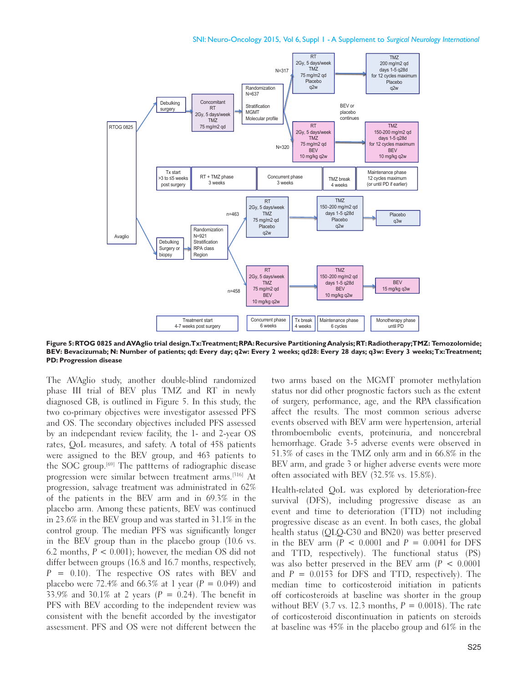![](_page_16_Figure_1.jpeg)

**Figure 5: RTOG 0825 and AVAglio trial design. Tx: Treatment; RPA: Recursive Partitioning Analysis; RT: Radiotherapy; TMZ: Temozolomide; BEV: Bevacizumab; N: Number of patients; qd: Every day; q2w: Every 2 weeks; qd28: Every 28 days; q3w: Every 3 weeks; Tx:Treatment; PD: Progression disease**

The AVAglio study, another double-blind randomized phase III trial of BEV plus TMZ and RT in newly diagnosed GB, is outlined in Figure 5. In this study, the two co‑primary objectives were investigator assessed PFS and OS. The secondary objectives included PFS assessed by an independant review facility, the 1‑ and 2‑year OS rates, QoL measures, and safety. A total of 458 patients were assigned to the BEV group, and 463 patients to the SOC group.[69] The pattterns of radiographic disease progression were similar between treatment arms.[316] At progression, salvage treatment was administrated in 62% of the patients in the BEV arm and in 69.3% in the placebo arm. Among these patients, BEV was continued in 23.6% in the BEV group and was started in 31.1% in the control group. The median PFS was significantly longer in the BEV group than in the placebo group (10.6 vs. 6.2 months,  $P < 0.001$ ); however, the median OS did not differ between groups (16.8 and 16.7 months, respectively,  $P = 0.10$ . The respective OS rates with BEV and placebo were 72.4% and 66.3% at 1 year ( $P = 0.049$ ) and 33.9% and 30.1% at 2 years  $(P = 0.24)$ . The benefit in PFS with BEV according to the independent review was consistent with the benefit accorded by the investigator assessment. PFS and OS were not different between the two arms based on the MGMT promoter methylation status nor did other prognostic factors such as the extent of surgery, performance, age, and the RPA classification affect the results. The most common serious adverse events observed with BEV arm were hypertension, arterial thromboembolic events, proteinuria, and noncerebral hemorrhage. Grade 3-5 adverse events were observed in 51.3% of cases in the TMZ only arm and in 66.8% in the BEV arm, and grade 3 or higher adverse events were more often associated with BEV (32.5% vs. 15.8%).

Health-related QoL was explored by deterioration-free survival (DFS), including progressive disease as an event and time to deterioration (TTD) not including progressive disease as an event. In both cases, the global health status (OLO-C30 and BN20) was better preserved in the BEV arm  $(P < 0.0001$  and  $P = 0.0041$  for DFS and TTD, respectively). The functional status (PS) was also better preserved in the BEV arm  $(P < 0.0001)$ and  $P = 0.0153$  for DFS and TTD, respectively). The median time to corticosteroid initiation in patients off corticosteroids at baseline was shorter in the group without BEV (3.7 vs. 12.3 months,  $P = 0.0018$ ). The rate of corticosteroid discontinuation in patients on steroids at baseline was 45% in the placebo group and 61% in the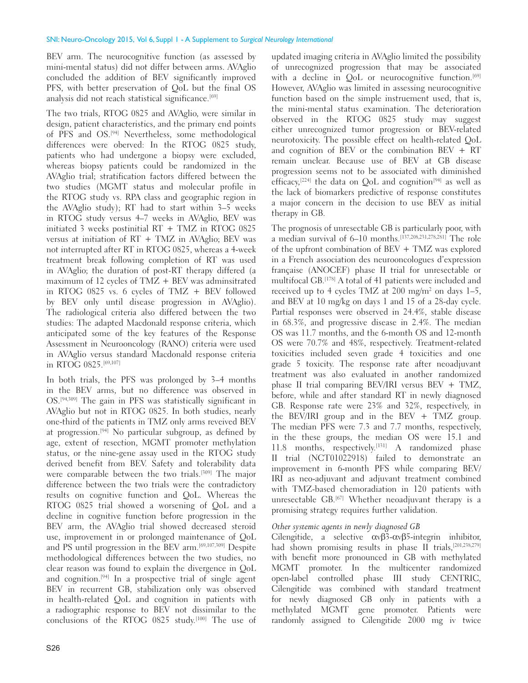BEV arm. The neurocognitive function (as assessed by mini‑mental status) did not differ between arms. AVAglio concluded the addition of BEV significantly improved PFS, with better preservation of QoL but the final OS analysis did not reach statistical significance.<sup>[69]</sup>

The two trials, RTOG 0825 and AVAglio, were similar in design, patient characteristics, and the primary end points of PFS and OS.[94] Nevertheless, some methodological differences were oberved: In the RTOG 0825 study, patients who had undergone a biopsy were excluded, whereas biopsy patients could be randomized in the AVAglio trial; stratification factors differed between the two studies (MGMT status and molecular profile in the RTOG study vs. RPA class and geographic region in the AVAglio study); RT had to start within 3–5 weeks in RTOG study versus 4–7 weeks in AVAglio, BEV was initiated 3 weeks postinitial RT + TMZ in RTOG 0825 versus at initiation of RT + TMZ in AVAglio; BEV was not interrupted after RT in RTOG 0825, whereas a 4‑week treatment break following completion of RT was used in AVAglio; the duration of post-RT therapy differed (a maximum of 12 cycles of TMZ + BEV was adminsitrated in RTOG 0825 vs. 6 cycles of TMZ + BEV followed by BEV only until disease progression in AVAglio). The radiological criteria also differed between the two studies: The adapted Macdonald response criteria, which anticipated some of the key features of the Response Assessment in Neurooncology (RANO) criteria were used in AVAglio versus standard Macdonald response criteria in RTOG 0825.[69,107]

In both trials, the PFS was prolonged by 3–4 months in the BEV arms, but no difference was observed in OS.[94,309] The gain in PFS was statistically significant in AVAglio but not in RTOG 0825. In both studies, nearly one-third of the patients in TMZ only arms reveived BEV at progression.[94] No particular subgroup, as defined by age, extent of resection, MGMT promoter methylation status, or the nine‑gene assay used in the RTOG study derived benefit from BEV. Safety and tolerability data were comparable between the two trials.<sup>[309]</sup> The major difference between the two trials were the contradictory results on cognitive function and QoL. Whereas the RTOG 0825 trial showed a worsening of QoL and a decline in cognitive function before progression in the BEV arm, the AVAglio trial showed decreased steroid use, improvement in or prolonged maintenance of QoL and PS until progression in the BEV arm.[69,107,309] Despite methodological differences between the two studies, no clear reason was found to explain the divergence in QoL and cognition.[94] In a prospective trial of single agent BEV in recurrent GB, stabilization only was observed in health-related QoL and cognition in patients with a radiographic response to BEV not dissimilar to the conclusions of the RTOG 0825 study.[100] The use of updated imaging criteria in AVAglio limited the possibility of unrecognized progression that may be associated with a decline in QoL or neurocognitive function.<sup>[69]</sup> However, AVAglio was limited in assessing neurocognitive function based on the simple instruement used, that is, the mini‑mental status examination. The deterioration observed in the RTOG 0825 study may suggest either unrecognized tumor progression or BEV‑related neurotoxicity. The possible effect on health-related QoL and cognition of BEV or the combination BEV  $+$  RT remain unclear. Because use of BEV at GB disease progression seems not to be associated with diminished efficacy,<sup>[224]</sup> the data on QoL and cognition<sup>[94]</sup> as well as the lack of biomarkers predictive of response constitutes a major concern in the decision to use BEV as initial therapy in GB.

The prognosis of unresectable GB is particularly poor, with a median survival of 6–10 months.[137,208,231,278,281] The role of the upfront combination of BEV + TMZ was explored in a French association des neurooncologues d'expression française (ANOCEF) phase II trial for unresectable or multifocal GB.[178] A total of 41 patients were included and received up to 4 cycles TMZ at 200 mg/m2 on days 1–5, and BEV at 10 mg/kg on days 1 and 15 of a 28‑day cycle. Partial responses were observed in 24.4%, stable disease in 68.3%, and progressive disease in 2.4%. The median OS was 11.7 months, and the 6‑month OS and 12‑month OS were 70.7% and 48%, respectively. Treatment‑related toxicities included seven grade 4 toxicities and one grade 5 toxicity. The response rate after neoadjuvant treatment was also evaluated in another randomized phase II trial comparing BEV/IRI versus BEV + TMZ, before, while and after standard RT in newly diagnosed GB. Response rate were 23% and 32%, respectively, in the BEV/IRI group and in the BEV  $+$  TMZ group. The median PFS were 7.3 and 7.7 months, respectively, in the these groups, the median OS were 15.1 and 11.8 months, respectively.[131] A randomized phase II trial (NCT01022918) failed to demonstrate an improvement in 6‑month PFS while comparing BEV/ IRI as neo‑adjuvant and adjuvant treatment combined with TMZ-based chemoradiation in 120 patients with unresectable GB.[67] Whether neoadjuvant therapy is a promising strategy requires further validation.

## *Other systemic agents in newly diagnosed GB*

Cilengitide, a selective  $\alpha v \beta$ 3- $\alpha v \beta$ 5-integrin inhibitor, had shown promising results in phase II trials,<sup>[201,238,279]</sup> with benefit more pronounced in GB with methylated MGMT promoter. In the multicenter randomized open‑label controlled phase III study CENTRIC, Cilengitide was combined with standard treatment for newly diagnosed GB only in patients with a methylated MGMT gene promoter. Patients were randomly assigned to Cilengitide 2000 mg iv twice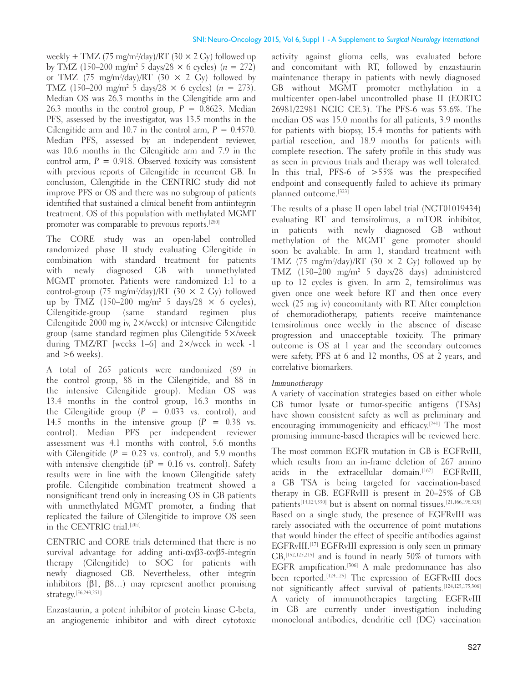weekly + TMZ (75 mg/m<sup>2</sup>/day)/RT (30  $\times$  2 Gy) followed up by TMZ (150–200 mg/m<sup>2</sup> 5 days/28  $\times$  6 cycles) (n = 272) or TMZ  $(75 \text{ mg/m}^2/\text{day})/\text{RT}$   $(30 \times 2 \text{ Gy})$  followed by TMZ (150–200 mg/m<sup>2</sup> 5 days/28  $\times$  6 cycles) (n = 273). Median OS was 26.3 months in the Cilengitide arm and 26.3 months in the control group,  $P = 0.8623$ . Median PFS, assessed by the investigator, was 13.5 months in the Cilengitide arm and 10.7 in the control arm,  $P = 0.4570$ . Median PFS, assessed by an independent reviewer, was 10.6 months in the Cilengitide arm and 7.9 in the control arm,  $P = 0.918$ . Observed toxicity was consistent with previous reports of Cilengitide in recurrent GB. In conclusion, Cilengitide in the CENTRIC study did not improve PFS or OS and there was no subgroup of patients identified that sustained a clinical benefit from antiintegrin treatment. OS of this population with methylated MGMT promoter was comparable to prevoius reports.[280]

The CORE study was an open-label controlled randomized phase II study evaluating Cilengitide in combination with standard treatment for patients with newly diagnosed GB with unmethylated MGMT promoter. Patients were randomized 1:1 to a control-group (75 mg/m<sup>2</sup>/day)/RT (30  $\times$  2 Gy) followed up by TMZ  $(150-200 \text{ mg/m}^2)$  5 days/28  $\times$  6 cycles), Cilengitide‑group (same standard regimen plus Cilengitide 2000 mg iv, 2×/week) or intensive Cilengitide group (same standard regimen plus Cilengitide 5×/week during TMZ/RT [weeks 1–6] and 2×/week in week ‑1 and >6 weeks).

A total of 265 patients were randomized (89 in the control group, 88 in the Cilengitide, and 88 in the intensive Cilengitide group). Median OS was 13.4 months in the control group, 16.3 months in the Cilengitide group  $(P = 0.033$  vs. control), and 14.5 months in the intensive group  $(P = 0.38 \text{ vs.})$ control). Median PFS per independent reviewer assessment was 4.1 months with control, 5.6 months with Cilengitide ( $P = 0.23$  vs. control), and 5.9 months with intensive cliengitide (iP =  $0.16$  vs. control). Safety results were in line with the known Cilengitide safety profile. Cilengitide combination treatment showed a nonsignificant trend only in increasing OS in GB patients with unmethylated MGMT promoter, a finding that replicated the failure of Cilengitide to improve OS seen in the CENTRIC trial.<sup>[202]</sup>

CENTRIC and CORE trials determined that there is no survival advantage for adding anti‑αvβ3‑αvβ5‑integrin therapy (Cilengitide) to SOC for patients with newly diagnosed GB. Nevertheless, other integrin inhibitors (β1, β8…) may represent another promising strategy.[56,243,251]

Enzastaurin, a potent inhibitor of protein kinase C‑beta, an angiogenenic inhibitor and with direct cytotoxic activity against glioma cells, was evaluated before and concomitant with RT, followed by enzastaurin maintenance therapy in patients with newly diagnosed GB without MGMT promoter methylation in a multicenter open‑label uncontrolled phase II (EORTC 26981/22981 NCIC CE.3). The PFS‑6 was 53.6%. The median OS was 15.0 months for all patients, 3.9 months for patients with biopsy, 15.4 months for patients with partial resection, and 18.9 months for patients with complete resection. The safety profile in this study was as seen in previous trials and therapy was well tolerated. In this trial, PFS-6 of  $>55\%$  was the prespecified endpoint and consequently failed to achieve its primary planned outcome.[323]

The results of a phase II open label trial (NCT01019434) evaluating RT and temsirolimus, a mTOR inhibitor, in patients with newly diagnosed GB without methylation of the MGMT gene promoter should soon be avaliable. In arm 1, standard treatment with TMZ  $(75 \text{ mg/m}^2/\text{day})/RT$   $(30 \times 2 \text{ Gy})$  followed up by TMZ (150–200 mg/m2 5 days/28 days) administered up to 12 cycles is given. In arm 2, temsirolimus was given once one week before RT and then once every week (25 mg iv) concomitanty with RT. After completion of chemoradiotherapy, patients receive maintenance temsirolimus once weekly in the absence of disease progression and unacceptable toxicity. The primary outcome is OS at 1 year and the secondary outcomes were safety, PFS at 6 and 12 months, OS at 2 years, and correlative biomarkers.

## *Immunotherapy*

A variety of vaccination strategies based on either whole GB tumor lysate or tumor-specific antigens (TSAs) have shown consistent safety as well as preliminary and encouraging immunogenicity and efficacy.[241] The most promising immune‑based therapies will be reviewed here.

The most common EGFR mutation in GB is EGFRvIII, which results from an in-frame deletion of 267 amino acids in the extracellular domain.<sup>[162]</sup> EGFRvIII, a GB TSA is being targeted for vaccination-based therapy in GB. EGFRvIII is present in 20–25% of GB patients<sup>[14,124,330]</sup> but is absent on normal tissues.<sup>[21,166,196,328]</sup> Based on a single study, the presence of EGFRvIII was rarely associated with the occurrence of point mutations that would hinder the effect of specific antibodies against EGFRvIII.<sup>[17]</sup> EGFRvIII expression is only seen in primary GB,[152,125,215] and is found in nearly 50% of tumors with EGFR ampification.<sup>[306]</sup> A male predominance has also been reported.[124,125] The expression of EGFRvIII does not significantly affect survival of patients.[124,125,175,306] A variety of immunotherapies targeting EGFRvIII in GB are currently under investigation including monoclonal antibodies, dendritic cell (DC) vaccination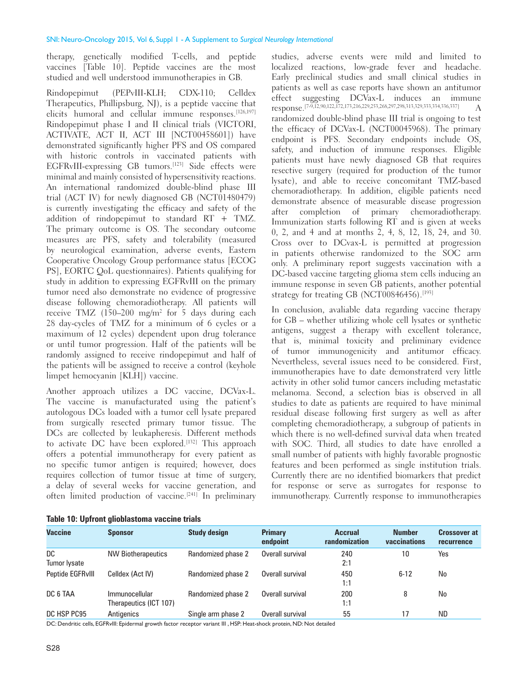therapy, genetically modified T‑cells, and peptide vaccines [Table 10]. Peptide vaccines are the most studied and well understood immunotherapies in GB.

Rindopepimut (PEPvIII-KLH; CDX-110; Celldex Therapeutics, Phillipsburg, NJ), is a peptide vaccine that elicits humoral and cellular immune responses.<sup>[126,197]</sup> Rindopepimut phase I and II clinical trials (VICTORI, ACTIVATE, ACT II, ACT III [NCT00458601]) have demonstrated significantly higher PFS and OS compared with historic controls in vaccinated patients with EGFRvIII-expressing GB tumors.<sup>[123]</sup> Side effects were minimal and mainly consisted of hypersensitivity reactions. An international randomized double-blind phase III trial (ACT IV) for newly diagnosed GB (NCT01480479) is currently investigating the efficacy and safety of the addition of rindopepimut to standard RT + TMZ. The primary outcome is OS. The secondary outcome measures are PFS, safety and tolerability (measured by neurological examination, adverse events, Eastern Cooperative Oncology Group performance status [ECOG PS], EORTC QoL questionnaires). Patients qualifying for study in addition to expressing EGFRvIII on the primary tumor need also demonstrate no evidence of progressive disease following chemoradiotherapy. All patients will receive TMZ (150–200 mg/m<sup>2</sup> for 5 days during each 28 day‑cycles of TMZ for a minimum of 6 cycles or a maximum of 12 cycles) dependent upon drug tolerance or until tumor progression. Half of the patients will be randomly assigned to receive rindopepimut and half of the patients will be assigned to receive a control (keyhole limpet hemocyanin [KLH]) vaccine.

Another approach utilizes a DC vaccine, DCVax-L. The vaccine is manufacturated using the patient's autologous DCs loaded with a tumor cell lysate prepared from surgically resected primary tumor tissue. The DCs are collected by leukapheresis. Different methods to activate DC have been explored.<sup>[132]</sup> This approach offers a potential immunotherapy for every patient as no specific tumor antigen is required; however, does requires collection of tumor tissue at time of surgery, a delay of several weeks for vaccine generation, and often limited production of vaccine.<sup>[241]</sup> In preliminary

studies, adverse events were mild and limited to localized reactions, low‑grade fever and headache. Early preclinical studies and small clinical studies in patients as well as case reports have shown an antitumor effect suggesting DCVax-L induces an immune response.<sup>[7-9,12,90,122,172,173,216,229,253,268,297,298,313,329,333,334,336,337]</sup> A randomized double-blind phase III trial is ongoing to test the efficacy of DCVax‑L (NCT00045968). The primary endpoint is PFS. Secondary endpoints include OS, safety, and induction of immune responses. Eligible patients must have newly diagnosed GB that requires resective surgery (required for production of the tumor lysate), and able to receive concomitant TMZ-based chemoradiotherapy. In addition, eligible patients need demonstrate absence of measurable disease progression after completion of primary chemoradiotherapy. Immunization starts following RT and is given at weeks 0, 2, and 4 and at months 2, 4, 8, 12, 18, 24, and 30. Cross over to DCvax-L is permitted at progression in patients otherwise randomized to the SOC arm only. A preliminary report suggests vaccination with a DC-based vaccine targeting glioma stem cells inducing an immune response in seven GB patients, another potential strategy for treating GB (NCT00846456).<sup>[193]</sup>

In conclusion, avaliable data regarding vaccine therapy for GB – whether utilizing whole cell lysates or synthetic antigens, suggest a therapy with excellent tolerance, that is, minimal toxicity and preliminary evidence of tumor immunogenicity and antitumor efficacy. Nevertheless, several issues need to be considered. First, immunotherapies have to date demonstraterd very little activity in other solid tumor cancers including metastatic melanoma. Second, a selection bias is observed in all studies to date as patients are required to have minimal residual disease following first surgery as well as after completing chemoradiotherapy, a subgroup of patients in which there is no well-defined survival data when treated with SOC. Third, all studies to date have enrolled a small number of patients with highly favorable prognostic features and been performed as single institution trials. Currently there are no identified biomarkers that predict for response or serve as surrogates for response to immunotherapy. Currently response to immunotherapies

|  |  |  |  |  | Table 10: Upfront glioblastoma vaccine trials |  |
|--|--|--|--|--|-----------------------------------------------|--|
|--|--|--|--|--|-----------------------------------------------|--|

| <b>Vaccine</b>      | <b>Sponsor</b>                                  | <b>Study design</b> | <b>Primary</b><br>endpoint                                                                                                                                                                                                                          | <b>Accrual</b><br>randomization | <b>Number</b><br><b>vaccinations</b> | <b>Crossover at</b><br><b>recurrence</b> |
|---------------------|-------------------------------------------------|---------------------|-----------------------------------------------------------------------------------------------------------------------------------------------------------------------------------------------------------------------------------------------------|---------------------------------|--------------------------------------|------------------------------------------|
| DC.<br>Tumor lysate | <b>NW Biotherapeutics</b>                       | Randomized phase 2  | Overall survival                                                                                                                                                                                                                                    | 240<br>2:1                      | 10                                   | Yes                                      |
| Peptide EGFRvIII    | Celldex (Act IV)                                | Randomized phase 2  | Overall survival                                                                                                                                                                                                                                    | 450<br>1:1                      | $6 - 12$                             | No                                       |
| DC 6 TAA            | <i>Immunocellular</i><br>Therapeutics (ICT 107) | Randomized phase 2  | Overall survival                                                                                                                                                                                                                                    | 200<br>1:1                      | 8                                    | No                                       |
| DC HSP PC95         | Antigenics                                      | Single arm phase 2  | Overall survival<br>$\sim$ . The state of the state of the state of the state of the state of the state of the state of the state of the state of the state of the state of the state of the state of the state of the state of the state of the st | 55                              | 17                                   | <b>ND</b>                                |

DC: Dendritic cells, EGFRvIII: Epidermal growth factor receptor variant III , HSP: Heat‑shock protein, ND: Not detailed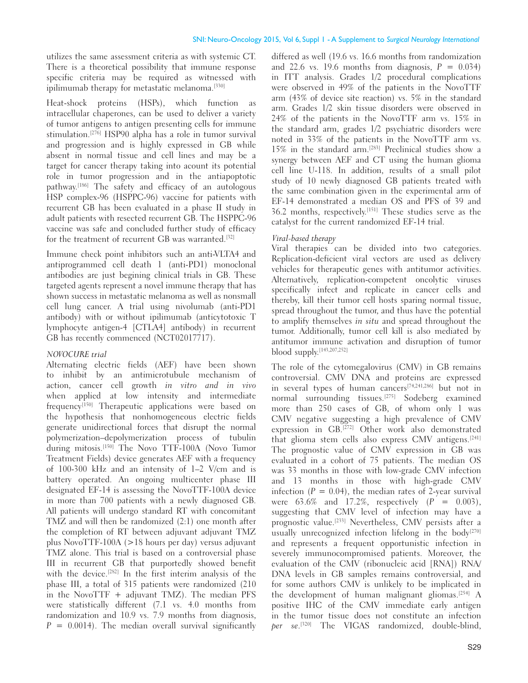utilizes the same assessment criteria as with systemic CT. There is a theoretical possibility that immune response specific criteria may be required as witnessed with ipilimumab therapy for metastatic melanoma.<sup>[330]</sup>

Heat-shock proteins (HSPs), which function as intracellular chaperones, can be used to deliver a variety of tumor antigens to antigen presenting cells for immune stimulation.[276] HSP90 alpha has a role in tumor survival and progression and is highly expressed in GB while absent in normal tissue and cell lines and may be a target for cancer therapy taking into acount its potential role in tumor progression and in the antiapoptotic pathway.[186] The safety and efficacy of an autologous HSP complex-96 (HSPPC-96) vaccine for patients with recurrent GB has been evaluated in a phase II study in adult patients with resected recurrent GB. The HSPPC‑96 vaccine was safe and concluded further study of efficacy for the treatment of recurrent GB was warranted.<sup>[32]</sup>

Immune check point inhibitors such an anti-VLTA4 and antiprogrammed cell death 1 (anti‑PD1) monoclonal antibodies are just begining clinical trials in GB. These targeted agents represent a novel immune therapy that has shown success in metastatic melanoma as well as nonsmall cell lung cancer. A trial using nivolumab (anti-PD1 antibody) with or without ipilimumab (anticytotoxic T lymphocyte antigen-4 [CTLA4] antibody) in recurrent GB has recently commenced (NCT02017717).

## *NOVOCURE trial*

Alternating electric fields (AEF) have been shown to inhibit by an antimicrotubule mechanism of action, cancer cell growth in vitro and in vivo when applied at low intensity and intermediate frequency<sup>[150]</sup> Therapeutic applications were based on the hypothesis that nonhomogeneous electric fields generate unidirectional forces that disrupt the normal polymerization–depolymerization process of tubulin during mitosis.<sup>[150]</sup> The Novo TTF-100A (Novo Tumor Treatment Fields) device generates AEF with a frequency of 100‑300 kHz and an intensity of 1–2 V/cm and is battery operated. An ongoing multicenter phase III designated EF‑14 is assessing the NovoTTF-100A device in more than 700 patients with a newly diagnosed GB. All patients will undergo standard RT with concomitant TMZ and will then be randomized (2:1) one month after the completion of RT between adjuvant adjuvant TMZ plus NovoTTF-100A (>18 hours per day) versus adjuvant TMZ alone. This trial is based on a controversial phase III in recurrent GB that purportedly showed benefit with the device.[282] In the first interim analysis of the phase III, a total of 315 patients were randomized (210 in the NovoTTF + adjuvant TMZ). The median PFS were statistically different (7.1 vs. 4.0 months from randomization and 10.9 vs. 7.9 months from diagnosis,  $P = 0.0014$ ). The median overall survival significantly

differed as well (19.6 vs. 16.6 months from randomization and 22.6 vs. 19.6 months from diagnosis,  $P = 0.034$ ) in ITT analysis. Grades 1/2 procedural complications were observed in 49% of the patients in the NovoTTF arm (43% of device site reaction) vs. 5% in the standard arm. Grades 1/2 skin tissue disorders were observed in 24% of the patients in the NovoTTF arm vs. 15% in the standard arm, grades 1/2 psychiatric disorders were noted in 33% of the patients in the NovoTTF arm vs. 15% in the standard arm.[283] Preclinical studies show a synergy between AEF and CT using the human glioma cell line U‑118. In addition, results of a small pilot study of 10 newly diagnosed GB patients treated with the same combination given in the experimental arm of EF‑14 demonstrated a median OS and PFS of 39 and 36.2 months, respectively.[151] These studies serve as the catalyst for the current randomized EF‑14 trial.

## *Viral‑based therapy*

Viral therapies can be divided into two categories. Replication‑deficient viral vectors are used as delivery vehicles for therapeutic genes with antitumor activities. Alternatively, replication-competent oncolytic viruses specifically infect and replicate in cancer cells and thereby, kill their tumor cell hosts sparing normal tissue, spread throughout the tumor, and thus have the potential to amplify themselves in situ and spread throughout the tumor. Additionally, tumor cell kill is also mediated by antitumor immune activation and disruption of tumor blood supply.[143,207,252]

The role of the cytomegalovirus (CMV) in GB remains controversial. CMV DNA and proteins are expressed in several types of human cancers[74,241,286] but not in normal surrounding tissues.[275] Sodeberg examined more than 250 cases of GB, of whom only 1 was CMV negative suggesting a high prevalence of CMV expression in GB.[272] Other work also demonstrated that glioma stem cells also express CMV antigens.[241] The prognostic value of CMV expression in GB was evaluated in a cohort of 75 patients. The median OS was 33 months in those with low-grade CMV infection and 13 months in those with high-grade CMV infection  $(P = 0.04)$ , the median rates of 2-year survival were  $63.6\%$  and  $17.2\%$ , respectively  $(P = 0.003)$ , suggesting that CMV level of infection may have a prognostic value.[233] Nevertheless, CMV persists after a usually unrecognized infection lifelong in the body<sup>[270]</sup> and represents a frequent opportunistic infection in severely immunocompromised patients. Moreover, the evaluation of the CMV (ribonucleic acid [RNA]) RNA/ DNA levels in GB samples remains controversial, and for some authors CMV is unlikely to be implicated in the development of human malignant gliomas.[254] A positive IHC of the CMV immediate early antigen in the tumor tissue does not constitute an infection per se.<sup>[320]</sup> The VIGAS randomized, double-blind,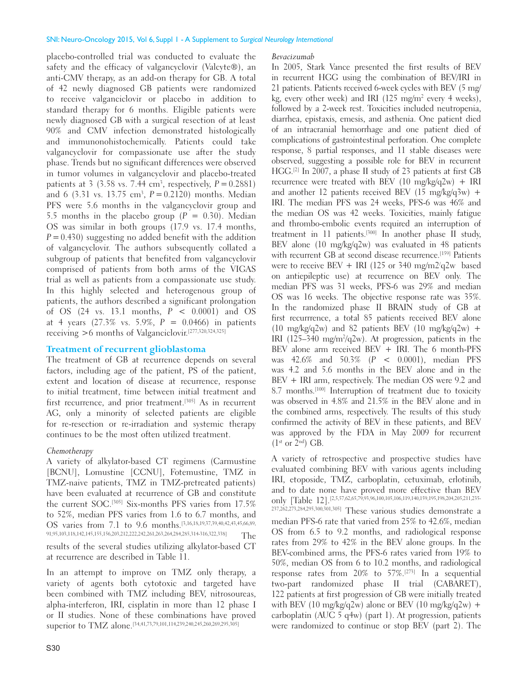placebo‑controlled trial was conducted to evaluate the safety and the efficacy of valgancyclovir (Valcyte®), an anti-CMV therapy, as an add-on therapy for GB. A total of 42 newly diagnosed GB patients were randomized to receive valganciclovir or placebo in addition to standard therapy for 6 months. Eligible patients were newly diagnosed GB with a surgical resection of at least 90% and CMV infection demonstrated histologically and immunonohistochemically. Patients could take valgancyclovir for compassionate use after the study phase. Trends but no significant differences were observed in tumor volumes in valgancyclovir and placebo-treated patients at 3  $(3.58 \text{ vs. } 7.44 \text{ cm}^3, \text{ respectively, } P = 0.2881)$ and 6  $(3.31 \text{ vs. } 13.75 \text{ cm}^3, P = 0.2120)$  months. Median PFS were 5.6 months in the valgancyclovir group and 5.5 months in the placebo group  $(P = 0.30)$ . Median OS was similar in both groups (17.9 vs. 17.4 months,  $P=0.430$ ) suggesting no added benefit with the addition of valgancyclovir. The authors subsequently collated a subgroup of patients that benefited from valgancyclovir comprised of patients from both arms of the VIGAS trial as well as patients from a compassionate use study. In this highly selected and heterogenous group of patients, the authors described a significant prolongation of OS (24 vs. 13.1 months, P < 0.0001) and OS at 4 years (27.3% vs. 5.9%,  $P = 0.0466$ ) in patients receiving >6 months of Valganciclovir.[277,320,324,325]

### **Treatment of recurrent glioblastoma**

The treatment of GB at recurrence depends on several factors, including age of the patient, PS of the patient, extent and location of disease at recurrence, response to initial treatment, time between initial treatment and first recurrence, and prior treatment.[305] As in recurrent AG, only a minority of selected patients are eligible for re-resection or re-irradiation and systemic therapy continues to be the most often utilized treatment.

### *Chemotherapy*

A variety of alkylator‑based CT regimens (Carmustine [BCNU], Lomustine [CCNU], Fotemustine, TMZ in TMZ‑naive patients, TMZ in TMZ‑pretreated patients) have been evaluated at recurrence of GB and constitute the current SOC.<sup>[305]</sup> Six-months PFS varies from 17.5% to 52%, median PFS varies from 1.6 to 6.7 months, and OS varies from 7.1 to 9.6 months.[3,16,18,19,37,39,40,42,43,45,66,89, 91,95,103,118,142,145,155,156,203,212,222,242,261,263,264,284,285,314‑316,322,338] The results of the several studies utilizing alkylator-based CT at recurrence are described in Table 11.

In an attempt to improve on TMZ only therapy, a variety of agents both cytotoxic and targeted have been combined with TMZ including BEV, nitrosoureas, alpha‑interferon, IRI, cisplatin in more than 12 phase I or II studies. None of these combinations have proved superior to TMZ alone.<sup>[34,41,73,79,101,114,239,240,245,260,269,295,305]</sup>

#### *Bevacizumab*

In 2005, Stark Vance presented the first results of BEV in recurrent HGG using the combination of BEV/IRI in 21 patients. Patients received 6‑week cycles with BEV (5 mg/ kg, every other week) and IRI (125 mg/m2 every 4 weeks), followed by a 2‑week rest. Toxicities included neutropenia, diarrhea, epistaxis, emesis, and asthenia. One patient died of an intracranial hemorrhage and one patient died of complications of gastrointestinal perforation. One complete response, 8 partial responses, and 11 stable diseases were observed, suggesting a possible role for BEV in recurrent HGG.[2] In 2007, a phase II study of 23 patients at first GB recurrence were treated with BEV (10 mg/kg/q2w) + IRI and another 12 patients received BEV (15 mg/kg/q3w) + IRI. The median PFS was 24 weeks, PFS‑6 was 46% and the median OS was 42 weeks. Toxicities, mainly fatigue and thrombo-embolic events required an interruption of treatment in 11 patients.[300] In another phase II study, BEV alone (10 mg/kg/q2w) was evaluated in 48 patients with recurrent GB at second disease recurrence.<sup>[159]</sup> Patients were to receive BEV + IRI (125 or 340 mg/m2/ q2w based on antiepileptic use) at recurrence on BEV only. The median PFS was 31 weeks, PFS‑6 was 29% and median OS was 16 weeks. The objective response rate was 35%. In the randomized phase II BRAIN study of GB at first recurrrence, a total 85 patients received BEV alone (10 mg/kg/q2w) and 82 patients BEV (10 mg/kg/q2w) + IRI (125–340 mg/m2 /q2w). At progression, patients in the BEV alone arm received BEV  $+$  IRI. The 6 month-PFS was 42.6% and 50.3% (P < 0.0001), median PFS was 4.2 and 5.6 months in the BEV alone and in the BEV + IRI arm, respectively. The median OS were 9.2 and 8.7 months.<sup>[100]</sup> Interruption of treatment due to toxicity was observed in 4.8% and 21.5% in the BEV alone and in the combined arms, respectively. The results of this study confirmed the activity of BEV in these patients, and BEV was approved by the FDA in May 2009 for recurrent  $(1<sup>st</sup>$  or  $2<sup>nd</sup>)$  GB.

A variety of retrospective and prospective studies have evaluated combining BEV with various agents including IRI, etoposide, TMZ, carboplatin, cetuximab, erlotinib, and to date none have proved more effective than BEV only [Table 12].<sup>[2,5,57,62,65,79,93,96,100,105,106,119,140,159,195,198,204,205,211,235</sub></sup> 237,262,273,284,295,300,301,305] These various studies demonstrate a median PFS‑6 rate that varied from 25% to 42.6%, median OS from 6.5 to 9.2 months, and radiological response rates from 29% to 42% in the BEV alone groups. In the BEV‑combined arms, the PFS‑6 rates varied from 19% to 50%, median OS from 6 to 10.2 months, and radiological response rates from 20% to 57%.[273] In a sequential two‑part randomized phase II trial (CABARET), 122 patients at first progression of GB were initially treated with BEV (10 mg/kg/q2w) alone or BEV (10 mg/kg/q2w) + carboplatin (AUC 5 q4w) (part 1). At progression, patients were randomized to continue or stop BEV (part 2). The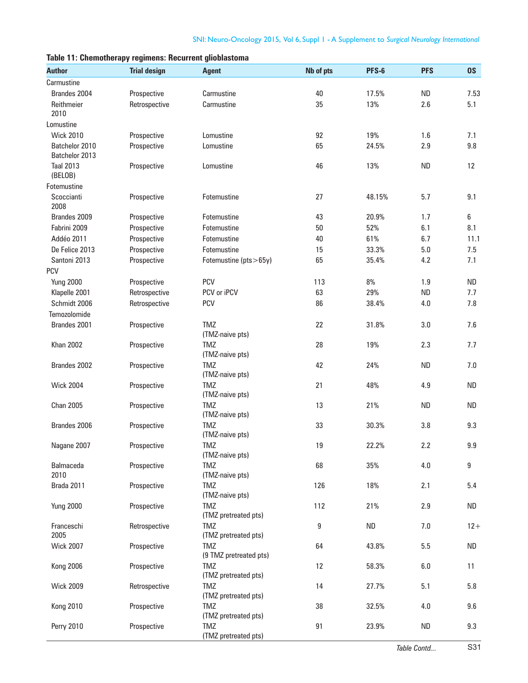| <b>Author</b>                    | <b>Trial design</b> | <b>Agent</b>                         | Nb of pts | PFS-6  | <b>PFS</b> | <b>OS</b> |
|----------------------------------|---------------------|--------------------------------------|-----------|--------|------------|-----------|
| Carmustine                       |                     |                                      |           |        |            |           |
| Brandes 2004                     | Prospective         | Carmustine                           | 40        | 17.5%  | <b>ND</b>  | 7.53      |
| Reithmeier<br>2010               | Retrospective       | Carmustine                           | 35        | 13%    | 2.6        | 5.1       |
| Lomustine                        |                     |                                      |           |        |            |           |
| <b>Wick 2010</b>                 | Prospective         | Lomustine                            | 92        | 19%    | 1.6        | 7.1       |
| Batchelor 2010<br>Batchelor 2013 | Prospective         | Lomustine                            | 65        | 24.5%  | 2.9        | 9.8       |
| <b>Taal 2013</b><br>(BELOB)      | Prospective         | Lomustine                            | 46        | 13%    | <b>ND</b>  | 12        |
| Fotemustine                      |                     |                                      |           |        |            |           |
| Scoccianti<br>2008               | Prospective         | Fotemustine                          | 27        | 48.15% | 5.7        | 9.1       |
| Brandes 2009                     | Prospective         | Fotemustine                          | 43        | 20.9%  | 1.7        | 6         |
| Fabrini 2009                     | Prospective         | Fotemustine                          | 50        | 52%    | 6.1        | 8.1       |
| Addéo 2011                       | Prospective         | Fotemustine                          | 40        | 61%    | 6.7        | 11.1      |
| De Felice 2013                   | Prospective         | Fotemustine                          | 15        | 33.3%  | 5.0        | 7.5       |
| Santoni 2013                     | Prospective         | Fotemustine (pts>65y)                | 65        | 35.4%  | 4.2        | 7.1       |
| <b>PCV</b>                       |                     |                                      |           |        |            |           |
| <b>Yung 2000</b>                 | Prospective         | <b>PCV</b>                           | 113       | 8%     | 1.9        | <b>ND</b> |
| Klapelle 2001                    | Retrospective       | PCV or iPCV                          | 63        | 29%    | <b>ND</b>  | 7.7       |
| Schmidt 2006                     | Retrospective       | <b>PCV</b>                           | 86        | 38.4%  | 4.0        | 7.8       |
| Temozolomide                     |                     |                                      |           |        |            |           |
| Brandes 2001                     | Prospective         | <b>TMZ</b><br>(TMZ-naive pts)        | 22        | 31.8%  | 3.0        | 7.6       |
| <b>Khan 2002</b>                 | Prospective         | <b>TMZ</b><br>(TMZ-naive pts)        | 28        | 19%    | 2.3        | 7.7       |
| Brandes 2002                     | Prospective         | <b>TMZ</b><br>(TMZ-naive pts)        | 42        | 24%    | <b>ND</b>  | 7.0       |
| <b>Wick 2004</b>                 | Prospective         | <b>TMZ</b><br>(TMZ-naive pts)        | 21        | 48%    | 4.9        | <b>ND</b> |
| <b>Chan 2005</b>                 | Prospective         | <b>TMZ</b><br>(TMZ-naive pts)        | 13        | 21%    | <b>ND</b>  | <b>ND</b> |
| Brandes 2006                     | Prospective         | TMZ<br>(TMZ-naive pts)               | 33        | 30.3%  | 3.8        | 9.3       |
| Nagane 2007                      | Prospective         | TMZ<br>(TMZ-naive pts)               | 19        | 22.2%  | 2.2        | 9.9       |
| <b>Balmaceda</b><br>2010         | Prospective         | <b>TMZ</b><br>(TMZ-naive pts)        | 68        | 35%    | $4.0$      | 9         |
| Brada 2011                       | Prospective         | <b>TMZ</b><br>(TMZ-naive pts)        | 126       | 18%    | 2.1        | 5.4       |
| <b>Yung 2000</b>                 | Prospective         | <b>TMZ</b><br>(TMZ pretreated pts)   | 112       | 21%    | 2.9        | <b>ND</b> |
| Franceschi<br>2005               | Retrospective       | <b>TMZ</b><br>(TMZ pretreated pts)   | 9         | ND     | 7.0        | $12 +$    |
| <b>Wick 2007</b>                 | Prospective         | <b>TMZ</b><br>(9 TMZ pretreated pts) | 64        | 43.8%  | 5.5        | <b>ND</b> |
| <b>Kong 2006</b>                 | Prospective         | <b>TMZ</b><br>(TMZ pretreated pts)   | 12        | 58.3%  | 6.0        | 11        |
| <b>Wick 2009</b>                 | Retrospective       | <b>TMZ</b><br>(TMZ pretreated pts)   | 14        | 27.7%  | 5.1        | 5.8       |
| <b>Kong 2010</b>                 | Prospective         | TMZ<br>(TMZ pretreated pts)          | 38        | 32.5%  | 4.0        | 9.6       |
| <b>Perry 2010</b>                | Prospective         | <b>TMZ</b><br>(TMZ pretreated pts)   | 91        | 23.9%  | <b>ND</b>  | 9.3       |

## **Table 11: Chemotherapy regimens: Recurrent glioblastoma**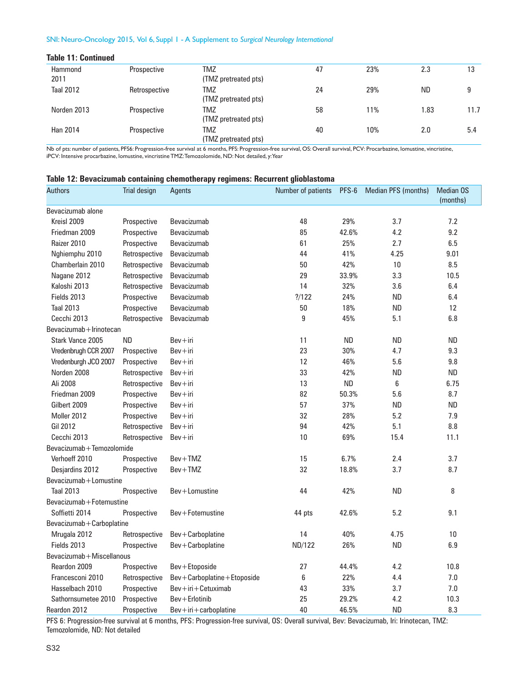## **Table 11: Continued**

| Hammond<br>2011  | Prospective   | TMZ<br>(TMZ pretreated pts) | 47 | 23% | 2.3  | 13   |
|------------------|---------------|-----------------------------|----|-----|------|------|
| <b>Taal 2012</b> | Retrospective | TMZ<br>(TMZ pretreated pts) | 24 | 29% | ND   | 9    |
| Norden 2013      | Prospective   | TMZ<br>(TMZ pretreated pts) | 58 | 11% | 1.83 | 11.7 |
| Han 2014         | Prospective   | TMZ<br>(TMZ pretreated pts) | 40 | 10% | 2.0  | 5.4  |

Nb of pts: number of patients, PFS6: Progression-free survival at 6 months, PFS: Progression-free survival, OS: Overall survival, PCV: Procarbazine, lomustine, vincristine, iPCV: Intensive procarbazine, lomustine, vincristine TMZ: Temozolomide, ND: Not detailed, y: Year

# **Table 12: Bevacizumab containing chemotherapy regimens: Recurrent glioblastoma**

| <b>Authors</b>             | <b>Trial design</b> | Agents                     | Number of patients | PFS-6     | Median PFS (months) | Median OS<br>(months) |
|----------------------------|---------------------|----------------------------|--------------------|-----------|---------------------|-----------------------|
| Bevacizumab alone          |                     |                            |                    |           |                     |                       |
| Kreisl 2009                | Prospective         | Bevacizumab                | 48                 | 29%       | 3.7                 | 7.2                   |
| Friedman 2009              | Prospective         | Bevacizumab                | 85                 | 42.6%     | 4.2                 | 9.2                   |
| Raizer 2010                | Prospective         | Bevacizumab                | 61                 | 25%       | 2.7                 | 6.5                   |
| Nghiemphu 2010             | Retrospective       | Bevacizumab                | 44                 | 41%       | 4.25                | 9.01                  |
| Chamberlain 2010           | Retrospective       | Bevacizumab                | 50                 | 42%       | 10                  | 8.5                   |
| Nagane 2012                | Retrospective       | Bevacizumab                | 29                 | 33.9%     | 3.3                 | 10.5                  |
| Kaloshi 2013               | Retrospective       | Bevacizumab                | 14                 | 32%       | 3.6                 | 6.4                   |
| Fields 2013                | Prospective         | Bevacizumab                | ? / 122            | 24%       | ND                  | 6.4                   |
| <b>Taal 2013</b>           | Prospective         | Bevacizumab                | 50                 | 18%       | <b>ND</b>           | 12                    |
| Cecchi 2013                | Retrospective       | Bevacizumab                | 9                  | 45%       | 5.1                 | 6.8                   |
| Bevacizumab+Irinotecan     |                     |                            |                    |           |                     |                       |
| Stark Vance 2005           | <b>ND</b>           | $Bev + iri$                | 11                 | <b>ND</b> | ND                  | <b>ND</b>             |
| Vredenbrugh CCR 2007       | Prospective         | $Bev + iri$                | 23                 | 30%       | 4.7                 | 9.3                   |
| Vredenburgh JCO 2007       | Prospective         | $Bev + iri$                | 12                 | 46%       | 5.6                 | 9.8                   |
| Norden 2008                | Retrospective       | $Bev + iri$                | 33                 | 42%       | ND                  | <b>ND</b>             |
| Ali 2008                   | Retrospective       | $Bev + iri$                | 13                 | <b>ND</b> | 6                   | 6.75                  |
| Friedman 2009              | Prospective         | $Bev + iri$                | 82                 | 50.3%     | 5.6                 | 8.7                   |
| Gilbert 2009               | Prospective         | $Bev + iri$                | 57                 | 37%       | <b>ND</b>           | <b>ND</b>             |
| Moller 2012                | Prospective         | $Bev + iri$                | 32                 | 28%       | 5.2                 | 7.9                   |
| Gil 2012                   | Retrospective       | $Bev+iri$                  | 94                 | 42%       | 5.1                 | 8.8                   |
| Cecchi 2013                | Retrospective       | $Bev + iri$                | 10                 | 69%       | 15.4                | 11.1                  |
| Bevacizumab+Temozolomide   |                     |                            |                    |           |                     |                       |
| Verhoeff 2010              | Prospective         | $Bev + TMZ$                | 15                 | 6.7%      | 2.4                 | 3.7                   |
| Desjardins 2012            | Prospective         | Bev+TMZ                    | 32                 | 18.8%     | 3.7                 | 8.7                   |
| Bevacizumab + Lomustine    |                     |                            |                    |           |                     |                       |
| <b>Taal 2013</b>           | Prospective         | Bev+Lomustine              | 44                 | 42%       | <b>ND</b>           | 8                     |
| Bevacizumab + Fotemustine  |                     |                            |                    |           |                     |                       |
| Soffietti 2014             | Prospective         | Bev+Fotemustine            | 44 pts             | 42.6%     | 5.2                 | 9.1                   |
| Bevacizumab+Carboplatine   |                     |                            |                    |           |                     |                       |
| Mrugala 2012               | Retrospective       | Bev+Carboplatine           | 14                 | 40%       | 4.75                | 10                    |
| Fields 2013                | Prospective         | Bev+Carboplatine           | ND/122             | 26%       | ND                  | 6.9                   |
| Bevacizumab + Miscellanous |                     |                            |                    |           |                     |                       |
| Reardon 2009               | Prospective         | Bev+Etoposide              | 27                 | 44.4%     | 4.2                 | 10.8                  |
| Francesconi 2010           | Retrospective       | Bev+Carboplatine+Etoposide | 6                  | 22%       | 4.4                 | 7.0                   |
| Hasselbach 2010            | Prospective         | Bev+iri+Cetuximab          | 43                 | 33%       | 3.7                 | 7.0                   |
| Sathornsumetee 2010        | Prospective         | $Bev + Erlotinib$          | 25                 | 29.2%     | 4.2                 | 10.3                  |
| Reardon 2012               | Prospective         | $Bev + iri + carboplatine$ | 40                 | 46.5%     | <b>ND</b>           | 8.3                   |

PFS 6: Progression-free survival at 6 months, PFS: Progression-free survival, OS: Overall survival, Bev: Bevacizumab, Iri: Irinotecan, TMZ: Temozolomide, ND: Not detailed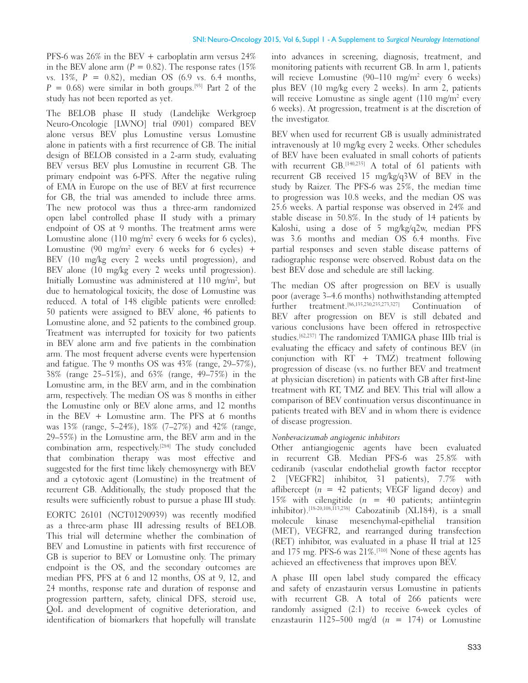PFS-6 was  $26\%$  in the BEV + carboplatin arm versus  $24\%$ in the BEV alone arm ( $P = 0.82$ ). The response rates (15%) vs. 13%, P = 0.82), median OS (6.9 vs. 6.4 months,  $P = 0.68$ ) were similar in both groups.<sup>[93]</sup> Part 2 of the study has not been reported as yet.

The BELOB phase II study (Landelijke Werkgroep Neuro‑Oncologie [LWNO] trial 0901) compared BEV alone versus BEV plus Lomustine versus Lomustine alone in patients with a first recurrence of GB. The initial design of BELOB consisted in a 2‑arm study, evaluating BEV versus BEV plus Lomustine in recurrent GB. The primary endpoint was 6‑PFS. After the negative ruling of EMA in Europe on the use of BEV at first recurrence for GB, the trial was amended to include three arms. The new protocol was thus a three-arm randomized open label controlled phase II study with a primary endpoint of OS at 9 months. The treatment arms were Lomustine alone  $(110 \text{ mg/m}^2 \text{ every } 6 \text{ weeks for } 6 \text{ cycles}),$ Lomustine  $(90 \text{ mg/m}^2 \text{ every } 6 \text{ weeks for } 6 \text{ cycles}) +$ BEV (10 mg/kg every 2 weeks until progression), and BEV alone (10 mg/kg every 2 weeks until progression). Initially Lomustine was administered at  $110$  mg/m<sup>2</sup>, but due to hematological toxicity, the dose of Lomustine was reduced. A total of 148 eligible patients were enrolled: 50 patients were assigned to BEV alone, 46 patients to Lomustine alone, and 52 patients to the combined group. Treatment was interrupted for toxicity for two patients in BEV alone arm and five patients in the combination arm. The most frequent adverse events were hypertension and fatigue. The 9 months OS was 43% (range, 29–57%), 38% (range 25–51%), and 63% (range, 49–75%) in the Lomustine arm, in the BEV arm, and in the combination arm, respectively. The median OS was 8 months in either the Lomustine only or BEV alone arms, and 12 months in the BEV + Lomustine arm. The PFS at 6 months was 13% (range, 5–24%), 18% (7–27%) and 42% (range, 29–55%) in the Lomustine arm, the BEV arm and in the combination arm, respectively.[284] The study concluded that combination therapy was most effective and suggested for the first time likely chemosynergy with BEV and a cytotoxic agent (Lomustine) in the treatment of recurrent GB. Additionally, the study proposed that the results were sufficiently robust to pursue a phase III study.

EORTC 26101 (NCT01290939) was recently modified as a three‑arm phase III adressing results of BELOB. This trial will determine whether the combination of BEV and Lomustine in patients with first reccurence of GB is superior to BEV or Lomustine only. The primary endpoint is the OS, and the secondary outcomes are median PFS, PFS at 6 and 12 months, OS at 9, 12, and 24 months, response rate and duration of response and progression parttern, safety, clinical DFS, steroid use, QoL and development of cognitive deterioration, and identification of biomarkers that hopefully will translate into advances in screening, diagnosis, treatment, and monitoring patients with recurrent GB. In arm 1, patients will recieve Lomustine (90–110 mg/m2 every 6 weeks) plus BEV (10 mg/kg every 2 weeks). In arm 2, patients will receive Lomustine as single agent  $(110 \text{ mg/m}^2 \text{ every }$ 6 weeks). At progression, treatment is at the discretion of the investigator.

BEV when used for recurrent GB is usually administrated intravenously at 10 mg/kg every 2 weeks. Other schedules of BEV have been evaluated in small cohorts of patients with recurrent GB.<sup>[140,235]</sup> A total of 61 patients with recurrent GB received 15 mg/kg/q3W of BEV in the study by Raizer. The PFS‑6 was 25%, the median time to progression was 10.8 weeks, and the median OS was 25.6 weeks. A partial response was observed in 24% and stable disease in 50.8%. In the study of 14 patients by Kaloshi, using a dose of 5 mg/kg/q2w, median PFS was 3.6 months and median OS 6.4 months. Five partial responses and seven stable disease patterns of radiographic response were observed. Robust data on the best BEV dose and schedule are still lacking.

The median OS after progression on BEV is usually poor (average 3–4.6 months) nothwithstanding attempted further treatment.[86,135,230,235,273,327] Continuation of BEV after progression on BEV is still debated and various conclusions have been offered in retrospective studies.[62,237] The randomized TAMIGA phase IIIb trial is evaluating the efficacy and safety of continous BEV (in conjunction with RT + TMZ) treatment following progression of disease (vs. no further BEV and treatment at physician discretion) in patients with GB after first-line treatment with RT, TMZ and BEV. This trial will allow a comparison of BEV continuation versus discontinuance in patients treated with BEV and in whom there is evidence of disease progression.

### *Nonbevacizumab angiogenic inhibitors*

Other antiangiogenic agents have been evaluated in recurrent GB. Median PFS-6 was 25.8% with cediranib (vascular endothelial growth factor receptor 2 [VEGFR2] inhibitor, 31 patients), 7.7% with aflibercept ( $n = 42$  patients; VEGF ligand decoy) and 15% with cilengitide  $(n = 40$  patients; antiintegrin inhibitor).[18‑20,108,113,238] Cabozatinib (XL184), is a small molecule kinase mesenchymal-epithelial transition (MET), VEGFR2, and rearranged during transfection (RET) inhibitor, was evaluated in a phase II trial at 125 and 175 mg. PFS‑6 was 21%.[310] None of these agents has achieved an effectiveness that improves upon BEV.

A phase III open label study compared the efficacy and safety of enzastaurin versus Lomustine in patients with recurrent GB. A total of 266 patients were randomly assigned (2:1) to receive 6-week cycles of enzastaurin 1125–500 mg/d  $(n = 174)$  or Lomustine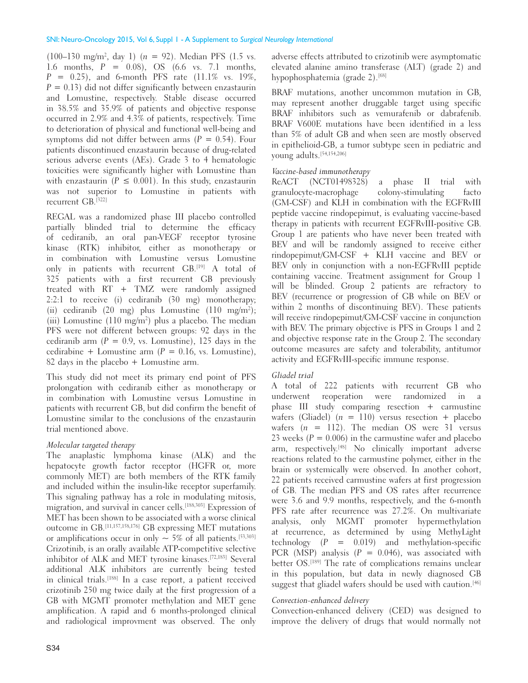(100–130 mg/m<sup>2</sup>, day 1)  $(n = 92)$ . Median PFS (1.5 vs. 1.6 months,  $P = 0.08$ , OS (6.6 vs. 7.1 months,  $P = 0.25$ ), and 6-month PFS rate (11.1% vs. 19%,  $P = 0.13$ ) did not differ significantly between enzastaurin and Lomustine, respectively. Stable disease occurred in 38.5% and 35.9% of patients and objective response occurred in 2.9% and 4.3% of patients, respectively. Time to deterioration of physical and functional well-being and symptoms did not differ between arms  $(P = 0.54)$ . Four patients discontinued enzastaurin because of drug-related serious adverse events (AEs). Grade 3 to 4 hematologic toxicities were significantly higher with Lomustine than with enzastaurin ( $P \le 0.001$ ). In this study, enzastaurin was not superior to Lomustine in patients with recurrent GB.[322]

REGAL was a randomized phase III placebo controlled partially blinded trial to determine the efficacy of cediranib, an oral pan‑VEGF receptor tyrosine kinase (RTK) inhibitor, either as monotherapy or in combination with Lomustine versus Lomustine only in patients with recurrent GB.[19] A total of 325 patients with a first recurrent GB previously treated with RT + TMZ were randomly assigned 2:2:1 to receive (i) cediranib  $(30 \text{ mg})$  monotherapy; (ii) cediranib (20 mg) plus Lomustine (110 mg/m2 ); (iii) Lomustine  $(110 \text{ mg/m}^2)$  plus a placebo. The median PFS were not different between groups: 92 days in the cediranib arm ( $P = 0.9$ , vs. Lomustine), 125 days in the cedirabine + Lomustine arm  $(P = 0.16, \text{ vs. Lomustine}),$ 82 days in the placebo + Lomustine arm.

This study did not meet its primary end point of PFS prolongation with cediranib either as monotherapy or in combination with Lomustine versus Lomustine in patients with recurrent GB, but did confirm the benefit of Lomustine similar to the conclusions of the enzastaurin trial mentioned above.

## *Molecular targeted therapy*

The anaplastic lymphoma kinase (ALK) and the hepatocyte growth factor receptor (HGFR or, more commonly MET) are both members of the RTK family and included within the insulin-like receptor superfamily. This signaling pathway has a role in modulating mitosis, migration, and survival in cancer cells.[188,303] Expression of MET has been shown to be associated with a worse clinical outcome in GB.[11,157,158,176] GB expressing MET mutations or amplifications occur in only  $\sim$  5% of all patients.<sup>[53,303]</sup> Crizotinib, is an orally available ATP‑competitive selective inhibitor of ALK and MET tyrosine kinases.[72,183] Several additional ALK inhibitors are currently being tested in clinical trials.[188] In a case report, a patient received crizotinib 250 mg twice daily at the first progression of a GB with MGMT promoter methylation and MET gene amplification. A rapid and 6 months-prolonged clinical and radiological improvment was observed. The only

adverse effects attributed to crizotinib were asymptomatic elevated alanine amino transferase (ALT) (grade 2) and hypophosphatemia (grade 2).[68]

BRAF mutations, another uncommon mutation in GB, may represent another druggable target using specific BRAF inhibitors such as vemurafenib or dabrafenib. BRAF V600E mutations have been identified in a less than 5% of adult GB and when seen are mostly observed in epithelioid‑GB, a tumor subtype seen in pediatric and young adults.[54,154,206]

## *Vaccine‑based immunotherapy*

ReACT (NCT01498328) a phase II trial with granulocyte‑macrophage colony‑stimulating facto (GM‑CSF) and KLH in combination with the EGFRvIII peptide vaccine rindopepimut, is evaluating vaccine-based therapy in patients with recurrent EGFRvIII-positive GB. Group 1 are patients who have never been treated with BEV and will be randomly assigned to receive either rindopepimut/GM‑CSF + KLH vaccine and BEV or BEV only in conjunction with a non-EGFRvIII peptide containing vaccine. Treatment assignment for Group 1 will be blinded. Group 2 patients are refractory to BEV (recurrence or progression of GB while on BEV or within 2 months of discontinuing BEV). These patients will receive rindopepimut/GM-CSF vaccine in conjunction with BEV. The primary objective is PFS in Groups 1 and 2 and objective response rate in the Group 2. The secondary outcome measures are safety and tolerability, antitumor activity and EGFRvIII‑specific immune response.

## *Gliadel trial*

A total of 222 patients with recurrent GB who underwent reoperation were randomized in a phase III study comparing resection + carmustine wafers (Gliadel)  $(n = 110)$  versus resection + placebo wafers  $(n = 112)$ . The median OS were 31 versus 23 weeks ( $P = 0.006$ ) in the carmustine wafer and placebo arm, respectively.[48] No clinically important adverse reactions related to the carmustine polymer, either in the brain or systemically were observed. In another cohort, 22 patients received carmustine wafers at first progression of GB. The median PFS and OS rates after recurrence were 3.6 and 9.9 months, respectively, and the 6-month PFS rate after recurrence was 27.2%. On multivariate analysis, only MGMT promoter hypermethylation at recurrence, as determined by using MethyLight technology  $(P = 0.019)$  and methylation-specific PCR (MSP) analysis  $(P = 0.046)$ , was associated with better OS.<sup>[189]</sup> The rate of complications remains unclear in this population, but data in newly diagnosed GB suggest that gliadel wafers should be used with caution.<sup>[46]</sup>

## *Convection‑enhanced delivery*

Convection-enhanced delivery (CED) was designed to improve the delivery of drugs that would normally not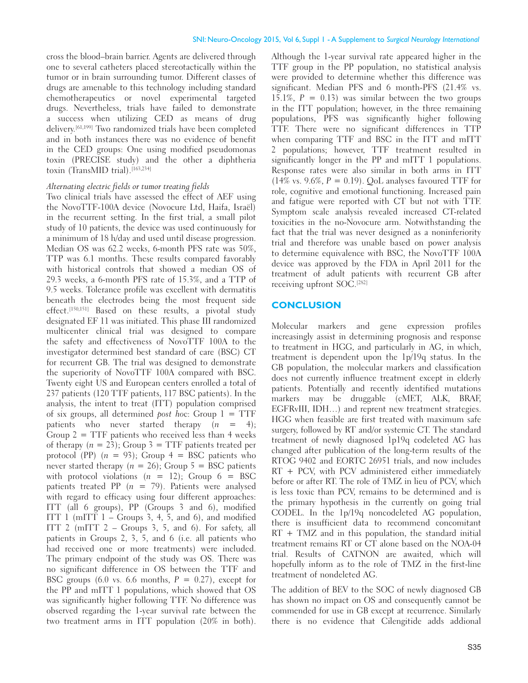cross the blood–brain barrier. Agents are delivered through one to several catheters placed stereotactically within the tumor or in brain surrounding tumor. Different classes of drugs are amenable to this technology including standard chemotherapeutics or novel experimental targeted drugs. Nevertheless, trials have failed to demonstrate a success when utilizing CED as means of drug delivery.[61,199] Two randomized trials have been completed and in both instances there was no evidence of benefit in the CED groups: One using modified pseudomonas toxin (PRECISE study) and the other a diphtheria toxin (TransMID trial).[163,234]

## *Alternating electric fields or tumor treating fields*

Two clinical trials have assessed the effect of AEF using the NovoTTF‑100A device (Novocure Ltd, Haifa, Israël) in the recurrent setting. In the first trial, a small pilot study of 10 patients, the device was used continuously for a minimum of 18 h/day and used until disease progression. Median OS was 62.2 weeks, 6‑month PFS rate was 50%, TTP was 6.1 months. These results compared favorably with historical controls that showed a median OS of 29.3 weeks, a 6‑month PFS rate of 15.3%, and a TTP of 9.5 weeks. Tolerance profile was excellent with dermatitis beneath the electrodes being the most frequent side effect.[150,151] Based on these results, a pivotal study designated EF 11 was initiated. This phase III randomized multicenter clinical trial was designed to compare the safety and effectiveness of NovoTTF 100A to the investigator determined best standard of care (BSC) CT for recurrent GB. The trial was designed to demonstrate the superiority of NovoTTF 100A compared with BSC. Twenty eight US and European centers enrolled a total of 237 patients (120 TTF patients, 117 BSC patients). In the analysis, the intent to treat (ITT) population comprised of six groups, all determined *post hoc*: Group  $1 = TTF$ patients who never started therapy  $(n = 4)$ ; Group  $2 = TTF$  patients who received less than 4 weeks of therapy  $(n = 23)$ ; Group 3 = TTF patients treated per protocol (PP)  $(n = 93)$ ; Group  $4 = BSC$  patients who never started therapy  $(n = 26)$ ; Group 5 = BSC patients with protocol violations  $(n = 12)$ ; Group  $6 = BSC$ patients treated PP  $(n = 79)$ . Patients were analysed with regard to efficacy using four different approaches: ITT (all 6 groups), PP (Groups 3 and 6), modified ITT 1 (mITT  $1$  – Groups 3, 4, 5, and 6), and modified ITT 2 (mITT 2 – Groups 3, 5, and 6). For safety, all patients in Groups 2, 3, 5, and 6 (i.e. all patients who had received one or more treatments) were included. The primary endpoint of the study was OS. There was no significant difference in OS between the TTF and BSC groups  $(6.0 \text{ vs. } 6.6 \text{ months}, P = 0.27)$ , except for the PP and mITT 1 populations, which showed that OS was significantly higher following TTF. No difference was observed regarding the 1-year survival rate between the two treatment arms in ITT population (20% in both). Although the 1-year survival rate appeared higher in the TTF group in the PP population, no statistical analysis were provided to determine whether this difference was significant. Median PFS and 6 month-PFS (21.4% vs. 15.1%,  $P = 0.13$ ) was similar between the two groups in the ITT population; however, in the three remaining populations, PFS was significantly higher following TTF. There were no significant differences in TTP when comparing TTF and BSC in the ITT and mITT 2 populations; however, TTF treatment resulted in significantly longer in the PP and mITT 1 populations. Response rates were also similar in both arms in ITT (14% vs. 9.6%,  $P = 0.19$ ). QoL analyses favoured TTF for role, cognitive and emotional functioning. Increased pain and fatigue were reported with CT but not with TTF. Symptom scale analysis revealed increased CT‑related toxicities in the no‑Novocure arm. Notwithstanding the fact that the trial was never designed as a noninferiority trial and therefore was unable based on power analysis to determine equivalence with BSC, the NovoTTF 100A device was approved by the FDA in April 2011 for the treatment of adult patients with recurrent GB after receiving upfront SOC.[282]

## **CONCLUSION**

Molecular markers and gene expression profiles increasingly assist in determining prognosis and response to treatment in HGG, and particularly in AG, in which, treatment is dependent upon the 1p/19q status. In the GB population, the molecular markers and classification does not currently influence treatment except in elderly patients. Potentially and recently identified mutations markers may be druggable (cMET, ALK, BRAF, EGFRvIII, IDH…) and reprent new treatment strategies. HGG when feasible are first treated with maximum safe surgery, followed by RT and/or systemic CT. The standard treatment of newly diagnosed 1p19q codeleted AG has changed after publication of the long‑term results of the RTOG 9402 and EORTC 26951 trials, and now includes RT + PCV, with PCV administered either immediately before or after RT. The role of TMZ in lieu of PCV, which is less toxic than PCV, remains to be determined and is the primary hypothesis in the currently on going trial CODEL. In the 1p/19q noncodeleted AG population, there is insufficient data to recommend concomitant  $RT + TMZ$  and in this population, the standard initial treatment remains RT or CT alone based on the NOA‑04 trial. Results of CATNON are awaited, which will hopefully inform as to the role of TMZ in the first-line treatment of nondeleted AG.

The addition of BEV to the SOC of newly diagnosed GB has shown no impact on OS and consequently cannot be commended for use in GB except at recurrence. Similarly there is no evidence that Cilengitide adds addional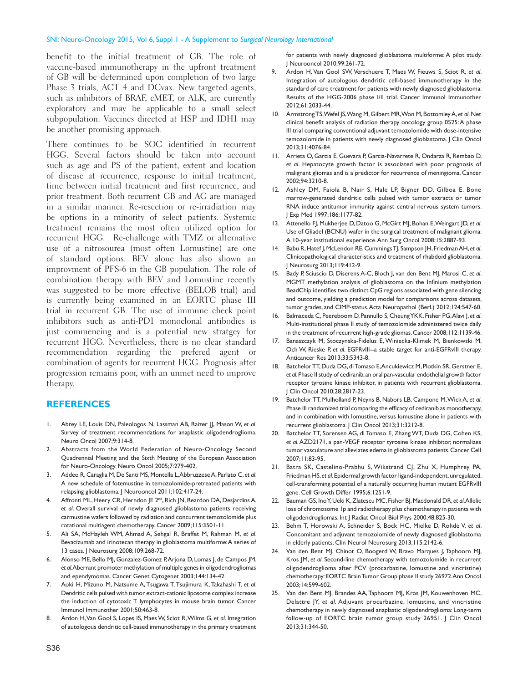benefit to the initial treatment of GB. The role of vaccine‑based immunotherapy in the upfront treatment of GB will be determined upon completion of two large Phase 3 trials, ACT 4 and DCvax. New targeted agents, such as inhibitors of BRAF, cMET, or ALK, are currently exploratory and may be applicable to a small select subpopulation. Vaccines directed at HSP and IDH1 may be another promising approach.

There continues to be SOC identified in recurrent HGG. Several factors should be taken into account such as age and PS of the patient, extent and location of disease at recurrence, response to initial treatment, time between initial treatment and first recurrence, and prior treatment. Both recurrent GB and AG are managed in a similar manner. Re‑resection or re‑irradiation may be options in a minority of select patients. Systemic treatment remains the most often utilized option for recurrent HGG. Re‑challenge with TMZ or alternative use of a nitrosourea (most often Lomustine) are one of standard options. BEV alone has also shown an improvment of PFS‑6 in the GB population. The role of combination therapy with BEV and Lomustine recently was suggested to be more effective (BELOB trial) and is currently being examined in an EORTC phase III trial in recurrent GB. The use of immune check point inhibitors such as anti‑PD1 monoclonal antibodies is just commencing and is a potential new stratgey for recurrent HGG. Nevertheless, there is no clear standard recommendation regarding the prefered agent or combination of agents for recurrent HGG. Prognosis after progression remains poor, with an unmet need to improve therapy.

### **REFERENCES**

- 1. Abrey LE, Louis DN, Paleologos N, Lassman AB, Raizer JJ, Mason W, *et al*. Survey of treatment recommendations for anaplastic oligodendroglioma. Neuro Oncol 2007;9:314‑8.
- 2. Abstracts from the World Federation of Neuro-Oncology Second Quadrennial Meeting and the Sixth Meeting of the European Association for Neuro-Oncology. Neuro Oncol 2005;7:279-402.
- 3. Addeo R, Caraglia M, De Santi MS, Montella L, AbbruzzeseA, Parlato C, *et al*. A new schedule of fotemustine in temozolomide‑pretreated patients with relapsing glioblastoma. J Neurooncol 2011;102:417‑24.
- Affronti ML, Heery CR, Herndon JE 2<sup>nd</sup>, Rich JN, Reardon DA, Desjardins A, *et al*. Overall survival of newly diagnosed glioblastoma patients receiving carmustine wafers followed by radiation and concurrent temozolomide plus rotational multiagent chemotherapy. Cancer 2009;115:3501‑11.
- 5. Ali SA, McHayleh WM, Ahmad A, Sehgal R, Braffet M, Rahman M, *et al*. Bevacizumab and irinotecan therapy in glioblastoma multiforme: A series of 13 cases. J Neurosurg 2008;109:268‑72.
- Alonso ME, Bello MJ, Gonzalez-Gomez P, Arjona D, Lomas J, de Campos JM, *et al*. Aberrant promoter methylation of multiple genes in oligodendrogliomas and ependymomas. Cancer Genet Cytogenet 2003;144:134-42.
- 7. Aoki H, Mizuno M, Natsume A, Tsugawa T, Tsujimura K, Takahashi T, *et al*. Dendritic cells pulsed with tumor extract‑cationic liposome complex increase the induction of cytotoxic T lymphocytes in mouse brain tumor. Cancer Immunol Immunother 2001;50:463‑8.
- 8. Ardon H, Van Gool S, Lopes IS, Maes W, Sciot R, Wilms G, *et al*. Integration of autologous dendritic cell-based immunotherapy in the primary treatment

for patients with newly diagnosed glioblastoma multiforme: A pilot study. J Neurooncol 2010;99:261‑72.

- 9. Ardon H, Van Gool SW, Verschuere T, Maes W, Fieuws S, Sciot R, *et al*. Integration of autologous dendritic cell‑based immunotherapy in the standard of care treatment for patients with newly diagnosed glioblastoma: Results of the HGG-2006 phase I/II trial. Cancer Immunol Immunother 2012;61:2033‑44.
- 10. ArmstrongTS, Wefel JS, Wang M, Gilbert MR, Won M, BottomleyA, *et al*. Net clinical benefit analysis of radiation therapy oncology group 0525: A phase III trial comparing conventional adjuvant temozolomide with dose-intensive temozolomide in patients with newly diagnosed glioblastoma. J Clin Oncol 2013;31:4076‑84.
- 11. Arrieta O, Garcia E, Guevara P, Garcia‑Navarrete R, Ondarza R, Rembao D, *et al*. Hepatocyte growth factor is associated with poor prognosis of malignant gliomas and is a predictor for recurrence of meningioma. Cancer 2002;94:3210‑8.
- 12. Ashley DM, Faiola B, Nair S, Hale LP, Bigner DD, Gilboa E. Bone marrow‑generated dendritic cells pulsed with tumor extracts or tumor RNA induce antitumor immunity against central nervous system tumors. J Exp Med 1997;186:1177‑82.
- 13. Attenello FJ, Mukherjee D, Datoo G, McGirt MJ, Bohan E, Weingart JD, *et al*. Use of Gliadel (BCNU) wafer in the surgical treatment of malignant glioma: A 10‑year institutional experience. Ann Surg Oncol 2008;15:2887‑93.
- 14. Babu R, Hatef J, McLendon RE, CummingsTJ, Sampson JH, FriedmanAH, *et al*. Clinicopathological characteristics and treatment of rhabdoid glioblastoma. J Neurosurg 2013;119:412‑9.
- 15. Bady P, Sciuscio D, Diserens A‑C, Bloch J, van den Bent MJ, Marosi C, *et al*. MGMT methylation analysis of glioblastoma on the Infinium methylation BeadChip identifies two distinct CpG regions associated with gene silencing and outcome, yielding a prediction model for comparisons across datasets, tumor grades, and CIMP-status. Acta Neuropathol (Berl.) 2012;124:547-60.
- 16. Balmaceda C, Peereboom D, Pannullo S, CheungYKK, Fisher PG, Alavi J, *et al*. Multi-institutional phase II study of temozolomide administered twice daily in the treatment of recurrent high-grade gliomas. Cancer 2008;112:1139-46.
- 17. Banaszczyk M, Stoczynska‑Fidelus E, Winiecka‑Klimek M, Bienkowski M, Och W, Rieske P, et al. EGFRvIII--a stable target for anti-EGFRvIII therapy. Anticancer Res 2013;33:5343‑8.
- 18. BatchelorTT, Duda DG, di Tomaso E, Ancukiewicz M, Plotkin SR, Gerstner E, *et al*. Phase II study of cediranib, an oral pan‑vascular endothelial growth factor receptor tyrosine kinase inhibitor, in patients with recurrent glioblastoma. J Clin Oncol 2010;28:2817‑23.
- 19. Batchelor TT, Mulholland P, Neyns B, Nabors LB, Campone M, Wick A, *et al*. Phase III randomized trial comparing the efficacy of cediranib as monotherapy, and in combination with lomustine, versus lomustine alone in patients with recurrent glioblastoma. J Clin Oncol 2013;31:3212‑8.
- 20. Batchelor TT, Sorensen AG, di Tomaso E, Zhang WT, Duda DG, Cohen KS, *et al*. AZD2171, a pan‑VEGF receptor tyrosine kinase inhibitor, normalizes tumor vasculature and alleviates edema in glioblastoma patients. Cancer Cell 2007;11:83‑95.
- 21. Batra SK, Castelino‑Prabhu S, Wikstrand CJ, Zhu X, Humphrey PA, Friedman HS, *et al*. Epidermal growth factor ligand‑independent, unregulated, cell-transforming potential of a naturally occurring human mutant EGFRvIII gene. Cell Growth Differ 1995;6:1251‑9.
- 22. Bauman GS, InoY, Ueki K, Zlatescu MC, Fisher BJ, Macdonald DR, *et al*. Allelic loss of chromosome 1p and radiotherapy plus chemotherapy in patients with oligodendrogliomas. Int J Radiat Oncol Biol Phys 2000;48:825‑30.
- 23. Behm T, Horowski A, Schneider S, Bock HC, Mielke D, Rohde V, *et al*. Concomitant and adjuvant temozolomide of newly diagnosed glioblastoma in elderly patients. Clin Neurol Neurosurg 2013;115:2142‑6.
- 24. Van den Bent MJ, Chinot O, Boogerd W, Bravo Marques J, Taphoorn MJ, Kros JM, *et al*. Second‑line chemotherapy with temozolomide in recurrent oligodendroglioma after PCV (procarbazine, lomustine and vincristine) chemotherapy: EORTC Brain Tumor Group phase II study 26972. Ann Oncol 2003;14:599‑602.
- 25. Van den Bent MJ, Brandes AA, Taphoorn MJ, Kros JM, Kouwenhoven MC, Delattre JY, *et al*. Adjuvant procarbazine, lomustine, and vincristine chemotherapy in newly diagnosed anaplastic oligodendroglioma: Long‑term follow‑up of EORTC brain tumor group study 26951. J Clin Oncol 2013;31:344‑50.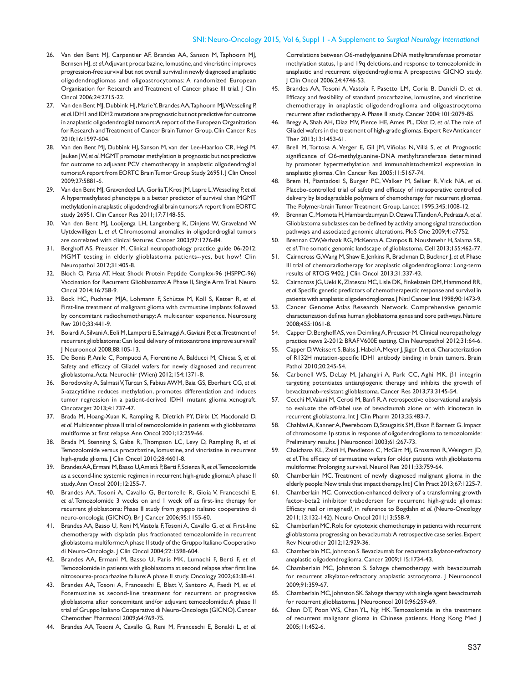- 26. Van den Bent MJ, Carpentier AF, Brandes AA, Sanson M, Taphoorn MJ, Bernsen HJ, *et al*. Adjuvant procarbazine, lomustine, and vincristine improves progression‑free survival but not overall survival in newly diagnosed anaplastic oligodendrogliomas and oligoastrocytomas: A randomized European Organisation for Research and Treatment of Cancer phase III trial. J Clin Oncol 2006;24:2715‑22.
- 27. Van den Bent MJ, Dubbink HJ, Marie Y, Brandes AA, Taphoorn MJ, Wesseling P, *et al*. IDH1 and IDH2 mutations are prognostic but not predictive for outcome in anaplastic oligodendroglial tumors: A report of the European Organization for Research and Treatment of Cancer Brain Tumor Group. Clin Cancer Res 2010;16:1597‑604.
- 28. Van den Bent MJ, Dubbink HJ, Sanson M, van der Lee‑Haarloo CR, Hegi M, Jeuken JW, *et al*. MGMT promoter methylation is prognostic but not predictive for outcome to adjuvant PCV chemotherapy in anaplastic oligodendroglial tumors: A report from EORTC Brain Tumor Group Study 26951. J Clin Oncol 2009;27:5881‑6.
- 29. Van den Bent MJ, Gravendeel LA, GorliaT, Kros JM, Lapre L, Wesseling P, *et al*. A hypermethylated phenotype is a better predictor of survival than MGMT methylation in anaplastic oligodendroglial brain tumors: A report from EORTC study 26951. Clin Cancer Res 2011;17:7148‑55.
- 30. Van den Bent MJ, Looijenga LH, Langenberg K, Dinjens W, Graveland W, Uytdewilligen L, *et al*. Chromosomal anomalies in oligodendroglial tumors are correlated with clinical features. Cancer 2003;97:1276-84.
- 31. Berghoff AS, Preusser M. Clinical neuropathology practice guide 06‑2012: MGMT testing in elderly glioblastoma patients‑‑yes, but how? Clin Neuropathol 2012;31:405‑8.
- 32. Bloch O, Parsa AT. Heat Shock Protein Peptide Complex‑96 (HSPPC‑96) Vaccination for Recurrent Glioblastoma: A Phase II, Single Arm Trial. Neuro Oncol 2014;16:758‑9.
- 33. Bock HC, Puchner MJA, Lohmann F, Schütze M, Koll S, Ketter R, *et al*. First-line treatment of malignant glioma with carmustine implants followed by concomitant radiochemotherapy: A multicenter experience. Neurosurg Rev 2010;33:441‑9.
- 34. BoiardiA, SilvaniA, Eoli M, Lamperti E, SalmaggiA, Gaviani P, *et al*. Treatment of recurrent glioblastoma: Can local delivery of mitoxantrone improve survival? J Neurooncol 2008;88:105‑13.
- 35. De Bonis P, Anile C, Pompucci A, Fiorentino A, Balducci M, Chiesa S, *et al*. Safety and efficacy of Gliadel wafers for newly diagnosed and recurrent glioblastoma. Acta Neurochir (Wien) 2012;154:1371‑8.
- 36. Borodovsky A, SalmasiV, Turcan S, Fabius AWM, Baia GS, Eberhart CG, *et al*. 5‑azacytidine reduces methylation, promotes differentiation and induces tumor regression in a patient-derived IDH1 mutant glioma xenograft. Oncotarget 2013;4:1737‑47.
- 37. Brada M, Hoang‑Xuan K, Rampling R, Dietrich PY, Dirix LY, Macdonald D, *et al*. Multicenter phase II trial of temozolomide in patients with glioblastoma multiforme at first relapse. Ann Oncol 2001;12:259‑66.
- 38. Brada M, Stenning S, Gabe R, Thompson LC, Levy D, Rampling R, *et al*. Temozolomide versus procarbazine, lomustine, and vincristine in recurrent high-grade glioma. J Clin Oncol 2010;28:4601-8.
- 39. BrandesAA, Ermani M, Basso U, Amistà P, Berti F, Scienza R, *et al*. Temozolomide as a second-line systemic regimen in recurrent high-grade glioma: A phase II study. Ann Oncol 2001;12:255‑7.
- 40. Brandes AA, Tosoni A, Cavallo G, Bertorelle R, Gioia V, Franceschi E, *et al*. Temozolomide 3 weeks on and 1 week off as first‑line therapy for recurrent glioblastoma: Phase II study from gruppo italiano cooperativo di neuro‑oncologia (GICNO). Br J Cancer 2006;95:1155‑60.
- 41. Brandes AA, Basso U, Reni M, Vastola F, Tosoni A, Cavallo G, *et al*. First‑line chemotherapy with cisplatin plus fractionated temozolomide in recurrent glioblastoma multiforme: A phase II study of the Gruppo Italiano Cooperativo di Neuro‑Oncologia. J Clin Oncol 2004;22:1598‑604.
- 42. Brandes AA, Ermani M, Basso U, Paris MK, Lumachi F, Berti F, *et al*. Temozolomide in patients with glioblastoma at second relapse after first line nitrosourea-procarbazine failure: A phase II study. Oncology 2002;63:38-41.
- 43. Brandes AA, Tosoni A, Franceschi E, Blatt V, Santoro A, Faedi M, *et al*. Fotemustine as second-line treatment for recurrent or progressive glioblastoma after concomitant and/or adjuvant temozolomide: A phase II trial of Gruppo Italiano Cooperativo di Neuro‑Oncologia (GICNO). Cancer Chemother Pharmacol 2009;64:769‑75.
- 44. Brandes AA, Tosoni A, Cavallo G, Reni M, Franceschi E, Bonaldi L, *et al*.

Correlations between O6‑methylguanine DNA methyltransferase promoter methylation status, 1p and 19q deletions, and response to temozolomide in anaplastic and recurrent oligodendroglioma: A prospective GICNO study. J Clin Oncol 2006;24:4746‑53.

- 45. Brandes AA, Tosoni A, Vastola F, Pasetto LM, Coria B, Danieli D, *et al*. Efficacy and feasibility of standard procarbazine, lomustine, and vincristine chemotherapy in anaplastic oligodendroglioma and oligoastrocytoma recurrent after radiotherapy. A Phase II study. Cancer 2004;101:2079-85.
- 46. Bregy A, Shah AH, Diaz MV, Pierce HE, Ames PL, Diaz D, *et al*. The role of Gliadel wafers in the treatment of high-grade gliomas. Expert Rev Anticancer Ther 2013;13:1453‑61.
- 47. Brell M, Tortosa A, Verger E, Gil JM, Viñolas N, Villá S, *et al*. Prognostic significance of O6‑methylguanine‑DNA methyltransferase determined by promoter hypermethylation and immunohistochemical expression in anaplastic gliomas. Clin Cancer Res 2005;11:5167-74.
- 48. Brem H, Piantadosi S, Burger PC, Walker M, Selker R, Vick NA, *et al*. Placebo-controlled trial of safety and efficacy of intraoperative controlled delivery by biodegradable polymers of chemotherapy for recurrent gliomas. The Polymer‑brain Tumor Treatment Group. Lancet 1995;345:1008‑12.
- 49. Brennan C, Momota H, Hambardzumyan D, OzawaT, TandonA, PedrazaA, *et al*. Glioblastoma subclasses can be defined by activity among signal transduction pathways and associated genomic alterations. PloS One 2009;4: e7752.
- 50. Brennan CW, Verhaak RG, McKennaA, Campos B, Noushmehr H, Salama SR, *et al*. The somatic genomic landscape of glioblastoma. Cell 2013;155:462‑77.
- 51. Cairncross G, Wang M, Shaw E, Jenkins R, Brachman D, Buckner J, *et al*. Phase III trial of chemoradiotherapy for anaplastic oligodendroglioma: Long‑term results of RTOG 9402. J Clin Oncol 2013;31:337‑43.
- 52. Cairncross JG, Ueki K, Zlatescu MC, Lisle DK, Finkelstein DM, Hammond RR, *et al*. Specific genetic predictors of chemotherapeutic response and survival in patients with anaplastic oligodendrogliomas. J Natl Cancer Inst 1998;90:1473‑9.
- 53. Cancer Genome Atlas Research Network. Comprehensive genomic characterization defines human glioblastoma genes and core pathways. Nature 2008;455:1061‑8.
- 54. Capper D, BerghoffAS, von DeimlingA, Preusser M. Clinical neuropathology practice news 2-2012: BRAF V600E testing. Clin Neuropathol 2012;31:64-6.
- 55. Capper D, Weissert S, Balss J, HabelA, Meyer J, Jäger D, *et al*. Characterization of R132H mutation-specific IDH1 antibody binding in brain tumors. Brain Pathol 2010;20:245-54.
- 56. Carbonell WS, DeLay M, Jahangiri A, Park CC, Aghi MK. β1 integrin targeting potentiates antiangiogenic therapy and inhibits the growth of bevacizumab-resistant glioblastoma. Cancer Res 2013;73:3145-54.
- 57. Cecchi M, Vaiani M, Ceroti M, Banfi R. A retrospective observational analysis to evaluate the off‑label use of bevacizumab alone or with irinotecan in recurrent glioblastoma. Int J Clin Pharm 2013;35:483-7.
- 58. ChahlaviA, KannerA, Peereboom D, Staugaitis SM, Elson P, Barnett G. Impact of chromosome 1p status in response of oligodendroglioma to temozolomide: Preliminary results. | Neurooncol 2003;61:267-73.
- 59. Chaichana KL, Zaidi H, Pendleton C, McGirt MJ, Grossman R, Weingart JD, *et al*. The efficacy of carmustine wafers for older patients with glioblastoma multiforme: Prolonging survival. Neurol Res 2011;33:759‑64.
- 60. Chamberlain MC. Treatment of newly diagnosed malignant glioma in the elderly people: New trials that impact therapy. Int J Clin Pract 2013;67:1225-7.
- 61. Chamberlain MC. Convection‑enhanced delivery of a transforming growth factor-beta2 inhibitor trabedersen for recurrent high-grade gliomas: Efficacy real or imagined?, in reference to Bogdahn *et al*. (Neuro‑Oncology 2011;13:132‑142). Neuro Oncol 2011;13:558‑9.
- 62. Chamberlain MC. Role for cytotoxic chemotherapy in patients with recurrent glioblastoma progressing on bevacizumab: A retrospective case series. Expert Rev Neurother 2012;12:929‑36.
- 63. Chamberlain MC, Johnston S. Bevacizumab for recurrent alkylator-refractory anaplastic oligodendroglioma. Cancer 2009;115:1734‑43.
- Chamberlain MC, Johnston S. Salvage chemotherapy with bevacizumab for recurrent alkylator-refractory anaplastic astrocytoma. J Neurooncol 2009;91:359‑67.
- 65. Chamberlain MC, Johnston SK. Salvage therapy with single agent bevacizumab for recurrent glioblastoma. J Neurooncol 2010;96:259‑69.
- 66. Chan DT, Poon WS, Chan YL, Ng HK. Temozolomide in the treatment of recurrent malignant glioma in Chinese patients. Hong Kong Med J 2005;11:452‑6.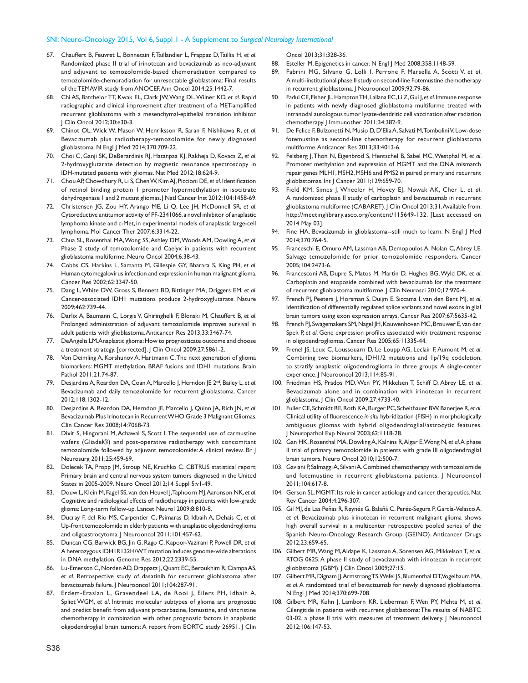- 67. Chauffert B, Feuvret L, Bonnetain F, Taillandier L, Frappaz D, Taillia H, *et al*. Randomized phase II trial of irinotecan and bevacizumab as neo-adjuvant and adjuvant to temozolomide-based chemoradiation compared to temozolomide‑chemoradiation for unresectable glioblastoma: Final results of the TEMAVIR study from ANOCEF. Ann Oncol 2014;25:1442‑7.
- 68. Chi AS, Batchelor TT, Kwak EL, Clark JW, Wang DL, Wilner KD, *et al*. Rapid radiographic and clinical improvement after treatment of a MET-amplified recurrent glioblastoma with a mesenchymal-epithelial transition inhibitor. J Clin Oncol 2012;30:e30‑3.
- 69. Chinot OL, Wick W, Mason W, Henriksson R, Saran F, Nishikawa R, *et al*. Bevacizumab plus radiotherapy-temozolomide for newly diagnosed glioblastoma. N Engl J Med 2014;370:709‑22.
- 70. Choi C, Ganji SK, DeBerardinis RJ, Hatanpaa KJ, Rakheja D, Kovacs Z, *et al*. 2‑hydroxyglutarate detection by magnetic resonance spectroscopy in IDH‑mutated patients with gliomas. Nat Med 2012;18:624‑9.
- 71. ChouAP, Chowdhury R, Li S, ChenW, KimAJ, Piccioni DE, *et al*. Identification of retinol binding protein 1 promoter hypermethylation in isocitrate dehydrogenase 1 and 2 mutant gliomas. J Natl Cancer Inst 2012;104:1458-69.
- 72. Christensen JG, Zou HY, Arango ME, Li Q, Lee JH, McDonnell SR, *et al*. Cytoreductive antitumor activity of PF‑2341066, a novel inhibitor of anaplastic lymphoma kinase and c-Met, in experimental models of anaplastic large-cell lymphoma. Mol Cancer Ther 2007;6:3314‑22.
- 73. Chua SL, Rosenthal MA, Wong SS, Ashley DM, Woods AM, Dowling A, *et al*. Phase 2 study of temozolomide and Caelyx in patients with recurrent glioblastoma multiforme. Neuro Oncol 2004;6:38-43.
- 74. Cobbs CS, Harkins L, Samanta M, Gillespie GY, Bharara S, King PH, *et al*. Human cytomegalovirus infection and expression in human malignant glioma. Cancer Res 2002;62:3347‑50.
- 75. Dang L, White DW, Gross S, Bennett BD, Bittinger MA, Driggers EM, *et al*. Cancer‑associated IDH1 mutations produce 2‑hydroxyglutarate. Nature 2009;462:739‑44.
- 76. Darlix A, Baumann C, Lorgis V, Ghiringhelli F, Blonski M, Chauffert B, *et al*. Prolonged administration of adjuvant temozolomide improves survival in adult patients with glioblastoma. Anticancer Res 2013;33:3467-74.
- 77. DeAngelis LM. Anaplastic glioma: How to prognosticate outcome and choose a treatment strategy. [corrected]. J Clin Oncol 2009;27:5861‑2.
- 78. Von Deimling A, Korshunov A, Hartmann C. The next generation of glioma biomarkers: MGMT methylation, BRAF fusions and IDH1 mutations. Brain Pathol 2011;21:74-87.
- 79. DesjardinsA, Reardon DA, CoanA, Marcello J, Herndon JE 2nd, Bailey L, *et al*. Bevacizumab and daily temozolomide for recurrent glioblastoma. Cancer 2012;118:1302‑12.
- 80. Desjardins A, Reardon DA, Herndon JE, Marcello J, Quinn JA, Rich JN, *et al*. Bevacizumab Plus Irinotecan in Recurrent WHO Grade 3 Malignant Gliomas. Clin Cancer Res 2008;14:7068‑73.
- 81. Dixit S, Hingorani M, Achawal S, Scott I. The sequential use of carmustine wafers (Gliadel®) and post-operative radiotherapy with concomitant temozolomide followed by adjuvant temozolomide: A clinical review. Br J Neurosurg 2011;25:459‑69.
- 82. Dolecek TA, Propp JM, Stroup NE, Kruchko C. CBTRUS statistical report: Primary brain and central nervous system tumors diagnosed in the United States in 2005‑2009. Neuro Oncol 2012;14 Suppl 5:v1‑49.
- 83. Douw L, Klein M, Fagel SS, van den Heuvel J, Taphoorn MJ, Aaronson NK, *et al*. Cognitive and radiological effects of radiotherapy in patients with low‑grade glioma: Long‑term follow‑up. Lancet Neurol 2009;8:810‑8.
- 84. Ducray F, del Rio MS, Carpentier C, Psimaras D, Idbaih A, Dehais C, *et al*. Up‑front temozolomide in elderly patients with anaplastic oligodendroglioma and oligoastrocytoma. J Neurooncol 2011;101:457-62.
- 85. Duncan CG, Barwick BG, Jin G, Rago C, Kapoor‑Vazirani P, Powell DR, *et al*. A heterozygous IDH1R132H/WT mutation induces genome-wide alterations in DNA methylation. Genome Res 2012;22:2339‑55.
- 86. Lu-Emerson C, Norden AD, Drappatz J, Quant EC, Beroukhim R, Ciampa AS, *et al*. Retrospective study of dasatinib for recurrent glioblastoma after bevacizumab failure. J Neurooncol 2011;104:287‑91.
- 87. Erdem‑Eraslan L, Gravendeel LA, de Rooi J, Eilers PH, Idbaih A, Spliet WGM, *et al*. Intrinsic molecular subtypes of glioma are prognostic and predict benefit from adjuvant procarbazine, lomustine, and vincristine chemotherapy in combination with other prognostic factors in anaplastic oligodendroglial brain tumors: A report from EORTC study 26951. J Clin

Oncol 2013;31:328‑36.

- 88. Esteller M. Epigenetics in cancer. N Engl J Med 2008;358:1148-59.
- 89. Fabrini MG, Silvano G, Lolli I, Perrone F, Marsella A, Scotti V, *et al*. A multi-institutional phase II study on second-line Fotemustine chemotherapy in recurrent glioblastoma. J Neurooncol 2009;92:79-86.
- 90. Fadul CE, Fisher JL, Hampton TH, Lallana EC, Li Z, Gui J, et al. Immune response in patients with newly diagnosed glioblastoma multiforme treated with intranodal autologous tumor lysate‑dendritic cell vaccination after radiation chemotherapy. J Immunother 2011;34:382-9.
- 91. De Felice F, Bulzonetti N, Musio D, D'Elia A, Salvati M, Tombolini V. Low-dose fotemustine as second‑line chemotherapy for recurrent glioblastoma multiforme. Anticancer Res 2013;33:4013‑6.
- 92. Felsberg J, Thon N, Eigenbrod S, Hentschel B, Sabel MC, Westphal M, *et al*. Promoter methylation and expression of MGMT and the DNA mismatch repair genes MLH1, MSH2, MSH6 and PMS2 in paired primary and recurrent glioblastomas. Int J Cancer 2011;129:659‑70.
- 93. Field KM, Simes J, Wheeler H, Hovey EJ, Nowak AK, Cher L, *et al*. A randomized phase II study of carboplatin and bevacizumab in recurrent glioblastoma multiforme (CABARET). J Clin Oncol 2013;31. Available from: http://meetinglibrary.asco.org/content/115649‑132. [Last accessed on 2014 May 03].
- Fine HA. Bevacizumab in glioblastoma--still much to learn. N Engl J Med 2014;370:764‑5.
- 95. Franceschi E, Omuro AM, Lassman AB, Demopoulos A, Nolan C, Abrey LE. Salvage temozolomide for prior temozolomide responders. Cancer 2005;104:2473‑6.
- 96. Francesconi AB, Dupre S, Matos M, Martin D, Hughes BG, Wyld DK, *et al*. Carboplatin and etoposide combined with bevacizumab for the treatment of recurrent glioblastoma multiforme. J Clin Neurosci 2010;17:970-4.
- 97. French PJ, Peeters J, Horsman S, Duijm E, Siccama I, van den Bent MJ, *et al*. Identification of differentially regulated splice variants and novel exons in glial brain tumors using exon expression arrays. Cancer Res 2007;67:5635-42.
- 98. French PJ, Swagemakers SM, Nagel JH, Kouwenhoven MC, Brouwer E, van der Spek P, *et al*. Gene expression profiles associated with treatment response in oligodendrogliomas. Cancer Res 2005;65:11335-44.
- 99. Frenel JS, Leux C, Loussouarn D, Le Loupp AG, Leclair F, Aumont M, *et al*. Combining two biomarkers, IDH1/2 mutations and 1p/19q codeletion, to stratify anaplastic oligodendroglioma in three groups: A single‑center experience. J Neurooncol 2013;114:85-91.
- 100. Friedman HS, Prados MD, Wen PY, Mikkelsen T, Schiff D, Abrey LE, *et al*. Bevacizumab alone and in combination with irinotecan in recurrent glioblastoma. J Clin Oncol 2009;27:4733‑40.
- 101. Fuller CE, Schmidt RE, Roth KA, Burger PC, Scheithauer BW, Banerjee R, *et al*. Clinical utility of fluorescence *in situ* hybridization (FISH) in morphologically ambiguous gliomas with hybrid oligodendroglial/astrocytic features. J Neuropathol Exp Neurol 2003;62:1118‑28.
- 102. Gan HK, Rosenthal MA, DowlingA, Kalnins R, Algar E, Wong N, *et al*. A phase II trial of primary temozolomide in patients with grade III oligodendroglial brain tumors. Neuro Oncol 2010;12:500‑7.
- 103. Gaviani P, SalmaggiA, SilvaniA. Combined chemotherapy with temozolomide and fotemustine in recurrent glioblastoma patients. J Neurooncol 2011;104:617‑8.
- 104. Gerson SL. MGMT: Its role in cancer aetiology and cancer therapeutics. Nat Rev Cancer 2004;4:296‑307.
- 105. Gil MJ, de Las Peñas R, Reynés G, Balañá C, Peréz‑Segura P, García‑VelascoA, *et al*. Bevacizumab plus irinotecan in recurrent malignant glioma shows high overall survival in a multicenter retrospective pooled series of the Spanish Neuro‑Oncology Research Group (GEINO). Anticancer Drugs 2012;23:659‑65.
- 106. Gilbert MR, Wang M, Aldape K, Lassman A, Sorensen AG, Mikkelson T, *et al*. RTOG 0625: A phase II study of bevacizumab with irinotecan in recurrent glioblastoma (GBM). J Clin Oncol 2009;27:15.
- 107. Gilbert MR, Dignam JJ, ArmstrongTS, Wefel JS, Blumenthal DT, Vogelbaum MA, *et al*. A randomized trial of bevacizumab for newly diagnosed glioblastoma. N Engl J Med 2014;370:699‑708.
- 108. Gilbert MR, Kuhn J, Lamborn KR, Lieberman F, Wen PY, Mehta M, *et al*. Cilengitide in patients with recurrent glioblastoma: The results of NABTC 03-02, a phase II trial with measures of treatment delivery. J Neurooncol 2012;106:147‑53.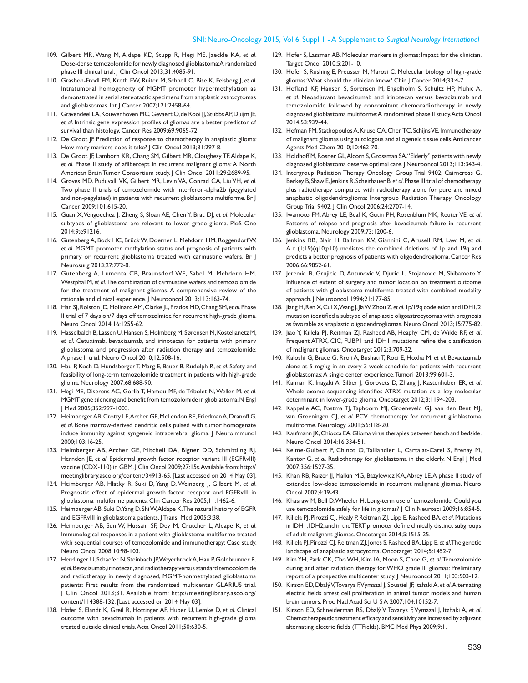- 109. Gilbert MR, Wang M, Aldape KD, Stupp R, Hegi ME, Jaeckle KA, *et al*. Dose-dense temozolomide for newly diagnosed glioblastoma: A randomized phase III clinical trial. J Clin Oncol 2013;31:4085-91.
- 110. Grasbon‑Frodl EM, Kreth FW, Ruiter M, Schnell O, Bise K, Felsberg J, *et al*. Intratumoral homogeneity of MGMT promoter hypermethylation as demonstrated in serial stereotactic specimens from anaplastic astrocytomas and glioblastomas. Int J Cancer 2007;121:2458-64.
- 111. Gravendeel LA, Kouwenhoven MC, Gevaert O, de Rooi JJ, StubbsAP, Duijm JE, *et al*. Intrinsic gene expression profiles of gliomas are a better predictor of survival than histology. Cancer Res 2009;69:9065-72.
- 112. De Groot JF. Prediction of response to chemotherapy in anaplastic glioma: How many markers does it take? J Clin Oncol 2013;31:297‑8.
- 113. De Groot JF, Lamborn KR, Chang SM, Gilbert MR, Cloughesy TF, Aldape K, *et al*. Phase II study of aflibercept in recurrent malignant glioma: A North American Brain Tumor Consortium study. J Clin Oncol 2011;29:2689-95.
- 114. Groves MD, Puduvalli VK, Gilbert MR, Levin VA, Conrad CA, Liu VH, *et al*. Two phase II trials of temozolomide with interferon-alpha2b (pegylated and non-pegylated) in patients with recurrent glioblastoma multiforme. Br J Cancer 2009;101:615‑20.
- 115. Guan X, Vengoechea J, Zheng S, Sloan AE, Chen Y, Brat DJ, *et al*. Molecular subtypes of glioblastoma are relevant to lower grade glioma. PloS One 2014;9:e91216.
- 116. Gutenberg A, Bock HC, Brück W, Doerner L, Mehdorn HM, RoggendorfW, *et al*. MGMT promoter methylation status and prognosis of patients with primary or recurrent glioblastoma treated with carmustine wafers. Br J Neurosurg 2013;27:772‑8.
- 117. Gutenberg A, Lumenta CB, Braunsdorf WE, Sabel M, Mehdorn HM, Westphal M, *et al*. The combination of carmustine wafers and temozolomide for the treatment of malignant gliomas. A comprehensive review of the rationale and clinical experience. J Neurooncol 2013;113:163-74.
- 118. Han SJ, Rolston JD, MolinaroAM, Clarke JL, Prados MD, Chang SM, *et al*. Phase II trial of 7 days on/7 days off temozolmide for recurrent high-grade glioma. Neuro Oncol 2014;16:1255‑62.
- 119. Hasselbalch B, Lassen U, Hansen S, Holmberg M, Sørensen M, Kosteljanetz M, *et al*. Cetuximab, bevacizumab, and irinotecan for patients with primary glioblastoma and progression after radiation therapy and temozolomide: A phase II trial. Neuro Oncol 2010;12:508‑16.
- 120. Hau P, Koch D, Hundsberger T, Marg E, Bauer B, Rudolph R, *et al*. Safety and feasibility of long-term temozolomide treatment in patients with high-grade glioma. Neurology 2007;68:688‑90.
- 121. Hegi ME, Diserens AC, Gorlia T, Hamou MF, de Tribolet N, Weller M, *et al*. MGMT gene silencing and benefit from temozolomide in glioblastoma. N Engl J Med 2005;352:997‑1003.
- 122. Heimberger AB, Crotty LE, Archer GE, McLendon RE, Friedman A, Dranoff G, *et al*. Bone marrow‑derived dendritic cells pulsed with tumor homogenate induce immunity against syngeneic intracerebral glioma. J Neuroimmunol 2000;103:16‑25.
- 123. Heimberger AB, Archer GE, Mitchell DA, Bigner DD, Schmittling RJ, Herndon JE, *et al*. Epidermal growth factor receptor variant III (EGFRvIII) vaccine (CDX-110) in GBM. J Clin Oncol 2009;27:15s. Available from: http:// meetinglibrary.asco.org/content/34913-65. [Last accessed on 2014 May 03].
- 124. Heimberger AB, Hlatky R, Suki D, Yang D, Weinberg J, Gilbert M, *et al*. Prognostic effect of epidermal growth factor receptor and EGFRvIII in glioblastoma multiforme patients. Clin Cancer Res 2005;11:1462-6.
- 125. Heimberger AB, Suki D, Yang D, Shi W, Aldape K. The natural history of EGFR and EGFRvIII in glioblastoma patients. J Transl Med 2005;3:38.
- 126. Heimberger AB, Sun W, Hussain SF, Dey M, Crutcher L, Aldape K, *et al*. Immunological responses in a patient with glioblastoma multiforme treated with sequential courses of temozolomide and immunotherapy: Case study. Neuro Oncol 2008;10:98‑103.
- 127. Herrlinger U, Schaefer N, Steinbach JP, Weyerbrock A, Hau P, Goldbrunner R, *et al*. Bevacizumab, irinotecan, and radiotherapy versus standard temozolomide and radiotherapy in newly diagnosed, MGMT-nonmethylated glioblastoma patients: First results from the randomized multicenter GLARIUS trial. J Clin Oncol 2013;31. Available from: http://meetinglibrary.asco.org/ content/114388‑132. [Last accessed on 2014 May 03].
- 128. Hofer S, Elandt K, Greil R, Hottinger AF, Huber U, Lemke D, *et al*. Clinical outcome with bevacizumab in patients with recurrent high-grade glioma treated outside clinical trials. Acta Oncol 2011;50:630‑5.
- 129. Hofer S, Lassman AB. Molecular markers in gliomas: Impact for the clinician. Target Oncol 2010;5:201‑10.
- 130. Hofer S, Rushing E, Preusser M, Marosi C. Molecular biology of high-grade gliomas: What should the clinician know? Chin J Cancer 2014;33:4‑7.
- 131. Hofland KF, Hansen S, Sorensen M, Engelholm S, Schultz HP, Muhic A, *et al*. Neoadjuvant bevacizumab and irinotecan versus bevacizumab and temozolomide followed by concomitant chemoradiotherapy in newly diagnosed glioblastoma multiforme: A randomized phase II study. Acta Oncol 2014;53:939‑44.
- 132. Hofman FM, Stathopoulos A, Kruse CA, Chen TC, Schijns VE. Immunotherapy of malignant gliomas using autologous and allogeneic tissue cells. Anticancer Agents Med Chem 2010;10:462‑70.
- 133. Holdhoff M, Rosner GL, Alcorn S, Grossman SA. "Elderly" patients with newly diagnosed glioblastoma deserve optimal care. J Neurooncol 2013;113:343-4.
- 134. Intergroup Radiation Therapy Oncology Group Trial 9402; Cairncross G, Berkey B, Shaw E, Jenkins R, Scheithauer B, *et al*. Phase III trial of chemotherapy plus radiotherapy compared with radiotherapy alone for pure and mixed anaplastic oligodendroglioma: Intergroup Radiation Therapy Oncology Group Trial 9402. J Clin Oncol 2006;24:2707‑14.
- 135. Iwamoto FM, Abrey LE, Beal K, Gutin PH, Rosenblum MK, Reuter VE, *et al*. Patterns of relapse and prognosis after bevacizumab failure in recurrent glioblastoma. Neurology 2009;73:1200‑6.
- 136. Jenkins RB, Blair H, Ballman KV, Giannini C, Arusell RM, Law M, *et al*. A t (1;19)(q10;p10) mediates the combined deletions of 1p and 19q and predicts a better prognosis of patients with oligodendroglioma. Cancer Res 2006;66:9852‑61.
- 137. Jeremic B, Grujicic D, Antunovic V, Djuric L, Stojanovic M, Shibamoto Y. Influence of extent of surgery and tumor location on treatment outcome of patients with glioblastoma multiforme treated with combined modality approach. J Neurooncol 1994;21:177‑85.
- 138. Jiang H, Ren X, Cui X, Wang J, JiaW, Zhou Z, *et al*. 1p/19q codeletion and IDH1/2 mutation identified a subtype of anaplastic oligoastrocytomas with prognosis as favorable as anaplastic oligodendrogliomas. Neuro Oncol 2013;15:775‑82.
- 139. Jiao Y, Killela PJ, Reitman ZJ, Rasheed AB, Heaphy CM, de Wilde RF, *et al*. Frequent ATRX, CIC, FUBP1 and IDH1 mutations refine the classification of malignant gliomas. Oncotarget 2012;3:709‑22.
- 140. Kaloshi G, Brace G, Rroji A, Bushati T, Roci E, Hoxha M, *et al*. Bevacizumab alone at 5 mg/kg in an every‑3‑week schedule for patients with recurrent glioblastomas: A single center experience. Tumori 2013;99:601‑3.
- 141. Kannan K, Inagaki A, Silber J, Gorovets D, Zhang J, Kastenhuber ER, *et al*. Whole-exome sequencing identifies ATRX mutation as a key molecular determinant in lower-grade glioma. Oncotarget 2012;3:1194-203.
- 142. Kappelle AC, Postma TJ, Taphoorn MJ, Groeneveld GJ, van den Bent MJ, van Groeningen CJ, *et al*. PCV chemotherapy for recurrent glioblastoma multiforme. Neurology 2001;56:118-20.
- 143. Kaufmann JK, Chiocca EA. Glioma virus therapies between bench and bedside. Neuro Oncol 2014;16:334‑51.
- 144. Keime-Guibert F, Chinot O, Taillandier L, Cartalat-Carel S, Frenay M, Kantor G, *et al*. Radiotherapy for glioblastoma in the elderly. N Engl J Med 2007;356:1527‑35.
- 145. Khan RB, Raizer JJ, Malkin MG, Bazylewicz KA, Abrey LE. A phase II study of extended low‑dose temozolomide in recurrent malignant gliomas. Neuro Oncol 2002;4:39‑43.
- 146. Khasraw M, Bell D, Wheeler H. Long-term use of temozolomide: Could you use temozolomide safely for life in gliomas? J Clin Neurosci 2009;16:854‑5.
- 147. Killela PJ, Pirozzi CJ, Healy P, Reitman ZJ, Lipp E, Rasheed BA, *et al*. Mutations in IDH1, IDH2, and in the TERT promoter define clinically distinct subgroups of adult malignant gliomas. Oncotarget 2014;5:1515-25.
- 148. Killela PJ, Pirozzi CJ, Reitman ZJ, Jones S, Rasheed BA, Lipp E, *et al*. The genetic landscape of anaplastic astrocytoma. Oncotarget 2014;5:1452‑7.
- 149. Kim YH, Park CK, Cho WH, Kim IA, Moon S, Choe G, *et al*. Temozolomide during and after radiation therapy for WHO grade III gliomas: Preliminary report of a prospective multicenter study. J Neurooncol 2011;103:503‑12.
- 150. Kirson ED, Dbalý V, Tovarys F, Vymazal J, Soustiel JF, Itzhaki A, et al. Alternating electric fields arrest cell proliferation in animal tumor models and human brain tumors. Proc Natl Acad Sci U S A 2007;104:10152‑7.
- 151. Kirson ED, Schneiderman RS, Dbalý V, Tovarys F, Vymazal J, Itzhaki A, *et al*. Chemotherapeutic treatment efficacy and sensitivity are increased by adjuvant alternating electric fields (TTFields). BMC Med Phys 2009;9:1.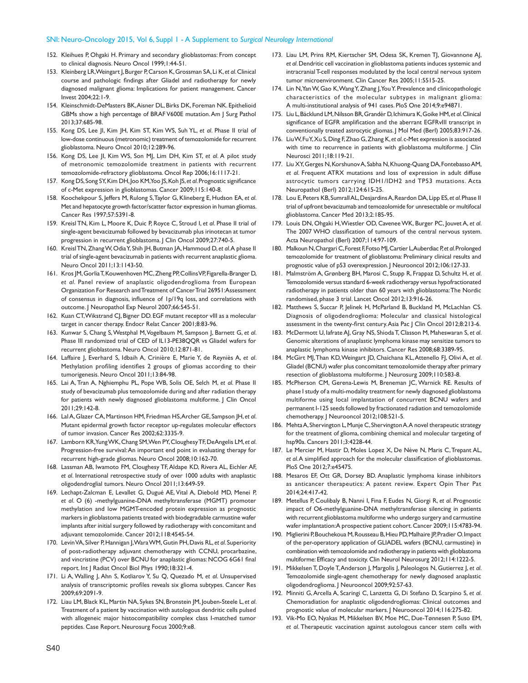- 152. Kleihues P, Ohgaki H. Primary and secondary glioblastomas: From concept to clinical diagnosis. Neuro Oncol 1999;1:44‑51.
- 153. Kleinberg LR, Weingart J, Burger P, Carson K, Grossman SA, Li K, *et al*. Clinical course and pathologic findings after Gliadel and radiotherapy for newly diagnosed malignant glioma: Implications for patient management. Cancer Invest 2004;22:1‑9.
- 154. Kleinschmidt‑DeMasters BK, Aisner DL, Birks DK, Foreman NK. Epithelioid GBMs show a high percentage of BRAF V600E mutation. Am J Surg Pathol 2013;37:685‑98.
- 155. Kong DS, Lee JI, Kim JH, Kim ST, Kim WS, Suh YL, *et al*. Phase II trial of low‑dose continuous(metronomic) treatment of temozolomide for recurrent glioblastoma. Neuro Oncol 2010;12:289‑96.
- 156. Kong DS, Lee JI, Kim WS, Son MJ, Lim DH, Kim ST, *et al*. A pilot study of metronomic temozolomide treatment in patients with recurrent temozolomide-refractory glioblastoma. Oncol Rep 2006;16:1117-21.
- 157. Kong DS, Song SY, Kim DH, Joo KM, Yoo JS, Koh JS, *et al*. Prognostic significance of c-Met expression in glioblastomas. Cancer 2009;115:140-8.
- 158. Koochekpour S, Jeffers M, Rulong S, Taylor G, Klineberg E, Hudson EA, *et al*. Met and hepatocyte growth factor/scatter factor expression in human gliomas. Cancer Res 1997;57:5391‑8.
- 159. Kreisl TN, Kim L, Moore K, Duic P, Royce C, Stroud I, *et al*. Phase II trial of single‑agent bevacizumab followed by bevacizumab plus irinotecan at tumor progression in recurrent glioblastoma. J Clin Oncol 2009;27:740‑5.
- 160. KreislTN, ZhangW, OdiaY, Shih JH, Butman JA, Hammoud D, *et al*. A phase II trial of single‑agent bevacizumab in patients with recurrent anaplastic glioma. Neuro Oncol 2011;13:1143‑50.
- 161. Kros JM, GorliaT, Kouwenhoven MC, Zheng PP, CollinsVP, Figarella‑Branger D, *et al*. Panel review of anaplastic oligodendroglioma from European Organization For Research and Treatment of Cancer Trial 26951: Assessment of consensus in diagnosis, influence of 1p/19q loss, and correlations with outcome. J Neuropathol Exp Neurol 2007;66:545-51.
- 162. Kuan CT, Wikstrand CJ, Bigner DD. EGF mutant receptor vIII as a molecular target in cancer therapy. Endocr Relat Cancer 2001;8:83‑96.
- 163. Kunwar S, Chang S, Westphal M, Vogelbaum M, Sampson J, Barnett G, *et al*. Phase III randomized trial of CED of IL13-PE38QQR vs Gliadel wafers for recurrent glioblastoma. Neuro Oncol 2010;12:871‑81.
- 164. Laffaire J, Everhard S, Idbaih A, Crinière E, Marie Y, de Reyniès A, *et al*. Methylation profiling identifies 2 groups of gliomas according to their tumorigenesis. Neuro Oncol 2011;13:84‑98.
- 165. Lai A, Tran A, Nghiemphu PL, Pope WB, Solis OE, Selch M, *et al*. Phase II study of bevacizumab plus temozolomide during and after radiation therapy for patients with newly diagnosed glioblastoma multiforme. J Clin Oncol 2011;29:142‑8.
- 166. LalA, Glazer CA, Martinson HM, Friedman HS, Archer GE, Sampson JH, *et al*. Mutant epidermal growth factor receptor up-regulates molecular effectors of tumor invasion. Cancer Res 2002;62:3335‑9.
- 167. Lamborn KR, YungWK, Chang SM, Wen PY, CloughesyTF, DeAngelis LM, *et al*. Progression-free survival: An important end point in evaluating therapy for recurrent high‑grade gliomas. Neuro Oncol 2008;10:162‑70.
- 168. Lassman AB, Iwamoto FM, Cloughesy TF, Aldape KD, Rivera AL, Eichler AF, *et al*. International retrospective study of over 1000 adults with anaplastic oligodendroglial tumors. Neuro Oncol 2011;13:649‑59.
- 169. Lechapt-Zalcman E, Levallet G, Dugué AE, Vital A, Diebold MD, Menei P, *et al*. O (6) ‑methylguanine‑DNA methyltransferase (MGMT) promoter methylation and low MGMT‑encoded protein expression as prognostic markers in glioblastoma patients treated with biodegradable carmustine wafer implants after initial surgery followed by radiotherapy with concomitant and adjuvant temozolomide. Cancer 2012;118:4545-54.
- 170. LevinVA, Silver P, Hannigan J, WaraWM, Gutin PH, Davis RL, *et al*. Superiority of post-radiotherapy adjuvant chemotherapy with CCNU, procarbazine, and vincristine (PCV) over BCNU for anaplastic gliomas: NCOG 6G61 final report. Int J Radiat Oncol Biol Phys 1990;18:321‑4.
- 171. Li A, Walling J, Ahn S, Kotliarov Y, Su Q, Quezado M, *et al*. Unsupervised analysis of transcriptomic profiles reveals six glioma subtypes. Cancer Res 2009;69:2091‑9.
- 172. Liau LM, Black KL, Martin NA, Sykes SN, Bronstein JM, Jouben‑Steele L, *et al*. Treatment of a patient by vaccination with autologous dendritic cells pulsed with allogeneic major histocompatibility complex class I-matched tumor peptides. Case Report. Neurosurg Focus 2000;9:e8.
- 173. Liau LM, Prins RM, Kiertscher SM, Odesa SK, Kremen TJ, Giovannone AJ, *et al*. Dendritic cell vaccination in glioblastoma patients induces systemic and intracranial T-cell responses modulated by the local central nervous system tumor microenvironment. Clin Cancer Res 2005;11:5515‑25.
- 174. Lin N, Yan W, Gao K, Wang Y, Zhang J, You Y. Prevalence and clinicopathologic characteristics of the molecular subtypes in malignant glioma: A multi‑institutional analysis of 941 cases. PloS One 2014;9:e94871.
- 175. Liu L, Bäcklund LM, Nilsson BR, Grandér D, Ichimura K, Goike HM, *et al*. Clinical significance of EGFR amplification and the aberrant EGFRvIII transcript in conventionally treated astrocytic gliomas. J Mol Med (Berl) 2005;83:917‑26.
- 176. LiuW, FuY, Xu S, Ding F, Zhao G, Zhang K, *et al*. c‑Met expression is associated with time to recurrence in patients with glioblastoma multiforme. J Clin Neurosci 2011;18:119‑21.
- 177. Liu XY, Gerges N, Korshunov A, Sabha N, Khuong-Quang DA, Fontebasso AM, *et al*. Frequent ATRX mutations and loss of expression in adult diffuse astrocytic tumors carrying IDH1/IDH2 and TP53 mutations. Acta Neuropathol (Berl) 2012;124:615‑25.
- 178. Lou E, Peters KB, SumrallAL, DesjardinsA, Reardon DA, Lipp ES, *et al*. Phase II trial of upfront bevacizumab and temozolomide for unresectable or multifocal glioblastoma. Cancer Med 2013;2:185‑95.
- 179. Louis DN, Ohgaki H, Wiestler OD, CaveneeWK, Burger PC, Jouvet A, *et al*. The 2007 WHO classification of tumours of the central nervous system. Acta Neuropathol (Berl) 2007;114:97‑109.
- 180. Malkoun N, Chargari C, Forest F, Fotso MJ, Cartier L, Auberdiac P, *et al*. Prolonged temozolomide for treatment of glioblastoma: Preliminary clinical results and prognostic value of p53 overexpression. J Neurooncol 2012;106:127-33.
- 181. Malmström A, Grønberg BH, Marosi C, Stupp R, Frappaz D, Schultz H, *et al*. Temozolomide versus standard 6‑week radiotherapy versus hypofractionated radiotherapy in patients older than 60 years with glioblastoma: The Nordic randomised, phase 3 trial. Lancet Oncol 2012;13:916‑26.
- 182. Matthews S, Succar P, Jelinek H, McParland B, Buckland M, McLachlan CS. Diagnosis of oligodendroglioma: Molecular and classical histological assessment in the twenty‑first century. Asia Pac J Clin Oncol 2012;8:213‑6.
- 183. McDermott U, IafrateAJ, Gray NS, ShiodaT, Classon M, Maheswaran S, *et al*. Genomic alterations of anaplastic lymphoma kinase may sensitize tumors to anaplastic lymphoma kinase inhibitors. Cancer Res 2008;68:3389‑95.
- 184. McGirt MJ, Than KD, Weingart JD, Chaichana KL, Attenello FJ, Olivi A, *et al*. Gliadel (BCNU) wafer plus concomitant temozolomide therapy after primary resection of glioblastoma multiforme. J Neurosurg 2009;110:583-8.
- 185. McPherson CM, Gerena-Lewis M, Breneman JC, Warnick RE. Results of phase I study of a multi-modality treatment for newly diagnosed glioblastoma multiforme using local implantation of concurrent BCNU wafers and permanent I‑125 seeds followed by fractionated radiation and temozolomide chemotherapy. J Neurooncol 2012;108:521-5.
- 186. Mehta A, Shervington L, Munje C, Shervington A.A novel therapeutic strategy for the treatment of glioma, combining chemical and molecular targeting of hsp90a. Cancers 2011;3:4228‑44.
- 187. Le Mercier M, Hastir D, Moles Lopez X, De Nève N, Maris C, Trepant AL, *et al*. A simplified approach for the molecular classification of glioblastomas. PloS One 2012;7:e45475.
- 188. Mesaros EF, Ott GR, Dorsey BD. Anaplastic lymphoma kinase inhibitors as anticancer therapeutics: A patent review. Expert Opin Ther Pat 2014;24:417‑42.
- 189. Metellus P, Coulibaly B, Nanni I, Fina F, Eudes N, Giorgi R, *et al*. Prognostic impact of O6‑methylguanine‑DNA methyltransferase silencing in patients with recurrent glioblastoma multiforme who undergo surgery and carmustine wafer implantation: A prospective patient cohort. Cancer 2009; 115:4783-94.
- 190. Miglierini P, Bouchekoua M, Rousseau B, Hieu PD, Malhaire JP, Pradier O. Impact of the per‑operatory application of GLIADEL wafers (BCNU, carmustine) in combination with temozolomide and radiotherapy in patients with glioblastoma multiforme: Efficacy and toxicity. Clin Neurol Neurosurg 2012;114:1222-5.
- 191. Mikkelsen T, Doyle T, Anderson J, Margolis J, Paleologos N, Gutierrez J, *et al*. Temozolomide single‑agent chemotherapy for newly diagnosed anaplastic oligodendroglioma. J Neurooncol 2009;92:57‑63.
- 192. Minniti G, Arcella A, Scaringi C, Lanzetta G, Di Stefano D, Scarpino S, *et al*. Chemoradiation for anaplastic oligodendrogliomas: Clinical outcomes and prognostic value of molecular markers. J Neurooncol 2014;116:275-82.
- 193. Vik‑Mo EO, Nyakas M, Mikkelsen BV, Moe MC, Due‑Tønnesen P, Suso EM, *et al*. Therapeutic vaccination against autologous cancer stem cells with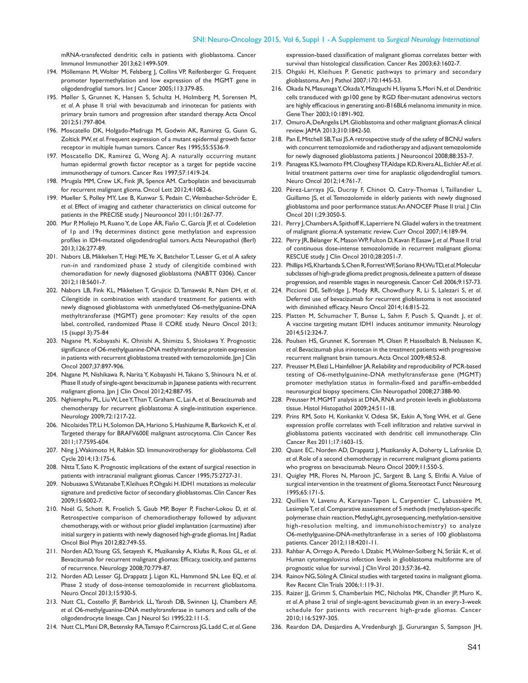mRNA‑transfected dendritic cells in patients with glioblastoma. Cancer Immunol Immunother 2013;62:1499‑509.

- 194. Möllemann M, Wolter M, Felsberg J, Collins VP, Reifenberger G. Frequent promoter hypermethylation and low expression of the MGMT gene in oligodendroglial tumors. Int J Cancer 2005;113:379-85.
- 195. Møller S, Grunnet K, Hansen S, Schultz H, Holmberg M, Sorensen M, *et al*. A phase II trial with bevacizumab and irinotecan for patients with primary brain tumors and progression after standard therapy. Acta Oncol 2012;51:797‑804.
- 196. Moscatello DK, Holgado‑Madruga M, Godwin AK, Ramirez G, Gunn G, Zoltick PW, *et al*. Frequent expression of a mutant epidermal growth factor receptor in multiple human tumors. Cancer Res 1995;55:5536‑9.
- 197. Moscatello DK, Ramirez G, Wong AJ. A naturally occurring mutant human epidermal growth factor receptor as a target for peptide vaccine immunotherapy of tumors. Cancer Res 1997;57:1419-24.
- 198. Mrugala MM, Crew LK, Fink JR, Spence AM. Carboplatin and bevacizumab for recurrent malignant glioma. Oncol Lett 2012;4:1082‑6.
- 199. Mueller S, Polley MY, Lee B, Kunwar S, Pedain C, Wembacher-Schröder E, *et al*. Effect of imaging and catheter characteristics on clinical outcome for patients in the PRECISE study. J Neurooncol 2011;101:267-77.
- 200. Mur P, Mollejo M, RuanoY, de Lope ÁR, Fiaño C, García JF, *et al*. Codeletion of 1p and 19q determines distinct gene methylation and expression profiles in IDH‑mutated oligodendroglial tumors. Acta Neuropathol (Berl) 2013;126:277‑89.
- 201. Nabors LB, Mikkelsen T, Hegi ME, Ye X, Batchelor T, Lesser G, *et al*. A safety run-in and randomized phase 2 study of cilengitide combined with chemoradiation for newly diagnosed glioblastoma (NABTT 0306). Cancer 2012;118:5601‑7.
- 202. Nabors LB, Fink KL, Mikkelsen T, Grujicic D, Tamawski R, Nam DH, *et al*. Cilengitide in combination with standard treatment for patients with newly diagnosed glioblastoma with unmethylated O6‑methylguanine‑DNA methyltransferase (MGMT) gene promoter: Key results of the open label, controlled, randomized Phase II CORE study. Neuro Oncol 2013; 15 (suppl 3):75-84
- 203. Nagane M, Kobayashi K, Ohnishi A, Shimizu S, Shiokawa Y. Prognostic significance of O6‑methylguanine‑DNA methyltransferase protein expression in patients with recurrent glioblastoma treated with temozolomide. Jpn J Clin Oncol 2007;37:897‑906.
- 204. Nagane M, Nishikawa R, Narita Y, Kobayashi H, Takano S, Shinoura N, *et al*. Phase II study of single-agent bevacizumab in Japanese patients with recurrent malignant glioma. Jpn J Clin Oncol 2012;42:887‑95.
- 205. Nghiemphu PL, LiuW, LeeY, ThanT, Graham C, LaiA, *et al*. Bevacizumab and chemotherapy for recurrent glioblastoma: A single‑institution experience. Neurology 2009;72:1217‑22.
- 206. NicolaidesTP, Li H, Solomon DA, Hariono S, Hashizume R, Barkovich K, *et al*. Targeted therapy for BRAFV600E malignant astrocytoma. Clin Cancer Res 2011;17:7595‑604.
- 207. Ning J, Wakimoto H, Rabkin SD. Immunovirotherapy for glioblastoma. Cell Cycle 2014;13:175‑6.
- 208. NittaT, Sato K. Prognostic implications of the extent of surgical resection in patients with intracranial malignant gliomas. Cancer 1995;75:2727-31.
- 209. Nobusawa S, WatanabeT, Kleihues P, Ohgaki H. IDH1 mutations as molecular signature and predictive factor of secondary glioblastomas. Clin Cancer Res 2009;15:6002‑7.
- 210. Noël G, Schott R, Froelich S, Gaub MP, Boyer P, Fischer‑Lokou D, *et al*. Retrospective comparison of chemoradiotherapy followed by adjuvant chemotherapy, with or without prior gliadel implantation (carmustine) after initial surgery in patients with newly diagnosed high-grade gliomas. Int J Radiat Oncol Biol Phys 2012;82:749‑55.
- 211. Norden AD, Young GS, Setayesh K, Muzikansky A, Klufas R, Ross GL, *et al*. Bevacizumab for recurrent malignant gliomas: Efficacy, toxicity, and patterns of recurrence. Neurology 2008;70:779‑87.
- 212. Norden AD, Lesser GJ, Drappatz J, Ligon KL, Hammond SN, Lee EQ, *et al*. Phase 2 study of dose-intense temozolomide in recurrent glioblastoma. Neuro Oncol 2013;15:930‑5.
- 213. Nutt CL, Costello JF, Bambrick LL, Yarosh DB, Swinnen LJ, Chambers AF, *et al*. O6‑methylguanine‑DNA methyltransferase in tumors and cells of the oligodendrocyte lineage. Can J Neurol Sci 1995;22:111‑5.
- 214. Nutt CL, Mani DR, Betensky RA, Tamayo P, Cairncross JG, Ladd C, *et al*. Gene

expression-based classification of malignant gliomas correlates better with survival than histological classification. Cancer Res 2003;63:1602-7.

- 215. Ohgaki H, Kleihues P. Genetic pathways to primary and secondary glioblastoma. Am J Pathol 2007;170:1445‑53.
- 216. Okada N, MasunagaY, OkadaY, Mizuguchi H, Iiyama S, Mori N, *et al*. Dendritic cells transduced with gp100 gene by RGD fiber-mutant adenovirus vectors are highly efficacious in generating anti‑B16BL6 melanoma immunity in mice. Gene Ther 2003;10:1891‑902.
- 217. OmuroA, DeAngelis LM. Glioblastoma and other malignant gliomas: A clinical review. JAMA 2013;310:1842‑50.
- 218. Pan E, Mitchell SB, Tsai JS. A retrospective study of the safety of BCNU wafers with concurrent temozolomide and radiotherapy and adjuvant temozolomide for newly diagnosed glioblastoma patients. J Neurooncol 2008;88:353‑7.
- 219. Panageas KS, Iwamoto FM, CloughesyTF, Aldape KD, RiveraAL, EichlerAF, *et al*. Initial treatment patterns over time for anaplastic oligodendroglial tumors. Neuro Oncol 2012;14:761‑7.
- 220. Pérez-Larraya JG, Ducray F, Chinot O, Catry-Thomas I, Taillandier L, Guillamo JS, *et al*. Temozolomide in elderly patients with newly diagnosed glioblastoma and poor performance status: An ANOCEF Phase II trial. J Clin Oncol 2011;29:3050‑5.
- 221. Perry J, ChambersA, Spithoff K, Laperriere N. Gliadel wafers in the treatment of malignant glioma: A systematic review. Curr Oncol 2007;14:189-94.
- 222. Perry JR, Bélanger K, MasonWP, Fulton D, Kavan P, Easaw J, *et al*. Phase II trial of continuous dose‑intense temozolomide in recurrent malignant glioma: RESCUE study. J Clin Oncol 2010;28:2051‑7.
- 223. Phillips HS, Kharbanda S, Chen R, ForrestWF, Soriano RH, WuTD, *et al*. Molecular subclasses of high‑grade glioma predict prognosis, delineate a pattern of disease progression, and resemble stages in neurogenesis. Cancer Cell 2006;9:157-73.
- 224. Piccioni DE, Selfridge J, Mody RR, Chowdhury R, Li S, Lalezari S, *et al*. Deferred use of bevacizumab for recurrent glioblastoma is not associated with diminished efficacy. Neuro Oncol 2014;16:815-22.
- 225. Platten M, Schumacher T, Bunse L, Sahm F, Pusch S, Quandt J, *et al*. A vaccine targeting mutant IDH1 induces antitumor immunity. Neurology 2014;512:324‑7.
- 226. Poulsen HS, Grunnet K, Sorensen M, Olsen P, Hasselbalch B, Nelausen K, *et al*. Bevacizumab plus irinotecan in the treatment patients with progressive recurrent malignant brain tumours. Acta Oncol 2009;48:52‑8.
- 227. Preusser M, Elezi L, Hainfellner JA. Reliability and reproducibility of PCR-based testing of O6‑methylguanine‑DNA methyltransferase gene (MGMT) promoter methylation status in formalin-fixed and paraffin-embedded neurosurgical biopsy specimens. Clin Neuropathol 2008;27:388‑90.
- 228. Preusser M. MGMT analysis at DNA, RNA and protein levels in glioblastoma tissue. Histol Histopathol 2009;24:511‑18.
- 229. Prins RM, Soto H, Konkankit V, Odesa SK, Eskin A, Yong WH, *et al*. Gene expression profile correlates with T-cell infiltration and relative survival in glioblastoma patients vaccinated with dendritic cell immunotherapy. Clin Cancer Res 2011;17:1603‑15.
- 230. Quant EC, Norden AD, Drappatz J, Muzikansky A, Doherty L, Lafrankie D, *et al*. Role of a second chemotherapy in recurrent malignant glioma patients who progress on bevacizumab. Neuro Oncol 2009;11:550‑5.
- 231. Quigley MR, Flores N, Maroon JC, Sargent B, Lang S, Elrifai A. Value of surgical intervention in the treatment of glioma. Stereotact Funct Neurosurg 1995;65:171‑5.
- 232. Quillien V, Lavenu A, Karayan‑Tapon L, Carpentier C, Labussière M, LesimpleT, *et al*. Comparative assessment of 5 methods (methylation‑specific polymerase chain reaction, MethyLight, pyrosequencing, methylation-sensitive high-resolution melting, and immunohistochemistry) to analyze O6-methylguanine-DNA-methyltranferase in a series of 100 glioblastoma patients. Cancer 2012;118:4201‑11.
- 233. Rahbar A, Orrego A, Peredo I, Dzabic M, Wolmer‑Solberg N, Strååt K, *et al*. Human cytomegalovirus infection levels in glioblastoma multiforme are of prognostic value for survival. J Clin Virol 2013;57:36-42.
- 234. Rainov NG, Söling A. Clinical studies with targeted toxins in malignant glioma. Rev Recent Clin Trials 2006;1:119-31.
- 235. Raizer JJ, Grimm S, Chamberlain MC, Nicholas MK, Chandler JP, Muro K, *et al*. A phase 2 trial of single‑agent bevacizumab given in an every‑3‑week schedule for patients with recurrent high-grade gliomas. Cancer 2010;116:5297‑305.
- 236. Reardon DA, Desjardins A, Vredenburgh JJ, Gururangan S, Sampson JH,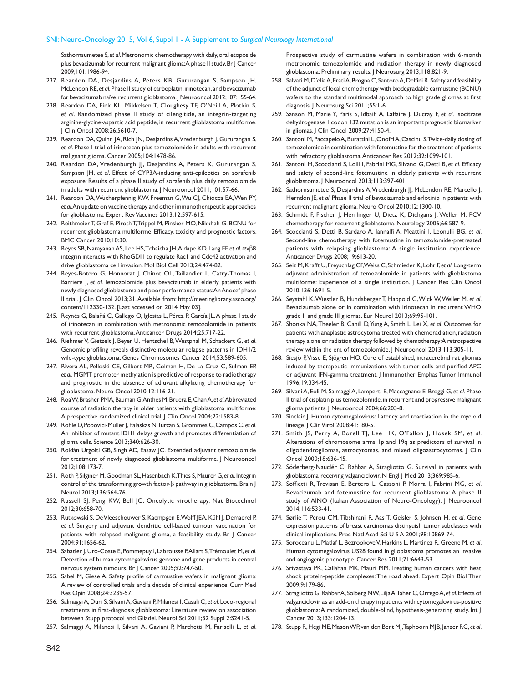Sathornsumetee S, *et al*. Metronomic chemotherapy with daily, oral etoposide plus bevacizumab for recurrent malignant glioma: A phase II study. Br J Cancer 2009;101:1986‑94.

- 237. Reardon DA, Desjardins A, Peters KB, Gururangan S, Sampson JH, McLendon RE, *et al*. Phase II study of carboplatin, irinotecan, and bevacizumab for bevacizumab naïve, recurrent glioblastoma. J Neurooncol 2012;107:155-64.
- 238. Reardon DA, Fink KL, Mikkelsen T, Cloughesy TF, O'Neill A, Plotkin S, *et al*. Randomized phase II study of cilengitide, an integrin‑targeting arginine‑glycine‑aspartic acid peptide, in recurrent glioblastoma multiforme. J Clin Oncol 2008;26:5610‑7.
- 239. Reardon DA, Quinn JA, Rich JN, Desjardins A, Vredenburgh J, Gururangan S, *et al*. Phase I trial of irinotecan plus temozolomide in adults with recurrent malignant glioma. Cancer 2005;104:1478‑86.
- 240. Reardon DA, Vredenburgh JJ, Desjardins A, Peters K, Gururangan S, Sampson JH, et *al*. Effect of CYP3A-inducing anti-epileptics on sorafenib exposure: Results of a phase II study of sorafenib plus daily temozolomide in adults with recurrent glioblastoma. J Neurooncol 2011;101:57‑66.
- 241. Reardon DA, Wucherpfennig KW, Freeman G, Wu CJ, Chiocca EA, Wen PY, *et al*. An update on vaccine therapy and other immunotherapeutic approaches for glioblastoma. Expert Rev Vaccines 2013;12:597‑615.
- 242. Reithmeier T, Graf E, Piroth T, Trippel M, Pinsker MO, Nikkhah G. BCNU for recurrent glioblastoma multiforme: Efficacy, toxicity and prognostic factors. BMC Cancer 2010;10:30.
- 243. Reyes SB, NarayananAS, Lee HS, Tchaicha JH, Aldape KD, Lang FF, *et al*. αvβ8 integrin interacts with RhoGDI1 to regulate Rac1 and Cdc42 activation and drive glioblastoma cell invasion. Mol Biol Cell 2013;24:474‑82.
- 244. Reyes-Botero G, Honnorat J, Chinot OL, Taillandier L, Catry-Thomas I, Barriere J, *et al*. Temozolomide plus bevacizumab in elderly patients with newly diagnosed glioblastoma and poor performance status: An Anocef phase II trial. J Clin Oncol 2013;31. Available from: http://meetinglibrary.asco.org/ content/112330‑132. [Last accessed on 2014 May 03].
- 245. Reynés G, Balañá C, Gallego O, Iglesias L, Pérez P, García JL. A phase I study of irinotecan in combination with metronomic temozolomide in patients with recurrent glioblastoma. Anticancer Drugs 2014;25:717‑22.
- 246. Riehmer V, Gietzelt J, Beyer U, Hentschel B, Westphal M, Schackert G, *et al*. Genomic profiling reveals distinctive molecular relapse patterns in IDH1/2 wild-type glioblastoma. Genes Chromosomes Cancer 2014;53:589-605.
- 247. Rivera AL, Pelloski CE, Gilbert MR, Colman H, De La Cruz C, Sulman EP, *et al*. MGMT promoter methylation is predictive of response to radiotherapy and prognostic in the absence of adjuvant alkylating chemotherapy for glioblastoma. Neuro Oncol 2010;12:116-21.
- 248. RoaW, Brasher PMA, Bauman G, Anthes M, Bruera E, ChanA, *et al*. Abbreviated course of radiation therapy in older patients with glioblastoma multiforme: A prospective randomized clinical trial. J Clin Oncol 2004;22:1583‑8.
- 249. Rohle D, Popovici‑Muller J, Palaskas N, Turcan S, Grommes C, Campos C, *et al*. An inhibitor of mutant IDH1 delays growth and promotes differentiation of glioma cells. Science 2013;340:626‑30.
- 250. Roldán Urgoiti GB, Singh AD, Easaw JC. Extended adjuvant temozolomide for treatment of newly diagnosed glioblastoma multiforme. J Neurooncol 2012;108:173‑7.
- 251. Roth P, Silginer M, Goodman SL, Hasenbach K, Thies S, Maurer G, *et al*. Integrin control of the transforming growth factor‑β pathway in glioblastoma. Brain J Neurol 2013;136:564‑76.
- 252. Russell SJ, Peng KW, Bell JC. Oncolytic virotherapy. Nat Biotechnol 2012;30:658‑70.
- 253. Rutkowski S, De Vleeschouwer S, Kaempgen E, Wolff JEA, Kühl J, Demaerel P, *et al*. Surgery and adjuvant dendritic cell‑based tumour vaccination for patients with relapsed malignant glioma, a feasibility study. Br J Cancer 2004;91:1656‑62.
- 254. Sabatier J, Uro‑Coste E, Pommepuy I, Labrousse F, Allart S, Trémoulet M, *et al*. Detection of human cytomegalovirus genome and gene products in central nervous system tumours. Br J Cancer 2005;92:747‑50.
- 255. Sabel M, Giese A. Safety profile of carmustine wafers in malignant glioma: A review of controlled trials and a decade of clinical experience. Curr Med Res Opin 2008;24:3239‑57.
- 256. SalmaggiA, Duri S, SilvaniA, Gaviani P, Milanesi I, Casali C, *et al*. Loco‑regional treatments in first‑diagnosis glioblastoma: Literature review on association between Stupp protocol and Gliadel. Neurol Sci 2011;32 Suppl 2:S241‑5.
- 257. Salmaggi A, Milanesi I, Silvani A, Gaviani P, Marchetti M, Fariselli L, *et al*.

Prospective study of carmustine wafers in combination with 6-month metronomic temozolomide and radiation therapy in newly diagnosed glioblastoma: Preliminary results. J Neurosurg 2013;118:821‑9.

- 258. Salvati M, D'elia A, Frati A, Brogna C, Santoro A, Delfini R. Safety and feasibility of the adjunct of local chemotherapy with biodegradable carmustine (BCNU) wafers to the standard multimodal approach to high grade gliomas at first diagnosis. J Neurosurg Sci 2011;55:1‑6.
- 259. Sanson M, Marie Y, Paris S, Idbaih A, Laffaire J, Ducray F, *et al*. Isocitrate dehydrogenase 1 codon 132 mutation is an important prognostic biomarker in gliomas. J Clin Oncol 2009;27:4150‑4.
- 260. Santoni M, Paccapelo A, Burattini L, Onofri A, Cascinu S. Twice-daily dosing of temozolomide in combination with fotemustine for the treatment of patients with refractory glioblastoma. Anticancer Res 2012;32:1099-101.
- 261. Santoni M, Scoccianti S, Lolli I, Fabrini MG, Silvano G, Detti B, *et al*. Efficacy and safety of second-line fotemustine in elderly patients with recurrent glioblastoma. J Neurooncol 2013;113:397‑401.
- 262. Sathornsumetee S, Desjardins A, Vredenburgh JJ, McLendon RE, Marcello J, Herndon JE, *et al*. Phase II trial of bevacizumab and erlotinib in patients with recurrent malignant glioma. Neuro Oncol 2010;12:1300‑10.
- 263. Schmidt F, Fischer J, Herrlinger U, Dietz K, Dichgans J, Weller M. PCV chemotherapy for recurrent glioblastoma. Neurology 2006;66:587‑9.
- 264. Scoccianti S, Detti B, Sardaro A, Iannalfi A, Meattini I, Leonulli BG, *et al*. Second-line chemotherapy with fotemustine in temozolomide-pretreated patients with relapsing glioblastoma: A single institution experience. Anticancer Drugs 2008;19:613‑20.
- 265. Seiz M, Krafft U, Freyschlag CF, Weiss C, Schmieder K, Lohr F, *et al*. Long‑term adjuvant administration of temozolomide in patients with glioblastoma multiforme: Experience of a single institution. J Cancer Res Clin Oncol 2010;136:1691‑5.
- 266. Seystahl K, Wiestler B, Hundsberger T, Happold C, Wick W, Weller M, *et al*. Bevacizumab alone or in combination with irinotecan in recurrent WHO grade II and grade III gliomas. Eur Neurol 2013;69:95‑101.
- 267. Shonka NA, Theeler B, Cahill D, Yung A, Smith L, Lei X, *et al*. Outcomes for patients with anaplastic astrocytoma treated with chemoradiation, radiation therapy alone or radiation therapy followed by chemotherapy: A retrospective review within the era of temozolomide. J Neurooncol 2013;113:305-11.
- 268. Siesjö P, Visse E, Sjögren HO. Cure of established, intracerebral rat gliomas induced by therapeutic immunizations with tumor cells and purified APC or adjuvant IFN‑gamma treatment. J Immunother Emphas Tumor Immunol 1996;19:334‑45.
- 269. SilvaniA, Eoli M, SalmaggiA, Lamperti E, Maccagnano E, Broggi G, *et al*. Phase II trial of cisplatin plus temozolomide, in recurrent and progressive malignant glioma patients. J Neurooncol 2004;66:203‑8.
- 270. Sinclair J. Human cytomegalovirus: Latency and reactivation in the myeloid lineage. J Clin Virol 2008;41:180‑5.
- 271. Smith JS, Perry A, Borell TJ, Lee HK, O'Fallon J, Hosek SM, *et al*. Alterations of chromosome arms 1p and 19q as predictors of survival in oligodendrogliomas, astrocytomas, and mixed oligoastrocytomas. J Clin Oncol 2000;18:636‑45.
- 272. Söderberg‑Nauclér C, Rahbar A, Stragliotto G. Survival in patients with glioblastoma receiving valganciclovir. N Engl J Med 2013;369:985-6.
- 273. Soffietti R, Trevisan E, Bertero L, Cassoni P, Morra I, Fabrini MG, *et al*. Bevacizumab and fotemustine for recurrent glioblastoma: A phase II study of AINO (Italian Association of Neuro-Oncology). J Neurooncol 2014;116:533‑41.
- 274. Sørlie T, Perou CM, Tibshirani R, Aas T, Geisler S, Johnsen H, *et al*. Gene expression patterns of breast carcinomas distinguish tumor subclasses with clinical implications. Proc Natl Acad Sci U S A 2001;98:10869-74.
- 275. Soroceanu L, Matlaf L, BezrookoveV, Harkins L, Martinez R, Greene M, *et al*. Human cytomegalovirus US28 found in glioblastoma promotes an invasive and angiogenic phenotype. Cancer Res 2011;71:6643-53.
- 276. Srivastava PK, Callahan MK, Mauri MM. Treating human cancers with heat shock protein‑peptide complexes: The road ahead. Expert Opin Biol Ther 2009;9:179‑86.
- 277. Stragliotto G, RahbarA, Solberg NW, LiljaA, Taher C, OrregoA, *et al*. Effects of valganciclovir as an add-on therapy in patients with cytomegalovirus-positive glioblastoma: A randomized, double-blind, hypothesis-generating study. Int J Cancer 2013;133:1204‑13.
- 278. Stupp R, Hegi ME, MasonWP, van den Bent MJ, Taphoorn MJB, Janzer RC, *et al*.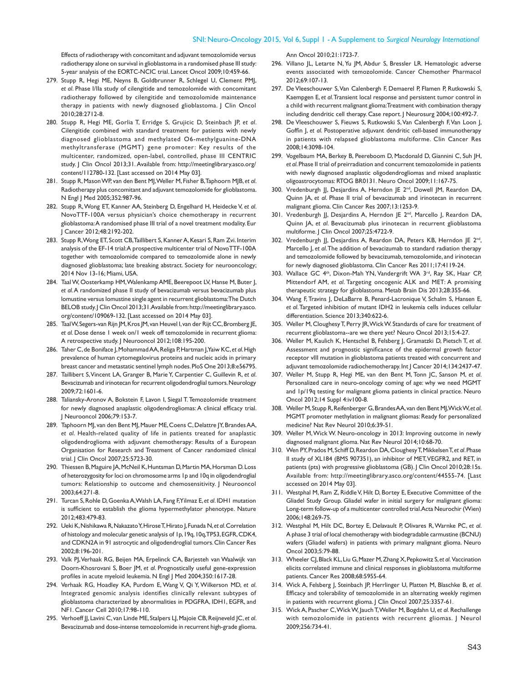Effects of radiotherapy with concomitant and adjuvant temozolomide versus radiotherapy alone on survival in glioblastoma in a randomised phase III study: 5‑year analysis of the EORTC‑NCIC trial. Lancet Oncol 2009;10:459‑66.

- 279. Stupp R, Hegi ME, Neyns B, Goldbrunner R, Schlegel U, Clement PMJ, *et al*. Phase I/IIa study of cilengitide and temozolomide with concomitant radiotherapy followed by cilengitide and temozolomide maintenance therapy in patients with newly diagnosed glioblastoma. J Clin Oncol 2010;28:2712‑8.
- 280. Stupp R, Hegi ME, Gorlia T, Erridge S, Grujicic D, Steinbach JP, *et al*. Cilengitide combined with standard treatment for patients with newly diagnosed glioblastoma and methylated O6‑methylguanine‑DNA methyltransferase (MGMT) gene promoter: Key results of the multicenter, randomized, open‑label, controlled, phase III CENTRIC study. J Clin Oncol 2013;31. Available from: http://meetinglibrary.asco.org/ content/112780‑132. [Last accessed on 2014 May 03].
- 281. Stupp R, MasonWP, van den Bent MJ, Weller M, Fisher B, Taphoorn MJB, *et al*. Radiotherapy plus concomitant and adjuvant temozolomide for glioblastoma. N Engl J Med 2005;352:987‑96.
- 282. Stupp R, Wong ET, Kanner AA, Steinberg D, Engelhard H, Heidecke V, *et al*. NovoTTF‑100A versus physician's choice chemotherapy in recurrent glioblastoma: A randomised phase III trial of a novel treatment modality. Eur J Cancer 2012;48:2192‑202.
- 283. Stupp R, Wong ET, Scott CB, Taillibert S, Kanner A, Kesari S, Ram Zvi. Interim analysis of the EF-14 trial: A prospective multicenter trial of NovoTTF-100A together with temozolomide compared to temozolomide alone in newly diagnosed glioblastoma; late breaking abstract. Society for neurooncology; 2014 Nov 13‑16; Miami, USA.
- 284. TaalW, Oosterkamp HM, WalenkampAME, Beerepoot LV, Hanse M, Buter J, *et al*. A randomized phase II study of bevacizumab versus bevacizumab plus lomustine versus lomustine single agent in recurrent glioblastoma: The Dutch BELOB study. J Clin Oncol 2013;31. Available from: http://meetinglibrary.asco. org/content/109069‑132. [Last accessed on 2014 May 03].
- 285. Taal W, Segers-van Rijn JM, Kros JM, van Heuvel I, van der Rijt CC, Bromberg JE, *et al*. Dose dense 1 week on/1 week off temozolomide in recurrent glioma: A retrospective study. J Neurooncol 2012;108:195-200.
- 286. Taher C, de Boniface J, MohammadAA, Religa P, Hartman J, Yaiw KC, *et al*. High prevalence of human cytomegalovirus proteins and nucleic acids in primary breast cancer and metastatic sentinel lymph nodes. PloS One 2013;8:e56795.
- 287. Taillibert S, Vincent LA, Granger B, Marie Y, Carpentier C, Guillevin R, *et al*. Bevacizumab and irinotecan for recurrent oligodendroglial tumors. Neurology 2009;72:1601‑6.
- 288. Taliansky‑Aronov A, Bokstein F, Lavon I, Siegal T. Temozolomide treatment for newly diagnosed anaplastic oligodendrogliomas: A clinical efficacy trial. J Neurooncol 2006;79:153‑7.
- 289. Taphoorn MJ, van den Bent MJ, Mauer ME, Coens C, Delattre JY, BrandesAA, *et al*. Health‑related quality of life in patients treated for anaplastic oligodendroglioma with adjuvant chemotherapy: Results of a European Organisation for Research and Treatment of Cancer randomized clinical trial. J Clin Oncol 2007;25:5723‑30.
- 290. Thiessen B, Maguire JA, McNeil K, Huntsman D, Martin MA, Horsman D. Loss of heterozygosity for loci on chromosome arms 1p and 10q in oligodendroglial tumors: Relationship to outcome and chemosensitivity. J Neurooncol 2003;64:271‑8.
- 291. Turcan S, Rohle D, GoenkaA, Walsh LA, Fang F, Yilmaz E, *et al*. IDH1 mutation is sufficient to establish the glioma hypermethylator phenotype. Nature 2012;483:479‑83.
- 292. Ueki K, Nishikawa R, NakazatoY, HiroseT, Hirato J, Funada N, *et al*. Correlation of histology and molecular genetic analysis of 1p, 19q, 10q, TP53, EGFR, CDK4, and CDKN2A in 91 astrocytic and oligodendroglial tumors. Clin Cancer Res 2002;8:196‑201.
- 293. Valk PJ, Verhaak RG, Beijen MA, Erpelinck CA, Barjesteh van Waalwijk van Doorn‑Khosrovani S, Boer JM, *et al*. Prognostically useful gene‑expression profiles in acute myeloid leukemia. N Engl J Med 2004;350:1617-28.
- 294. Verhaak RG, Hoadley KA, Purdom E, Wang V, Qi Y, Wilkerson MD, *et al*. Integrated genomic analysis identifies clinically relevant subtypes of glioblastoma characterized by abnormalities in PDGFRA, IDH1, EGFR, and NF1. Cancer Cell 2010;17:98‑110.
- 295. Verhoeff JJ, Lavini C, van Linde ME, Stalpers LJ, Majoie CB, Reijneveld JC, *et al*. Bevacizumab and dose-intense temozolomide in recurrent high-grade glioma.

Ann Oncol 2010;21:1723-7.

- 296. Villano JL, Letarte N, Yu JM, Abdur S, Bressler LR. Hematologic adverse events associated with temozolomide. Cancer Chemother Pharmacol 2012;69:107‑13.
- 297. De Vleeschouwer S, Van Calenbergh F, Demaerel P, Flamen P, Rutkowski S, Kaempgen E, *et al*. Transient local response and persistent tumor control in a child with recurrent malignant glioma: Treatment with combination therapy including dendritic cell therapy. Case report. J Neurosurg 2004;100:492-7.
- 298. De Vleeschouwer S, Fieuws S, Rutkowski S, Van Calenbergh F, Van Loon J, Goffin J, *et al*. Postoperative adjuvant dendritic cell‑based immunotherapy in patients with relapsed glioblastoma multiforme. Clin Cancer Res 2008;14:3098‑104.
- 299. Vogelbaum MA, Berkey B, Peereboom D, Macdonald D, Giannini C, Suh JH, *et al*. Phase II trial of preirradiation and concurrent temozolomide in patients with newly diagnosed anaplastic oligodendrogliomas and mixed anaplastic oligoastrocytomas: RTOG BR0131. Neuro Oncol 2009;11:167-75.
- 300. Vredenburgh JJ, Desjardins A, Herndon JE 2<sup>nd</sup>, Dowell JM, Reardon DA, Quinn JA, *et al*. Phase II trial of bevacizumab and irinotecan in recurrent malignant glioma. Clin Cancer Res 2007;13:1253‑9.
- 301. Vredenburgh JJ, Desjardins A, Herndon JE 2<sup>nd</sup>, Marcello J, Reardon DA, Quinn JA, *et al*. Bevacizumab plus irinotecan in recurrent glioblastoma multiforme. J Clin Oncol 2007;25:4722‑9.
- 302. Vredenburgh JJ, Desjardins A, Reardon DA, Peters KB, Herndon JE 2<sup>nd</sup>, Marcello J, *et al*. The addition of bevacizumab to standard radiation therapy and temozolomide followed by bevacizumab, temozolomide, and irinotecan for newly diagnosed glioblastoma. Clin Cancer Res 2011;17:4119-24.
- 303. Wallace GC 4<sup>th</sup>, Dixon-Mah YN, Vandergrift WA 3<sup>rd</sup>, Ray SK, Haar CP, Mittendorf AM, *et al*. Targeting oncogenic ALK and MET: A promising therapeutic strategy for glioblastoma. Metab Brain Dis 2013;28:355‑66.
- 304. Wang F, Travins J, DeLaBarre B, Penard‑Lacronique V, Schalm S, Hansen E, *et al*. Targeted inhibition of mutant IDH2 in leukemia cells induces cellular differentiation. Science 2013;340:622-6.
- 305. Weller M, CloughesyT, Perry JR, WickW. Standards of care for treatment of recurrent glioblastoma--are we there yet? Neuro Oncol 2013;15:4-27.
- 306. Weller M, Kaulich K, Hentschel B, Felsberg J, Gramatzki D, Pietsch T, *et al*. Assessment and prognostic significance of the epidermal growth factor receptor vIII mutation in glioblastoma patients treated with concurrent and adjuvant temozolomide radiochemotherapy. Int J Cancer 2014;134:2437-47.
- 307. Weller M, Stupp R, Hegi ME, van den Bent M, Tonn JC, Sanson M, *et al*. Personalized care in neuro‑oncology coming of age: why we need MGMT and 1p/19q testing for malignant glioma patients in clinical practice. Neuro Oncol 2012;14 Suppl 4:iv100‑8.
- 308. Weller M, Stupp R, Reifenberger G, BrandesAA, van den Bent MJ, WickW, *et al*. MGMT promoter methylation in malignant gliomas: Ready for personalized medicine? Nat Rev Neurol 2010;6:39‑51.
- 309. Weller M, Wick W. Neuro‑oncology in 2013: Improving outcome in newly diagnosed malignant glioma. Nat Rev Neurol 2014;10:68-70.
- 310. Wen PY, Prados M, Schiff D, Reardon DA, CloughesyT, MikkelsenT, *et al*. Phase II study of XL184 (BMS 907351), an inhibitor of MET, VEGFR2, and RET, in patients (pts) with progressive glioblastoma (GB). J Clin Oncol 2010;28:15s. Available from: http://meetinglibrary.asco.org/content/44555‑74. [Last accessed on 2014 May 03].
- 311. Westphal M, Ram Z, RiddleV, Hilt D, Bortey E, Executive Committee of the Gliadel Study Group. Gliadel wafer in initial surgery for malignant glioma: Long-term follow-up of a multicenter controlled trial. Acta Neurochir (Wien) 2006;148:269‑75.
- 312. Westphal M, Hilt DC, Bortey E, Delavault P, Olivares R, Warnke PC, *et al*. A phase 3 trial of local chemotherapy with biodegradable carmustine (BCNU) wafers (Gliadel wafers) in patients with primary malignant glioma. Neuro Oncol 2003;5:79‑88.
- 313. Wheeler CJ, Black KL, Liu G, Mazer M, Zhang X, Pepkowitz S, *et al*. Vaccination elicits correlated immune and clinical responses in glioblastoma multiforme patients. Cancer Res 2008;68:5955‑64.
- 314. Wick A, Felsberg J, Steinbach JP, Herrlinger U, Platten M, Blaschke B, *et al*. Efficacy and tolerability of temozolomide in an alternating weekly regimen in patients with recurrent glioma. J Clin Oncol 2007;25:3357‑61.
- 315. WickA, Pascher C, WickW, JauchT, Weller M, Bogdahn U, *et al*. Rechallenge with temozolomide in patients with recurrent gliomas. J Neurol 2009;256:734‑41.